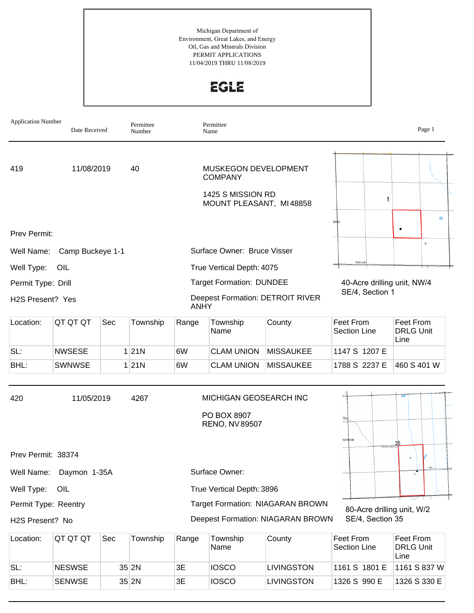Michigan Department of Environment, Great Lakes, and Energy Oil, Gas and Minerals Division PERMIT APPLICATIONS 11/04/2019 THRU 11/08/2019

**EGLE** 

| <b>Application Number</b> | Date Received    |     | Permittee<br>Number |             | Permittee<br>Name                                              |                                         |                                  | Page 1                                |
|---------------------------|------------------|-----|---------------------|-------------|----------------------------------------------------------------|-----------------------------------------|----------------------------------|---------------------------------------|
| 419                       | 11/08/2019       |     | 40                  |             | MUSKEGON DEVELOPMENT<br><b>COMPANY</b>                         |                                         |                                  |                                       |
|                           |                  |     |                     |             | 1425 S MISSION RD<br>MOUNT PLEASANT, MI48858                   |                                         | 1                                |                                       |
| Prev Permit:              |                  |     |                     |             |                                                                |                                         | <b>106W</b>                      | D<br>٠                                |
| Well Name:                | Camp Buckeye 1-1 |     |                     |             | Surface Owner: Bruce Visser                                    |                                         |                                  | $\mathbf x$                           |
| Well Type:                | OIL              |     |                     |             | True Vertical Depth: 4075                                      |                                         | Falmou                           |                                       |
| Permit Type: Drill        |                  |     |                     |             | <b>Target Formation: DUNDEE</b>                                |                                         | 40-Acre drilling unit, NW/4      |                                       |
| H2S Present? Yes          |                  |     |                     | <b>ANHY</b> |                                                                | <b>Deepest Formation: DETROIT RIVER</b> | SE/4, Section 1                  |                                       |
| Location:                 | QT QT QT         | Sec | Township            | Range       | Township<br>Name                                               | County                                  | Feet From<br><b>Section Line</b> | Feet From<br><b>DRLG Unit</b><br>Line |
| SL:                       | <b>NWSESE</b>    |     | 1 21N               | 6W          | <b>CLAM UNION</b>                                              | <b>MISSAUKEE</b>                        | 1147 S 1207 E                    |                                       |
| BHL:                      | <b>SWNWSE</b>    |     | 1 21N               | 6W          | <b>CLAM UNION</b>                                              | <b>MISSAUKEE</b>                        | 1788 S 2237 E                    | 460 S 401 W                           |
| 420                       | 11/05/2019       |     | 4267                |             | MICHIGAN GEOSEARCH INC<br>PO BOX 8907<br><b>RENO, NV 89507</b> |                                         | 02NR03E                          | 35                                    |
| Prev Permit: 38374        |                  |     |                     |             |                                                                |                                         |                                  |                                       |
| Well Name:                | Daymon 1-35A     |     |                     |             | Surface Owner:                                                 |                                         |                                  | 7                                     |
| Well Type:                | OIL              |     |                     |             | True Vertical Depth: 3896                                      |                                         |                                  |                                       |
| Permit Type: Reentry      |                  |     |                     |             |                                                                | Target Formation: NIAGARAN BROWN        | 80-Acre drilling unit, W/2       |                                       |
| H2S Present? No           |                  |     |                     |             |                                                                | Deepest Formation: NIAGARAN BROWN       | SE/4, Section 35                 |                                       |
| Location:                 | QT QT QT         | Sec | Township            | Range       | Township<br>Name                                               | County                                  | Feet From<br>Section Line        | Feet From<br><b>DRLG Unit</b><br>Line |
| SL:                       | <b>NESWSE</b>    |     | $35$ 2N             | 3E          | <b>IOSCO</b>                                                   | LIVINGSTON                              | 1161 S 1801 E                    | 1161 S 837 W                          |

BHL: SENWSE 35 2N 3E IOSCO LIVINGSTON 1326 S 990 E 1326 S 330 E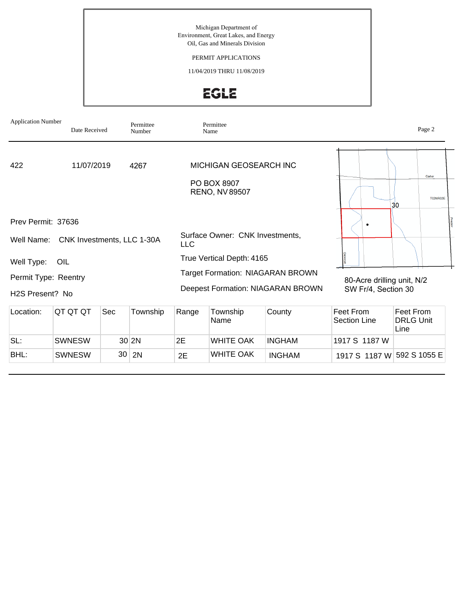Michigan Department of Environment, Great Lakes, and Energy Oil, Gas and Minerals Division

#### PERMIT APPLICATIONS

11/04/2019 THRU 11/08/2019

# EGLE

| <b>Application Number</b>                                   | Date Received |     | Permittee<br>Number |       | Permittee<br>Name                                                    |                                             |                                  | Page 2                    |  |
|-------------------------------------------------------------|---------------|-----|---------------------|-------|----------------------------------------------------------------------|---------------------------------------------|----------------------------------|---------------------------|--|
| 422                                                         | 11/07/2019    |     | 4267                |       | MICHIGAN GEOSEARCH INC<br>PO BOX 8907<br><b>RENO, NV 89507</b>       |                                             |                                  | Carter<br><b>T02NR02F</b> |  |
| Prev Permit: 37636<br>Well Name: CNK Investments, LLC 1-30A |               |     |                     | LLC.  | Surface Owner: CNK Investments,                                      |                                             |                                  | 30                        |  |
| Well Type:<br>Permit Type: Reentry                          | OIL           |     |                     |       | True Vertical Depth: 4165<br><b>Target Formation: NIAGARAN BROWN</b> |                                             | 80-Acre drilling unit, N/2       |                           |  |
| H <sub>2</sub> S Present? No<br>Location:                   | QT QT QT      | Sec | Township            | Range | Township                                                             | Deepest Formation: NIAGARAN BROWN<br>County | SW Fr/4, Section 30<br>Feet From | Feet From                 |  |
|                                                             |               |     |                     |       | Name                                                                 |                                             | Section Line                     | <b>DRLG Unit</b><br>Line  |  |

SWNESW 30 2N 2E WHITE OAK INGHAM 1917 S 1187 W 592 S 1055 E

SL: SWNESW 30 2N 2E WHITE OAK INGHAM 1917 S 1187 W

BHL: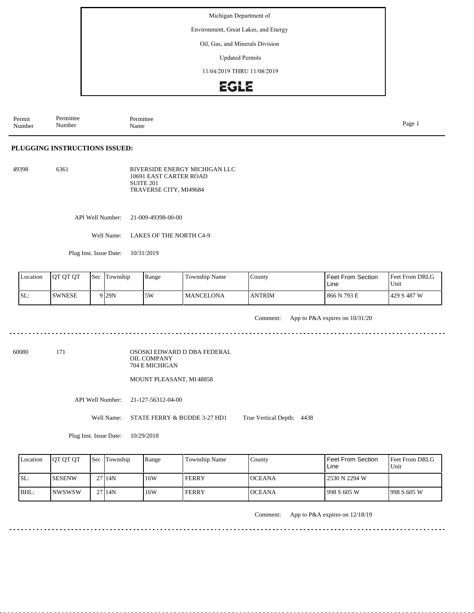Environment, Great Lakes, and Energy

Oil, Gas, and Minerals Division

Updated Permits

11/04/2019 THRU 11/08/2019

### **EGLE**

Permit Number Permittee Number Permittee<br>Name Name Page 1

#### **PLUGGING INSTRUCTIONS ISSUED:**

49398 6361 RIVERSIDE ENERGY MICHIGAN LLC 10691 EAST CARTER ROAD SUITE 201 TRAVERSE CITY, MI49684

API Well Number: 21-009-49398-00-00

Well Name: LAKES OF THE NORTH C4-9

Plug Inst. Issue Date: 10/31/2019

| Location | <b>OT OT OT</b> | <b>Sec</b> | Township | Range | Township Name    | County        | Feet From Section<br>Line | <b>Feet From DRLG</b><br>Unit |
|----------|-----------------|------------|----------|-------|------------------|---------------|---------------------------|-------------------------------|
| SL:      | ISWNESE         |            | 9 I29N   | 5W    | <b>MANCELONA</b> | <b>ANTRIM</b> | 866 N 793 E               | 1429 S 487 W                  |

Comment: App to P&A expires on 10/31/20

60080 171

OSOSKI EDWARD D DBA FEDERAL OIL COMPANY 704 E MICHIGAN

MOUNT PLEASANT, MI 48858

API Well Number: 21-127-56312-04-00

Well Name: STATE FERRY & BUDDE 3-27 HD1 True Vertical Depth: 4438

Plug Inst. Issue Date: 10/29/2018

| Location | <b>IOT OT OT</b> | Sec Township | Range | Township Name | County         | <b>Feet From Section</b><br>Line | <b>Feet From DRLG</b><br>Unit |
|----------|------------------|--------------|-------|---------------|----------------|----------------------------------|-------------------------------|
| SL:      | <b>ISESENW</b>   | 2714N        | 16W   | <b>FERRY</b>  | <b>IOCEANA</b> | 2530 N 2294 W                    |                               |
| BHL:     | INWSWSW          | 2714N        | 16W   | <b>FERRY</b>  | <b>IOCEANA</b> | 1998 S 605 W                     | 1998 S 605 W                  |

Comment: App to P&A expires on 12/18/19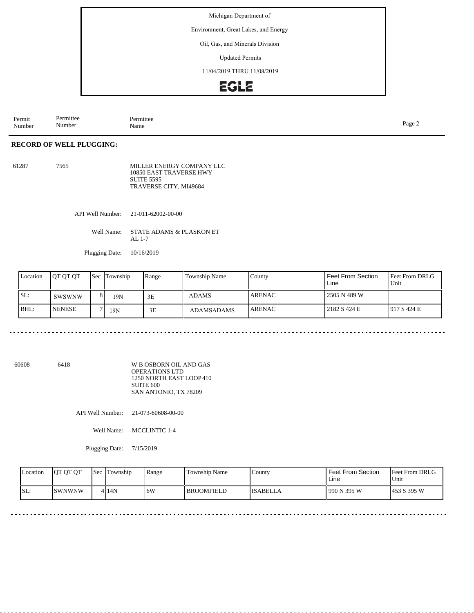Environment, Great Lakes, and Energy

Oil, Gas, and Minerals Division

Updated Permits

11/04/2019 THRU 11/08/2019

### **EGLE**

Permit Number Permittee Number Permittee<br>Name Page 2<br>Name

#### **RECORD OF WELL PLUGGING:**

| 61287 | 7565 | MILLER ENERGY COMPANY LLC |
|-------|------|---------------------------|
|       |      | 10850 EAST TRAVERSE HWY   |
|       |      | <b>SUITE 5595</b>         |
|       |      | TRAVERSE CITY, MI49684    |

API Well Number: 21-011-62002-00-00

Well Name: STATE ADAMS & PLASKON ET AL 1-7

Plugging Date: 10/16/2019

| Location | <b>IOT OT OT</b> |    | Sec Township | Range | Township Name     | County         | <b>Feet From Section</b><br>Line | <b>Feet From DRLG</b><br>Unit |
|----------|------------------|----|--------------|-------|-------------------|----------------|----------------------------------|-------------------------------|
| SL:      | SWSWNW           | 81 | 19N          | 3E    | ADAMS             | <b>JARENAC</b> | 2505 N 489 W                     |                               |
| BHL:     | <b>INENESE</b>   |    | 19N          | 3E    | <b>ADAMSADAMS</b> | <b>LARENAC</b> | 2182 S 424 E                     | 1917S424E                     |

60608 6418

W B OSBORN OIL AND GAS OPERATIONS LTD 1250 NORTH EAST LOOP 410 SUITE 600 SAN ANTONIO, TX 78209

API Well Number: 21-073-60608-00-00

Well Name: MCCLINTIC 1-4

Plugging Date: 7/15/2019

| Location | <b>OT OT OT</b> | Sec | Township | Range | Township Name     | County          | <b>Feet From Section</b><br>Line | Feet From DRLG<br>Unit |
|----------|-----------------|-----|----------|-------|-------------------|-----------------|----------------------------------|------------------------|
| ISL:     | <b>ISWNWNW</b>  |     | 4 14N    | ا 6W  | <b>BROOMFIELD</b> | <b>ISABELLA</b> | 990 N 395 W                      | 1453 S 395 W           |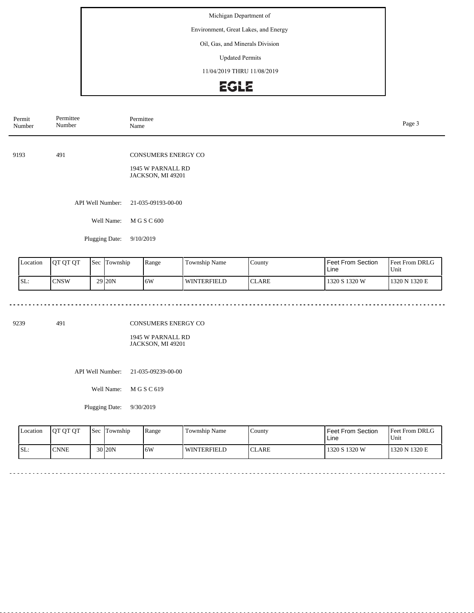Environment, Great Lakes, and Energy

#### Oil, Gas, and Minerals Division

Updated Permits

11/04/2019 THRU 11/08/2019

## EGLE

| Permit<br>Number | Permittee<br>Number | Permittee<br>Page 3<br>Name                                   |  |  |  |  |
|------------------|---------------------|---------------------------------------------------------------|--|--|--|--|
| 9193             | 491                 | CONSUMERS ENERGY CO<br>1945 W PARNALL RD<br>JACKSON, MI 49201 |  |  |  |  |
|                  | API Well Number:    | 21-035-09193-00-00                                            |  |  |  |  |
|                  | Well Name:          | M G S C 600                                                   |  |  |  |  |
|                  | Plugging Date:      | 9/10/2019                                                     |  |  |  |  |
|                  |                     |                                                               |  |  |  |  |

| Location | <b>IOT OT OT</b> | <b>Sec</b> | Township            | Range | <b>Township Name</b> | County          | l Feet From Section<br>Line | <b>Feet From DRLG</b><br>'Unit |
|----------|------------------|------------|---------------------|-------|----------------------|-----------------|-----------------------------|--------------------------------|
| ISL:     | <b>CNSW</b>      |            | 29 <sub>120</sub> N | ۱6W   | <b>WINTERFIELD</b>   | $\sim$<br>CLARE | 1320 S 1320 W               | 1320 N 1320 E                  |

 $\sim$   $\sim$ 

 $\sim$ 

9239 491

CONSUMERS ENERGY CO

1945 W PARNALL RD JACKSON, MI 49201

API Well Number: 21-035-09239-00-00

Well Name: M G S C 619

Plugging Date: 9/30/2019

<u>. . . . . . . . . . . . .</u>

| <b>Location</b> | <b>OT OT OT</b> | l Sec | <b>Township</b> | Range | Township Name      | County       | Feet From Section<br>Line | <b>Feet From DRLG</b><br>Unit |
|-----------------|-----------------|-------|-----------------|-------|--------------------|--------------|---------------------------|-------------------------------|
| SL:             | <b>CNNE</b>     |       | $30$  20N       | 6W    | <b>WINTERFIELD</b> | <b>CLARE</b> | 1320 S 1320 W             | 1320 N 1320 E                 |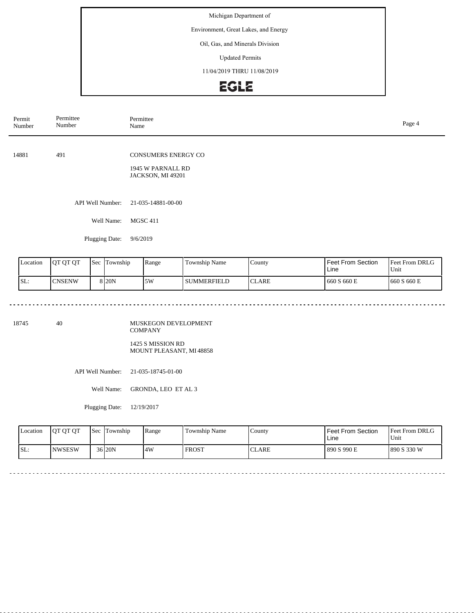Environment, Great Lakes, and Energy

#### Oil, Gas, and Minerals Division

Updated Permits

11/04/2019 THRU 11/08/2019

## EGLE

| Permittee<br>Number | Permittee<br>Page 4<br>Name                                   |  |  |  |  |
|---------------------|---------------------------------------------------------------|--|--|--|--|
| 491                 | CONSUMERS ENERGY CO<br>1945 W PARNALL RD<br>JACKSON, MI 49201 |  |  |  |  |
| API Well Number:    | 21-035-14881-00-00                                            |  |  |  |  |
| Well Name:          | <b>MGSC 411</b>                                               |  |  |  |  |
| Plugging Date:      | 9/6/2019                                                      |  |  |  |  |
|                     |                                                               |  |  |  |  |

| Location | <b>IOT OT OT</b> | 'Sec | Township | Range | <b>Township Name</b> | County        | <b>Feet From Section</b><br>Line | <b>Feet From DRLG</b><br>Unit |
|----------|------------------|------|----------|-------|----------------------|---------------|----------------------------------|-------------------------------|
| ISL:     | <b>CNSENW</b>    |      | 8 I 20 N | 5W    | l summerfield        | <b>ICLARE</b> | 660 S 660 E                      | 1660 S 660 E                  |

<u>eeseses</u>es

18745 40

MUSKEGON DEVELOPMENT COMPANY 1425 S MISSION RD

MOUNT PLEASANT, MI 48858

API Well Number: 21-035-18745-01-00

Well Name: GRONDA, LEO ET AL 3

Plugging Date: 12/19/2017

. . . . . . . . . . . . . . . . . .

| <b>Location</b> | <b>OT OT OT</b> | <b>Sec</b> | Township  | Range | Township Name | County       | <b>Feet From Section</b><br>∟ine | <b>Feet From DRLG</b><br>'Unit |
|-----------------|-----------------|------------|-----------|-------|---------------|--------------|----------------------------------|--------------------------------|
| ISL:            | INWSESW         |            | $36$  20N | 4W    | <b>FROST</b>  | <b>CLARE</b> | 890 S 990 E                      | 1890 S 330 W                   |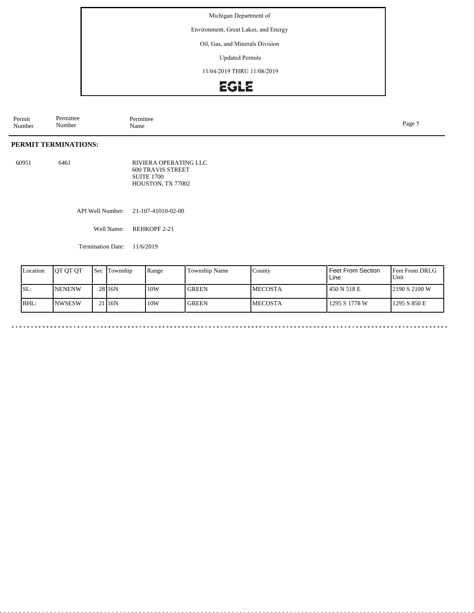Environment, Great Lakes, and Energy

Oil, Gas, and Minerals Division

Updated Permits

11/04/2019 THRU 11/08/2019

### **EGLE**

Permit Number Permittee Number Permittee<br>Name Name Page 5

#### **PERMIT TERMINATIONS:**

60951 6461 RIVIERA OPERATING LLC 600 TRAVIS STREET SUITE 1700 HOUSTON, TX 77002

API Well Number: 21-107-41010-02-00

Well Name: REHKOPF 2-21

Termination Date: 11/6/2019

| Location | <b>OT OT OT</b> | <b>Sec</b> Township | Range | Township Name | County         | Feet From Section<br>Line | <b>Feet From DRLG</b><br>Unit |
|----------|-----------------|---------------------|-------|---------------|----------------|---------------------------|-------------------------------|
| SL:      | <b>NENENW</b>   | 28 <sub>16N</sub>   | 10W   | <b>GREEN</b>  | <b>MECOSTA</b> | 450 N 518 E               | 2190 S 2100 W                 |
| BHL:     | <b>NWSESW</b>   | 2116N               | 10W   | <b>GREEN</b>  | <b>MECOSTA</b> | 1295 S 1778 W             | 1295 S 850 E                  |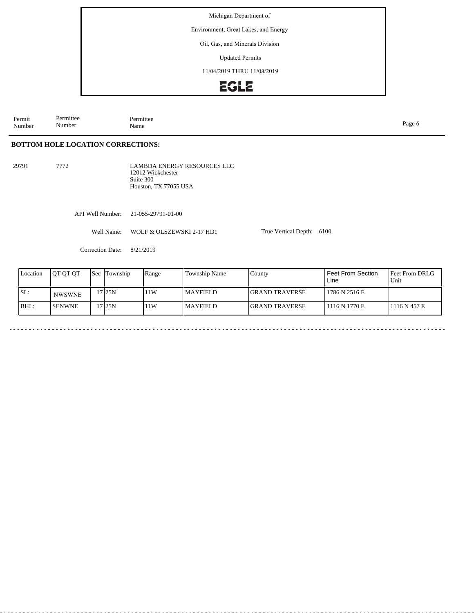Environment, Great Lakes, and Energy

#### Oil, Gas, and Minerals Division

Updated Permits

11/04/2019 THRU 11/08/2019

## **EGLE**

Permit Number Permittee Number Permittee<br>Name Name Page 6

**BOTTOM HOLE LOCATION CORRECTIONS:**

29791 7772

LAMBDA ENERGY RESOURCES LLC 12012 Wickchester Suite 300 Houston, TX 77055 USA

API Well Number: 21-055-29791-01-00

Well Name: WOLF & OLSZEWSKI 2-17 HD1

Correction Date: 8/21/2019

| Location | <b>IOT OT OT</b> | Sec | Township | Range | Township Name | County                 | Feet From Section<br>Line | <b>IFeet From DRLG</b><br>Unit |
|----------|------------------|-----|----------|-------|---------------|------------------------|---------------------------|--------------------------------|
| SL:      | <b>NWSWNE</b>    |     | 7125N    | 11W   | l MAYFIELD.   | <b>IGRAND TRAVERSE</b> | 1786 N 2516 E             |                                |
| BHL:     | <b>SENWNE</b>    |     | 7125N    | 11W   | l MAYFIELD.   | <b>IGRAND TRAVERSE</b> | 1116 N 1770 E             | 1116N457E                      |

True Vertical Depth: 6100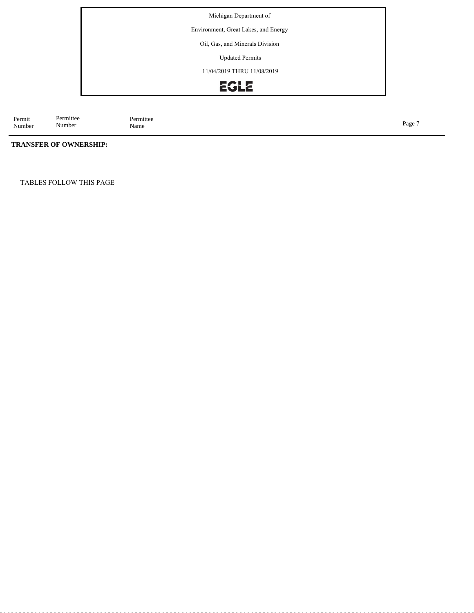Environment, Great Lakes, and Energy

Oil, Gas, and Minerals Division

Updated Permits

11/04/2019 THRU 11/08/2019

## EGLE

Permit Number Permittee<br>Name Name Page 7

#### **TRANSFER OF OWNERSHIP:**

Permittee Number

TABLES FOLLOW THIS PAGE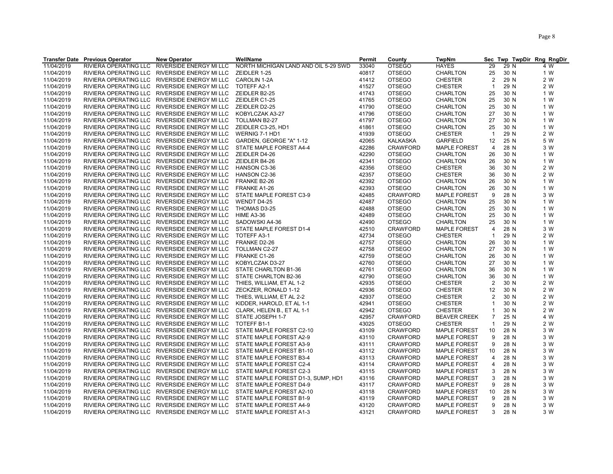|            | <b>Transfer Date Previous Operator</b> | <b>New Operator</b>                           | WellName                             | <b>Permit</b> | County          | <b>TwpNm</b>        |                |      | Sec Twp TwpDir Rng RngDir |
|------------|----------------------------------------|-----------------------------------------------|--------------------------------------|---------------|-----------------|---------------------|----------------|------|---------------------------|
| 11/04/2019 | RIVIERA OPERATING LLC                  | RIVERSIDE ENERGY MI LLC                       | NORTH MICHIGAN LAND AND OIL 5-29 SWD | 33040         | <b>OTSEGO</b>   | <b>HAYES</b>        | 29             | 29 N | 4 W                       |
| 11/04/2019 |                                        | RIVIERA OPERATING LLC RIVERSIDE ENERGY MI LLC | ZEIDLER 1-25                         | 40817         | <b>OTSEGO</b>   | <b>CHARLTON</b>     | 25             | 30 N | 1 W                       |
| 11/04/2019 |                                        | RIVIERA OPERATING LLC RIVERSIDE ENERGY MI LLC | CAROLIN 1-2A                         | 41412         | <b>OTSEGO</b>   | <b>CHESTER</b>      | 2              | 29 N | 2 W                       |
| 11/04/2019 |                                        | RIVIERA OPERATING LLC RIVERSIDE ENERGY MI LLC | TOTEFF A2-1                          | 41527         | <b>OTSEGO</b>   | <b>CHESTER</b>      | $\overline{1}$ | 29 N | 2 W                       |
| 11/04/2019 |                                        | RIVIERA OPERATING LLC RIVERSIDE ENERGY MI LLC | ZEIDLER B2-25                        | 41743         | <b>OTSEGO</b>   | CHARLTON            | 25             | 30 N | 1 W                       |
| 11/04/2019 |                                        | RIVIERA OPERATING LLC RIVERSIDE ENERGY MI LLC | ZEIDLER C1-25                        | 41765         | <b>OTSEGO</b>   | <b>CHARLTON</b>     | 25             | 30 N | 1 W                       |
| 11/04/2019 |                                        | RIVIERA OPERATING LLC RIVERSIDE ENERGY MI LLC | ZEIDLER D2-25                        | 41790         | <b>OTSEGO</b>   | CHARLTON            | 25             | 30 N | 1 W                       |
| 11/04/2019 |                                        | RIVIERA OPERATING LLC RIVERSIDE ENERGY MI LLC | KOBYLCZAK A3-27                      | 41796         | <b>OTSEGO</b>   | <b>CHARLTON</b>     | 27             | 30 N | 1 W                       |
| 11/04/2019 |                                        | RIVIERA OPERATING LLC RIVERSIDE ENERGY MI LLC | TOLLMAN B2-27                        | 41797         | <b>OTSEGO</b>   | CHARLTON            | 27             | 30 N | 1 W                       |
| 11/04/2019 |                                        | RIVIERA OPERATING LLC RIVERSIDE ENERGY MI LLC | ZEIDLER C3-25, HD1                   | 41861         | <b>OTSEGO</b>   | <b>CHARLTON</b>     | 25             | 30 N | 1 W                       |
| 11/04/2019 |                                        | RIVIERA OPERATING LLC RIVERSIDE ENERGY MI LLC | WERNIG 7-1 HD1                       | 41939         | <b>OTSEGO</b>   | <b>CHESTER</b>      | $\overline{1}$ | 29 N | 2 W                       |
| 11/04/2019 |                                        | RIVIERA OPERATING LLC RIVERSIDE ENERGY MI LLC | GARDEN, GEORGE "A" 1-12              | 42065         | KALKASKA        | <b>GARFIELD</b>     | 12             | 25 N | 5 W                       |
| 11/04/2019 |                                        | RIVIERA OPERATING LLC RIVERSIDE ENERGY MI LLC | STATE MAPLE FOREST A4-4              | 42286         | CRAWFORD        | <b>MAPLE FOREST</b> | $\overline{4}$ | 28 N | 3 W                       |
|            |                                        |                                               |                                      |               |                 |                     |                |      |                           |
| 11/04/2019 |                                        | RIVIERA OPERATING LLC RIVERSIDE ENERGY MI LLC | ZEIDLER D4-26                        | 42290         | <b>OTSEGO</b>   | CHARLTON            | 26             | 30 N | 1 W                       |
| 11/04/2019 |                                        | RIVIERA OPERATING LLC RIVERSIDE ENERGY MI LLC | ZEIDLER B4-26                        | 42341         | <b>OTSEGO</b>   | CHARLTON            | 26             | 30 N | 1 W                       |
| 11/04/2019 |                                        | RIVIERA OPERATING LLC RIVERSIDE ENERGY MI LLC | HANSON C3-36                         | 42356         | <b>OTSEGO</b>   | <b>CHESTER</b>      | 36             | 30 N | 2 W                       |
| 11/04/2019 |                                        | RIVIERA OPERATING LLC RIVERSIDE ENERGY MI LLC | HANSON C2-36                         | 42357         | <b>OTSEGO</b>   | <b>CHESTER</b>      | 36             | 30 N | 2 W                       |
| 11/04/2019 |                                        | RIVIERA OPERATING LLC RIVERSIDE ENERGY MI LLC | FRANKE B2-26                         | 42392         | <b>OTSEGO</b>   | CHARLTON            | 26             | 30 N | 1 W                       |
| 11/04/2019 |                                        | RIVIERA OPERATING LLC RIVERSIDE ENERGY MI LLC | FRANKE A1-26                         | 42393         | <b>OTSEGO</b>   | <b>CHARLTON</b>     | 26             | 30 N | 1 W                       |
| 11/04/2019 |                                        | RIVIERA OPERATING LLC RIVERSIDE ENERGY MI LLC | STATE MAPLE FOREST C3-9              | 42485         | <b>CRAWFORD</b> | <b>MAPLE FOREST</b> | 9              | 28 N | 3 W                       |
| 11/04/2019 |                                        | RIVIERA OPERATING LLC RIVERSIDE ENERGY MI LLC | WENDT D4-25                          | 42487         | <b>OTSEGO</b>   | <b>CHARLTON</b>     | 25             | 30 N | 1 W                       |
| 11/04/2019 |                                        | RIVIERA OPERATING LLC RIVERSIDE ENERGY MI LLC | THOMAS D3-25                         | 42488         | <b>OTSEGO</b>   | <b>CHARLTON</b>     | 25             | 30 N | 1 W                       |
| 11/04/2019 |                                        | RIVIERA OPERATING LLC RIVERSIDE ENERGY MI LLC | <b>HIME A3-36</b>                    | 42489         | <b>OTSEGO</b>   | CHARLTON            | 25             | 30 N | 1 W                       |
| 11/04/2019 |                                        | RIVIERA OPERATING LLC RIVERSIDE ENERGY MI LLC | SADOWSKI A4-36                       | 42490         | <b>OTSEGO</b>   | CHARLTON            | 25             | 30 N | 1 W                       |
| 11/04/2019 |                                        | RIVIERA OPERATING LLC RIVERSIDE ENERGY MI LLC | STATE MAPLE FOREST D1-4              | 42510         | <b>CRAWFORD</b> | <b>MAPLE FOREST</b> | $\overline{4}$ | 28 N | 3 W                       |
| 11/04/2019 |                                        | RIVIERA OPERATING LLC RIVERSIDE ENERGY MI LLC | TOTEFF A3-1                          | 42734         | <b>OTSEGO</b>   | <b>CHESTER</b>      | $\overline{1}$ | 29 N | 2 W                       |
| 11/04/2019 |                                        | RIVIERA OPERATING LLC RIVERSIDE ENERGY MI LLC | FRANKE D2-26                         | 42757         | <b>OTSEGO</b>   | <b>CHARLTON</b>     | 26             | 30 N | 1 W                       |
| 11/04/2019 |                                        | RIVIERA OPERATING LLC RIVERSIDE ENERGY MI LLC | TOLLMAN C2-27                        | 42758         | <b>OTSEGO</b>   | CHARLTON            | 27             | 30 N | 1 W                       |
| 11/04/2019 |                                        | RIVIERA OPERATING LLC RIVERSIDE ENERGY MI LLC | FRANKE C1-26                         | 42759         | <b>OTSEGO</b>   | <b>CHARLTON</b>     | 26             | 30 N | 1 W                       |
| 11/04/2019 |                                        | RIVIERA OPERATING LLC RIVERSIDE ENERGY MI LLC | KOBYLCZAK D3-27                      | 42760         | <b>OTSEGO</b>   | CHARLTON            | 27             | 30 N | 1 W                       |
| 11/04/2019 |                                        | RIVIERA OPERATING LLC RIVERSIDE ENERGY MI LLC | STATE CHARLTON B1-36                 | 42761         | <b>OTSEGO</b>   | <b>CHARLTON</b>     | 36             | 30 N | 1 W                       |
| 11/04/2019 |                                        | RIVIERA OPERATING LLC RIVERSIDE ENERGY MI LLC | STATE CHARLTON B2-36                 | 42790         | <b>OTSEGO</b>   | <b>CHARLTON</b>     | 36             | 30 N | 1 W                       |
| 11/04/2019 |                                        | RIVIERA OPERATING LLC RIVERSIDE ENERGY MI LLC | THIES, WILLIAM, ET AL 1-2            | 42935         | <b>OTSEGO</b>   | <b>CHESTER</b>      | $\overline{2}$ | 30 N | 2 W                       |
| 11/04/2019 |                                        | RIVIERA OPERATING LLC RIVERSIDE ENERGY MI LLC | ZECKZER, RONALD 1-12                 | 42936         | <b>OTSEGO</b>   | <b>CHESTER</b>      | 12             | 30 N | 2 W                       |
| 11/04/2019 |                                        | RIVIERA OPERATING LLC RIVERSIDE ENERGY MI LLC | THIES, WILLIAM, ET AL 2-2            | 42937         | <b>OTSEGO</b>   | <b>CHESTER</b>      | 2              | 30 N | 2 W                       |
| 11/04/2019 |                                        | RIVIERA OPERATING LLC RIVERSIDE ENERGY MI LLC | KIDDER, HAROLD, ET AL 1-1            | 42941         | <b>OTSEGO</b>   | CHESTER             | $\mathbf{1}$   | 30 N | 2 W                       |
| 11/04/2019 |                                        | RIVIERA OPERATING LLC RIVERSIDE ENERGY MI LLC | CLARK, HELEN B., ET AL 1-1           | 42942         | <b>OTSEGO</b>   | <b>CHESTER</b>      | $\mathbf 1$    | 30 N | 2 W                       |
| 11/04/2019 |                                        | RIVIERA OPERATING LLC RIVERSIDE ENERGY MI LLC | STATE JOSEPH 1-7                     | 42957         | <b>CRAWFORD</b> | <b>BEAVER CREEK</b> | $\overline{7}$ | 25 N | 4 W                       |
| 11/04/2019 |                                        | RIVIERA OPERATING LLC RIVERSIDE ENERGY MI LLC | TOTEFF B1-1                          | 43025         | <b>OTSEGO</b>   | <b>CHESTER</b>      | $\mathbf{1}$   | 29 N | 2 W                       |
|            |                                        | RIVIERA OPERATING LLC RIVERSIDE ENERGY MI LLC | STATE MAPLE FOREST C2-10             | 43109         | <b>CRAWFORD</b> |                     |                | 28 N | 3 W                       |
| 11/04/2019 |                                        |                                               |                                      |               |                 | <b>MAPLE FOREST</b> | 10<br>9        |      |                           |
| 11/04/2019 |                                        | RIVIERA OPERATING LLC RIVERSIDE ENERGY MI LLC | STATE MAPLE FOREST A2-9              | 43110         | CRAWFORD        | <b>MAPLE FOREST</b> |                | 28 N | 3 W                       |
| 11/04/2019 |                                        | RIVIERA OPERATING LLC RIVERSIDE ENERGY MI LLC | STATE MAPLE FOREST A3-9              | 43111         | <b>CRAWFORD</b> | <b>MAPLE FOREST</b> | 9              | 28 N | 3 W                       |
| 11/04/2019 |                                        | RIVIERA OPERATING LLC RIVERSIDE ENERGY MI LLC | STATE MAPLE FOREST B1-10             | 43112         | <b>CRAWFORD</b> | <b>MAPLE FOREST</b> | 10             | 28 N | 3 W                       |
| 11/04/2019 |                                        | RIVIERA OPERATING LLC RIVERSIDE ENERGY MI LLC | STATE MAPLE FOREST B3-4              | 43113         | <b>CRAWFORD</b> | <b>MAPLE FOREST</b> | $\overline{4}$ | 28 N | 3 W                       |
| 11/04/2019 |                                        | RIVIERA OPERATING LLC RIVERSIDE ENERGY MI LLC | STATE MAPLE FOREST C2-4              | 43114         | <b>CRAWFORD</b> | <b>MAPLE FOREST</b> | 4              | 28 N | 3 W                       |
| 11/04/2019 |                                        | RIVIERA OPERATING LLC RIVERSIDE ENERGY MI LLC | STATE MAPLE FOREST C2-3              | 43115         | CRAWFORD        | <b>MAPLE FOREST</b> | 3              | 28 N | 3 W                       |
| 11/04/2019 |                                        | RIVIERA OPERATING LLC RIVERSIDE ENERGY MI LLC | STATE MAPLE FOREST D1-3, SUMP, HD1   | 43116         | <b>CRAWFORD</b> | <b>MAPLE FOREST</b> | 3              | 28 N | 3 W                       |
| 11/04/2019 |                                        | RIVIERA OPERATING LLC RIVERSIDE ENERGY MI LLC | STATE MAPLE FOREST D4-9              | 43117         | <b>CRAWFORD</b> | <b>MAPLE FOREST</b> | 9              | 28 N | 3 W                       |
| 11/04/2019 |                                        | RIVIERA OPERATING LLC RIVERSIDE ENERGY MI LLC | STATE MAPLE FOREST A2-10             | 43118         | <b>CRAWFORD</b> | <b>MAPLE FOREST</b> | 10             | 28 N | 3 W                       |
| 11/04/2019 |                                        | RIVIERA OPERATING LLC RIVERSIDE ENERGY MI LLC | STATE MAPLE FOREST B1-9              | 43119         | <b>CRAWFORD</b> | <b>MAPLE FOREST</b> | 9              | 28 N | 3 W                       |
| 11/04/2019 |                                        | RIVIERA OPERATING LLC RIVERSIDE ENERGY MI LLC | STATE MAPLE FOREST A4-9              | 43120         | <b>CRAWFORD</b> | <b>MAPLE FOREST</b> | 9              | 28 N | 3 W                       |
| 11/04/2019 |                                        | RIVIERA OPERATING LLC RIVERSIDE ENERGY MI LLC | STATE MAPLE FOREST A1-3              | 43121         | <b>CRAWFORD</b> | <b>MAPLE FOREST</b> | 3              | 28 N | 3 W                       |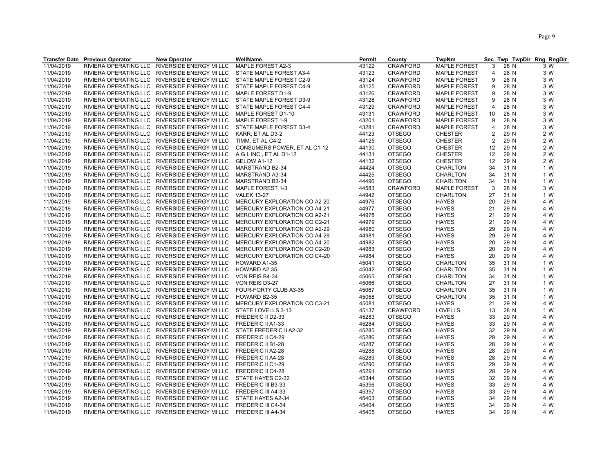|            | <b>Transfer Date Previous Operator</b> | <b>New Operator</b>                           | WellName                     | Permit | County          | <b>TwpNm</b>        |                | Sec Twp TwpDir Rng RngDir |     |
|------------|----------------------------------------|-----------------------------------------------|------------------------------|--------|-----------------|---------------------|----------------|---------------------------|-----|
| 11/04/2019 | RIVIERA OPERATING LLC                  | RIVERSIDE ENERGY MI LLC                       | MAPLE FOREST A2-3            | 43122  | <b>CRAWFORD</b> | <b>MAPLE FOREST</b> | 3              | 28 N                      | 3 W |
| 11/04/2019 |                                        | RIVIERA OPERATING LLC RIVERSIDE ENERGY MI LLC | STATE MAPLE FOREST A3-4      | 43123  | <b>CRAWFORD</b> | <b>MAPLE FOREST</b> | 4              | 28 N                      | 3 W |
| 11/04/2019 | RIVIERA OPERATING LLC                  | RIVERSIDE ENERGY MI LLC                       | STATE MAPLE FOREST C2-9      | 43124  | <b>CRAWFORD</b> | <b>MAPLE FOREST</b> | 9              | 28 N                      | 3 W |
| 11/04/2019 |                                        | RIVIERA OPERATING LLC RIVERSIDE ENERGY MI LLC | STATE MAPLE FOREST C4-9      | 43125  | <b>CRAWFORD</b> | <b>MAPLE FOREST</b> | 9              | 28 N                      | 3 W |
| 11/04/2019 |                                        | RIVIERA OPERATING LLC RIVERSIDE ENERGY MI LLC | MAPLE FOREST D1-9            | 43126  | <b>CRAWFORD</b> | <b>MAPLE FOREST</b> | 9              | 28 N                      | 3 W |
| 11/04/2019 |                                        | RIVIERA OPERATING LLC RIVERSIDE ENERGY MI LLC | STATE MAPLE FOREST D3-9      | 43128  | <b>CRAWFORD</b> | <b>MAPLE FOREST</b> | 9              | 28 N                      | 3 W |
| 11/04/2019 |                                        | RIVIERA OPERATING LLC RIVERSIDE ENERGY MI LLC | STATE MAPLE FOREST C4-4      | 43129  | <b>CRAWFORD</b> | <b>MAPLE FOREST</b> | 4              | 28 N                      | 3 W |
| 11/04/2019 |                                        | RIVIERA OPERATING LLC RIVERSIDE ENERGY MI LLC | MAPLE FOREST D1-10           | 43131  | <b>CRAWFORD</b> | <b>MAPLE FOREST</b> | 10             | 28 N                      | 3 W |
| 11/04/2019 |                                        | RIVIERA OPERATING LLC RIVERSIDE ENERGY MI LLC | MAPLE FOREST 1-9             | 43201  | <b>CRAWFORD</b> | <b>MAPLE FOREST</b> | 9              | 28 N                      | 3 W |
| 11/04/2019 |                                        | RIVIERA OPERATING LLC RIVERSIDE ENERGY MI LLC | STATE MAPLE FOREST D3-4      | 43281  | <b>CRAWFORD</b> | <b>MAPLE FOREST</b> | 4              | 28 N                      | 3 W |
| 11/04/2019 |                                        | RIVIERA OPERATING LLC RIVERSIDE ENERGY MI LLC | KARR, ET AL D3-2             | 44123  | <b>OTSEGO</b>   | <b>CHESTER</b>      | 2              | 29 N                      | 2 W |
| 11/04/2019 |                                        | RIVIERA OPERATING LLC RIVERSIDE ENERGY MI LLC | TIMM, ET AL C4-2             | 44125  | <b>OTSEGO</b>   | <b>CHESTER</b>      | $\overline{2}$ | 29 N                      | 2 W |
| 11/04/2019 |                                        | RIVIERA OPERATING LLC RIVERSIDE ENERGY MI LLC | CONSUMERS POWER, ET AL C1-12 | 44130  | <b>OTSEGO</b>   | <b>CHESTER</b>      | 12             | 29 N                      | 2 W |
| 11/04/2019 |                                        | RIVIERA OPERATING LLC RIVERSIDE ENERGY MI LLC | A.G.I. INC., ET AL D1-12     | 44131  | <b>OTSEGO</b>   | <b>CHESTER</b>      | 12             | 29 N                      | 2 W |
| 11/04/2019 |                                        | RIVIERA OPERATING LLC RIVERSIDE ENERGY MI LLC | GELOW A1-12                  | 44132  | <b>OTSEGO</b>   | <b>CHESTER</b>      | 12             | 29 N                      | 2 W |
| 11/04/2019 |                                        | RIVIERA OPERATING LLC RIVERSIDE ENERGY MI LLC | MARSTRAND B2-34              | 44424  | <b>OTSEGO</b>   | <b>CHARLTON</b>     | 34             | 31 N                      | 1 W |
|            |                                        |                                               |                              |        |                 |                     | 34             |                           |     |
| 11/04/2019 |                                        | RIVIERA OPERATING LLC RIVERSIDE ENERGY MI LLC | MARSTRAND A3-34              | 44425  | <b>OTSEGO</b>   | <b>CHARLTON</b>     |                | 31 N                      | 1 W |
| 11/04/2019 |                                        | RIVIERA OPERATING LLC RIVERSIDE ENERGY MI LLC | MARSTRAND B3-34              | 44496  | <b>OTSEGO</b>   | CHARLTON            | 34             | 31 N                      | 1 W |
| 11/04/2019 |                                        | RIVIERA OPERATING LLC RIVERSIDE ENERGY MI LLC | MAPLE FOREST 1-3             | 44583  | <b>CRAWFORD</b> | <b>MAPLE FOREST</b> | 3              | 28 N                      | 3 W |
| 11/04/2019 |                                        | RIVIERA OPERATING LLC RIVERSIDE ENERGY MI LLC | <b>VALEK 13-27</b>           | 44942  | <b>OTSEGO</b>   | CHARLTON            | 27             | 31 N                      | 1 W |
| 11/04/2019 |                                        | RIVIERA OPERATING LLC RIVERSIDE ENERGY MI LLC | MERCURY EXPLORATION CO A2-20 | 44976  | <b>OTSEGO</b>   | <b>HAYES</b>        | 20             | 29 N                      | 4 W |
| 11/04/2019 |                                        | RIVIERA OPERATING LLC RIVERSIDE ENERGY MI LLC | MERCURY EXPLORATION CO A4-21 | 44977  | <b>OTSEGO</b>   | <b>HAYES</b>        | 21             | 29 N                      | 4 W |
| 11/04/2019 |                                        | RIVIERA OPERATING LLC RIVERSIDE ENERGY MI LLC | MERCURY EXPLORATION CO A2-21 | 44978  | <b>OTSEGO</b>   | <b>HAYES</b>        | 21             | 29 N                      | 4 W |
| 11/04/2019 |                                        | RIVIERA OPERATING LLC RIVERSIDE ENERGY MI LLC | MERCURY EXPLORATION CO C2-21 | 44979  | <b>OTSEGO</b>   | HAYES               | 21             | 29 N                      | 4 W |
| 11/04/2019 |                                        | RIVIERA OPERATING LLC RIVERSIDE ENERGY MI LLC | MERCURY EXPLORATION CO A2-29 | 44980  | <b>OTSEGO</b>   | <b>HAYES</b>        | 29             | 29 N                      | 4 W |
| 11/04/2019 |                                        | RIVIERA OPERATING LLC RIVERSIDE ENERGY MI LLC | MERCURY EXPLORATION CO A4-29 | 44981  | <b>OTSEGO</b>   | <b>HAYES</b>        | 29             | 29 N                      | 4 W |
| 11/04/2019 |                                        | RIVIERA OPERATING LLC RIVERSIDE ENERGY MI LLC | MERCURY EXPLORATION CO A4-20 | 44982  | <b>OTSEGO</b>   | <b>HAYES</b>        | 20             | 29 N                      | 4 W |
| 11/04/2019 |                                        | RIVIERA OPERATING LLC RIVERSIDE ENERGY MI LLC | MERCURY EXPLORATION CO C2-20 | 44983  | <b>OTSEGO</b>   | <b>HAYES</b>        | 20             | 29 N                      | 4 W |
| 11/04/2019 |                                        | RIVIERA OPERATING LLC RIVERSIDE ENERGY MI LLC | MERCURY EXPLORATION CO C4-20 | 44984  | <b>OTSEGO</b>   | <b>HAYES</b>        | 20             | 29 N                      | 4 W |
| 11/04/2019 |                                        | RIVIERA OPERATING LLC RIVERSIDE ENERGY MI LLC | HOWARD A1-35                 | 45041  | <b>OTSEGO</b>   | <b>CHARLTON</b>     | 35             | 31 N                      | 1 W |
| 11/04/2019 |                                        | RIVIERA OPERATING LLC RIVERSIDE ENERGY MI LLC | HOWARD A2-35                 | 45042  | <b>OTSEGO</b>   | <b>CHARLTON</b>     | 35             | 31 N                      | 1 W |
| 11/04/2019 |                                        | RIVIERA OPERATING LLC RIVERSIDE ENERGY MI LLC | VON REIS B4-34               | 45065  | <b>OTSEGO</b>   | <b>CHARLTON</b>     | 34             | 31 N                      | 1 W |
| 11/04/2019 |                                        | RIVIERA OPERATING LLC RIVERSIDE ENERGY MI LLC | VON REIS D3-27               | 45066  | <b>OTSEGO</b>   | CHARLTON            | 27             | 31 N                      | 1 W |
| 11/04/2019 |                                        | RIVIERA OPERATING LLC RIVERSIDE ENERGY MI LLC | FOUR-FORTY CLUB A3-35        | 45067  | <b>OTSEGO</b>   | CHARLTON            | 35             | 31 N                      | 1 W |
| 11/04/2019 | RIVIERA OPERATING LLC                  | RIVERSIDE ENERGY MI LLC                       | HOWARD B2-35                 | 45068  | <b>OTSEGO</b>   | CHARLTON            | 35             | 31 N                      | 1 W |
| 11/04/2019 |                                        | RIVIERA OPERATING LLC RIVERSIDE ENERGY MI LLC | MERCURY EXPLORATION CO C3-21 | 45081  | <b>OTSEGO</b>   | <b>HAYES</b>        | 21             | 29 N                      | 4 W |
| 11/04/2019 |                                        | RIVIERA OPERATING LLC RIVERSIDE ENERGY MI LLC | STATE LOVELLS 3-13           | 45137  | <b>CRAWFORD</b> | <b>LOVELLS</b>      | 13             | 28 N                      | 1 W |
| 11/04/2019 |                                        | RIVIERA OPERATING LLC RIVERSIDE ENERGY MI LLC | FREDERIC II D2-33            | 45283  | <b>OTSEGO</b>   | <b>HAYES</b>        | 33             | 29 N                      | 4 W |
| 11/04/2019 |                                        | RIVIERA OPERATING LLC RIVERSIDE ENERGY MI LLC | FREDERIC II A1-33            | 45284  | <b>OTSEGO</b>   | <b>HAYES</b>        | 33             | 29 N                      | 4 W |
| 11/04/2019 | RIVIERA OPERATING LLC                  | RIVERSIDE ENERGY MI LLC                       | STATE FREDERIC II A2-32      | 45285  | <b>OTSEGO</b>   | <b>HAYES</b>        | 32             | 29 N                      | 4 W |
| 11/04/2019 |                                        | RIVIERA OPERATING LLC RIVERSIDE ENERGY MI LLC | FREDERIC II C4-29            | 45286  | <b>OTSEGO</b>   | <b>HAYES</b>        | 29             | 29 N                      | 4 W |
| 11/04/2019 |                                        | RIVIERA OPERATING LLC RIVERSIDE ENERGY MI LLC | FREDERIC II B1-28            | 45287  | <b>OTSEGO</b>   | <b>HAYES</b>        | 28             | 29 N                      | 4 W |
| 11/04/2019 | RIVIERA OPERATING LLC                  | RIVERSIDE ENERGY MI LLC                       | FREDERIC II A2-28            | 45288  | <b>OTSEGO</b>   | <b>HAYES</b>        | 28             | 29 N                      | 4 W |
| 11/04/2019 |                                        | RIVIERA OPERATING LLC RIVERSIDE ENERGY MI LLC | FREDERIC II A4-28            | 45289  | <b>OTSEGO</b>   | <b>HAYES</b>        | 28             | 29 N                      | 4 W |
| 11/04/2019 |                                        | RIVIERA OPERATING LLC RIVERSIDE ENERGY MI LLC | FREDERIC II C1-29            | 45290  | <b>OTSEGO</b>   | <b>HAYES</b>        | 29             | 29 N                      | 4 W |
| 11/04/2019 | RIVIERA OPERATING LLC                  | RIVERSIDE ENERGY MI LLC                       | FREDERIC II C4-28            | 45291  | <b>OTSEGO</b>   | <b>HAYES</b>        | 28             | 29 N                      | 4 W |
| 11/04/2019 | RIVIERA OPERATING LLC                  | RIVERSIDE ENERGY MI LLC                       | STATE HAYES C2-32            | 45344  | <b>OTSEGO</b>   | <b>HAYES</b>        | 32             | 29 N                      | 4 W |
| 11/04/2019 |                                        | RIVIERA OPERATING LLC RIVERSIDE ENERGY MI LLC | FREDERIC III B3-33           | 45396  | <b>OTSEGO</b>   | <b>HAYES</b>        | 33             | 29 N                      | 4 W |
| 11/04/2019 |                                        | RIVIERA OPERATING LLC RIVERSIDE ENERGY MI LLC | FREDERIC III A4-33           | 45397  | <b>OTSEGO</b>   | <b>HAYES</b>        | 33             | 29 N                      | 4 W |
| 11/04/2019 |                                        | RIVIERA OPERATING LLC RIVERSIDE ENERGY MI LLC | STATE HAYES A2-34            | 45403  | <b>OTSEGO</b>   | <b>HAYES</b>        | 34             | 29 N                      | 4 W |
| 11/04/2019 |                                        | RIVIERA OPERATING LLC RIVERSIDE ENERGY MI LLC | FREDERIC III C4-34           | 45404  | <b>OTSEGO</b>   | <b>HAYES</b>        | 34             | 29 N                      | 4 W |
| 11/04/2019 |                                        | RIVIERA OPERATING LLC RIVERSIDE ENERGY MI LLC | <b>FREDERIC III A4-34</b>    | 45405  | <b>OTSEGO</b>   | <b>HAYES</b>        | 34             | 29 N                      | 4 W |
|            |                                        |                                               |                              |        |                 |                     |                |                           |     |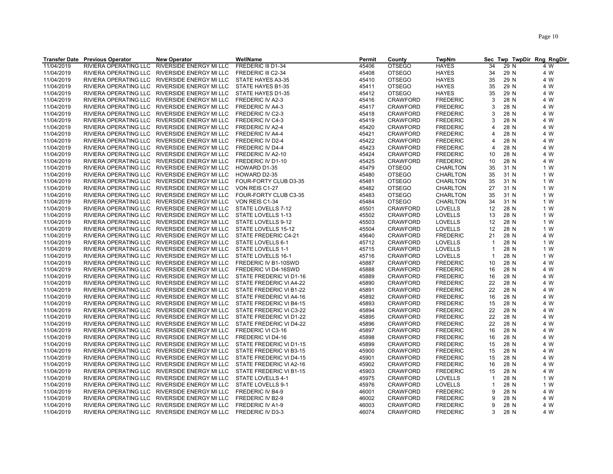|                          | <b>Transfer Date Previous Operator</b> | <b>New Operator</b>                                                                            | WellName                                    | Permit         | County                             | <b>TwpNm</b>                      | Sec                   | Twp TwpDir Rng RngDir |            |
|--------------------------|----------------------------------------|------------------------------------------------------------------------------------------------|---------------------------------------------|----------------|------------------------------------|-----------------------------------|-----------------------|-----------------------|------------|
| 11/04/2019               | RIVIERA OPERATING LLC                  | RIVERSIDE ENERGY MI LLC                                                                        | FREDERIC III D1-34                          | 45406          | <b>OTSEGO</b>                      | <b>HAYES</b>                      | 34                    | 29 N                  | 4 W        |
| 11/04/2019               | RIVIERA OPERATING LLC                  | RIVERSIDE ENERGY MI LLC                                                                        | FREDERIC III C2-34                          | 45408          | <b>OTSEGO</b>                      | <b>HAYES</b>                      | 34                    | 29 N                  | 4 W        |
| 11/04/2019               |                                        | RIVIERA OPERATING LLC RIVERSIDE ENERGY MI LLC                                                  | STATE HAYES A3-35                           | 45410          | <b>OTSEGO</b>                      | <b>HAYES</b>                      | 35                    | 29 N                  | 4 W        |
| 11/04/2019               |                                        | RIVIERA OPERATING LLC RIVERSIDE ENERGY MI LLC                                                  | STATE HAYES B1-35                           | 45411          | <b>OTSEGO</b>                      | <b>HAYES</b>                      | 35                    | 29 N                  | 4 W        |
| 11/04/2019               |                                        | RIVIERA OPERATING LLC RIVERSIDE ENERGY MI LLC                                                  | STATE HAYES D1-35                           | 45412          | <b>OTSEGO</b>                      | <b>HAYES</b>                      | 35                    | 29 N                  | 4 W        |
| 11/04/2019               |                                        | RIVIERA OPERATING LLC RIVERSIDE ENERGY MI LLC                                                  | FREDERIC IV A2-3                            | 45416          | <b>CRAWFORD</b>                    | <b>FREDERIC</b>                   | 3                     | 28 N                  | 4 W        |
| 11/04/2019               | RIVIERA OPERATING LLC                  | RIVERSIDE ENERGY MI LLC                                                                        | FREDERIC IV A4-3                            | 45417          | <b>CRAWFORD</b>                    | <b>FREDERIC</b>                   | 3                     | 28 N                  | 4 W        |
| 11/04/2019               |                                        | RIVIERA OPERATING LLC RIVERSIDE ENERGY MI LLC                                                  | FREDERIC IV C2-3                            | 45418          | <b>CRAWFORD</b>                    | <b>FREDERIC</b>                   | 3                     | 28 N                  | 4 W        |
| 11/04/2019               |                                        | RIVIERA OPERATING LLC RIVERSIDE ENERGY MI LLC                                                  | <b>FREDERIC IV C4-3</b>                     | 45419          | <b>CRAWFORD</b>                    | <b>FREDERIC</b>                   | 3                     | 28 N                  | 4 W        |
| 11/04/2019               |                                        | RIVIERA OPERATING LLC RIVERSIDE ENERGY MI LLC                                                  | FREDERIC IV A2-4                            | 45420          | <b>CRAWFORD</b>                    | <b>FREDERIC</b>                   | $\overline{4}$        | 28 N                  | 4 W        |
| 11/04/2019               |                                        | RIVIERA OPERATING LLC RIVERSIDE ENERGY MI LLC                                                  | <b>FREDERIC IV A4-4</b>                     | 45421          | <b>CRAWFORD</b>                    | <b>FREDERIC</b>                   | $\overline{4}$        | 28 N                  | 4 W        |
| 11/04/2019               |                                        | RIVIERA OPERATING LLC RIVERSIDE ENERGY MI LLC                                                  | FREDERIC IV D2-4                            | 45422          | <b>CRAWFORD</b>                    | <b>FREDERIC</b>                   | $\boldsymbol{\Delta}$ | 28 N                  | 4 W        |
| 11/04/2019               |                                        | RIVIERA OPERATING LLC RIVERSIDE ENERGY MI LLC                                                  | FREDERIC IV D4-4                            | 45423          | <b>CRAWFORD</b>                    | <b>FREDERIC</b>                   | $\overline{4}$        | 28 N                  | 4 W        |
| 11/04/2019               |                                        | RIVIERA OPERATING LLC RIVERSIDE ENERGY MI LLC                                                  | FREDERIC IV A2-10                           | 45424          | <b>CRAWFORD</b>                    | <b>FREDERIC</b>                   | 10                    | 28 N                  | 4 W        |
| 11/04/2019               |                                        | RIVIERA OPERATING LLC RIVERSIDE ENERGY MI LLC                                                  | FREDERIC IV D1-10                           | 45425          | <b>CRAWFORD</b>                    | <b>FREDERIC</b>                   | 10                    | 28 N                  | 4 W        |
| 11/04/2019               |                                        | RIVIERA OPERATING LLC RIVERSIDE ENERGY MI LLC                                                  | HOWARD D1-35                                | 45479          | <b>OTSEGO</b>                      | CHARLTON                          | 35                    | 31 N                  | 1 W        |
| 11/04/2019               |                                        | RIVIERA OPERATING LLC RIVERSIDE ENERGY MI LLC                                                  | HOWARD D2-35                                | 45480          | <b>OTSEGO</b>                      | <b>CHARLTON</b>                   | 35                    | 31 N                  | 1 W        |
| 11/04/2019               |                                        | RIVIERA OPERATING LLC RIVERSIDE ENERGY MI LLC                                                  | FOUR-FORTY CLUB D3-35                       | 45481          | <b>OTSEGO</b>                      | CHARLTON                          | 35                    | 31 N                  | 1 W        |
| 11/04/2019               |                                        | RIVIERA OPERATING LLC RIVERSIDE ENERGY MI LLC                                                  | VON REIS C1-27                              | 45482          | <b>OTSEGO</b>                      | <b>CHARLTON</b>                   | 27                    | 31 N                  | 1 W        |
| 11/04/2019               |                                        | RIVIERA OPERATING LLC RIVERSIDE ENERGY MI LLC                                                  | FOUR-FORTY CLUB C3-35                       | 45483          | <b>OTSEGO</b>                      | <b>CHARLTON</b>                   | 35                    | 31 N                  | 1 W        |
| 11/04/2019               |                                        | RIVIERA OPERATING LLC RIVERSIDE ENERGY MI LLC                                                  | VON REIS C1-34                              | 45484          | <b>OTSEGO</b>                      | <b>CHARLTON</b>                   | 34                    | 31 N                  | 1 W        |
| 11/04/2019               |                                        | RIVIERA OPERATING LLC RIVERSIDE ENERGY MI LLC                                                  | STATE LOVELLS 7-12                          | 45501          | <b>CRAWFORD</b>                    | <b>LOVELLS</b>                    | 12                    | 28 N                  | 1 W        |
| 11/04/2019               |                                        | RIVIERA OPERATING LLC RIVERSIDE ENERGY MI LLC                                                  | STATE LOVELLS 1-13                          | 45502          | <b>CRAWFORD</b>                    | <b>LOVELLS</b>                    | 13                    | 28 N                  | 1 W        |
| 11/04/2019               | RIVIERA OPERATING LLC                  | RIVERSIDE ENERGY MI LLC                                                                        | STATE LOVELLS 9-12                          | 45503          | <b>CRAWFORD</b>                    | <b>LOVELLS</b>                    | 12                    | 28 N                  | 1 W        |
|                          |                                        |                                                                                                |                                             |                |                                    |                                   |                       |                       |            |
| 11/04/2019<br>11/04/2019 |                                        | RIVIERA OPERATING LLC RIVERSIDE ENERGY MI LLC<br>RIVIERA OPERATING LLC RIVERSIDE ENERGY MI LLC | STATE LOVELLS 15-12<br>STATE FREDERIC C4-21 | 45504<br>45640 | <b>CRAWFORD</b><br><b>CRAWFORD</b> | <b>LOVELLS</b><br><b>FREDERIC</b> | 12<br>21              | 28 N<br>28 N          | 1 W<br>4 W |
| 11/04/2019               |                                        | RIVIERA OPERATING LLC RIVERSIDE ENERGY MI LLC                                                  | STATE LOVELLS 6-1                           | 45712          | <b>CRAWFORD</b>                    | <b>LOVELLS</b>                    | $\overline{1}$        | 28 N                  | 1 W        |
| 11/04/2019               |                                        | RIVIERA OPERATING LLC RIVERSIDE ENERGY MI LLC                                                  | STATE LOVELLS 1-1                           | 45715          | <b>CRAWFORD</b>                    | LOVELLS                           | $\mathbf{1}$          | 28 N                  | 1 W        |
| 11/04/2019               | RIVIERA OPERATING LLC                  | RIVERSIDE ENERGY MI LLC                                                                        | STATE LOVELLS 16-1                          | 45716          | <b>CRAWFORD</b>                    | LOVELLS                           | $\mathbf{1}$          | 28 N                  | 1 W        |
| 11/04/2019               |                                        | RIVIERA OPERATING LLC RIVERSIDE ENERGY MI LLC                                                  | FREDERIC IV B1-10SWD                        | 45887          | <b>CRAWFORD</b>                    | <b>FREDERIC</b>                   | 10                    | 28 N                  | 4 W        |
| 11/04/2019               |                                        | RIVIERA OPERATING LLC RIVERSIDE ENERGY MI LLC                                                  | FREDERIC VI D4-16SWD                        | 45888          | <b>CRAWFORD</b>                    | <b>FREDERIC</b>                   | 16                    | 28 N                  | 4 W        |
| 11/04/2019               |                                        | RIVIERA OPERATING LLC RIVERSIDE ENERGY MI LLC                                                  | STATE FREDERIC VI D1-16                     | 45889          | <b>CRAWFORD</b>                    | <b>FREDERIC</b>                   | 16                    | 28 N                  | 4 W        |
| 11/04/2019               |                                        | RIVIERA OPERATING LLC RIVERSIDE ENERGY MI LLC                                                  | STATE FREDERIC VI A4-22                     | 45890          | <b>CRAWFORD</b>                    | <b>FREDERIC</b>                   | 22                    | 28 N                  | 4 W        |
| 11/04/2019               | RIVIERA OPERATING LLC                  | RIVERSIDE ENERGY MI LLC                                                                        | STATE FREDERIC VI B1-22                     | 45891          | <b>CRAWFORD</b>                    | <b>FREDERIC</b>                   | 22                    | 28 N                  | 4 W        |
| 11/04/2019               |                                        | RIVIERA OPERATING LLC RIVERSIDE ENERGY MI LLC                                                  | STATE FREDERIC VI A4-16                     | 45892          | <b>CRAWFORD</b>                    | <b>FREDERIC</b>                   | 16                    | 28 N                  | 4 W        |
| 11/04/2019               |                                        | RIVIERA OPERATING LLC RIVERSIDE ENERGY MI LLC                                                  | STATE FREDERIC VI B4-15                     | 45893          | <b>CRAWFORD</b>                    | <b>FREDERIC</b>                   | 15                    | 28 N                  | 4 W        |
| 11/04/2019               |                                        | RIVIERA OPERATING LLC RIVERSIDE ENERGY MI LLC                                                  | STATE FREDERIC VI C3-22                     | 45894          | <b>CRAWFORD</b>                    | <b>FREDERIC</b>                   | 22                    | 28 N                  | 4 W        |
| 11/04/2019               |                                        | RIVIERA OPERATING LLC RIVERSIDE ENERGY MI LLC                                                  | STATE FREDERIC VI D1-22                     | 45895          | <b>CRAWFORD</b>                    | <b>FREDERIC</b>                   | 22                    | 28 N                  | 4 W        |
| 11/04/2019               |                                        | RIVIERA OPERATING LLC RIVERSIDE ENERGY MI LLC                                                  | STATE FREDERIC VI D4-22                     | 45896          | <b>CRAWFORD</b>                    | <b>FREDERIC</b>                   | 22                    | 28 N                  | 4 W        |
| 11/04/2019               |                                        | RIVIERA OPERATING LLC RIVERSIDE ENERGY MI LLC                                                  | FREDERIC VI C3-16                           | 45897          | <b>CRAWFORD</b>                    | <b>FREDERIC</b>                   | 16                    | 28 N                  | 4 W        |
|                          |                                        | RIVIERA OPERATING LLC RIVERSIDE ENERGY MI LLC                                                  | FREDERIC VI D4-16                           | 45898          | <b>CRAWFORD</b>                    | <b>FREDERIC</b>                   | 16                    | 28 N                  | 4 W        |
| 11/04/2019               |                                        |                                                                                                |                                             |                |                                    |                                   | 15                    |                       | 4 W        |
| 11/04/2019               |                                        | RIVIERA OPERATING LLC RIVERSIDE ENERGY MI LLC                                                  | STATE FREDERIC VI D1-15                     | 45899          | <b>CRAWFORD</b>                    | <b>FREDERIC</b>                   |                       | 28 N                  |            |
| 11/04/2019               |                                        | RIVIERA OPERATING LLC RIVERSIDE ENERGY MI LLC                                                  | STATE FREDERIC VI B3-15                     | 45900          | <b>CRAWFORD</b>                    | <b>FREDERIC</b>                   | 15                    | 28 N                  | 4 W        |
| 11/04/2019               |                                        | RIVIERA OPERATING LLC RIVERSIDE ENERGY MI LLC                                                  | STATE FREDERIC VI D4-15                     | 45901          | <b>CRAWFORD</b>                    | <b>FREDERIC</b>                   | 15                    | 28 N                  | 4 W        |
| 11/04/2019               |                                        | RIVIERA OPERATING LLC RIVERSIDE ENERGY MI LLC                                                  | STATE FREDERIC VI A2-16                     | 45902          | <b>CRAWFORD</b>                    | <b>FREDERIC</b>                   | 16                    | 28 N                  | 4 W        |
| 11/04/2019               |                                        | RIVIERA OPERATING LLC RIVERSIDE ENERGY MI LLC                                                  | STATE FREDERIC VI B1-15                     | 45903          | <b>CRAWFORD</b>                    | <b>FREDERIC</b>                   | 15                    | 28 N                  | 4 W        |
| 11/04/2019               |                                        | RIVIERA OPERATING LLC RIVERSIDE ENERGY MI LLC                                                  | STATE LOVELLS 4-1                           | 45975          | <b>CRAWFORD</b>                    | <b>LOVELLS</b>                    | $\mathbf{1}$          | 28 N                  | 1 W        |
| 11/04/2019               |                                        | RIVIERA OPERATING LLC RIVERSIDE ENERGY MI LLC                                                  | STATE LOVELLS 9-1                           | 45976          | <b>CRAWFORD</b>                    | <b>LOVELLS</b>                    | $\mathbf{1}$<br>9     | 28 N                  | 1 W        |
| 11/04/2019               |                                        | RIVIERA OPERATING LLC RIVERSIDE ENERGY MI LLC                                                  | FREDERIC IV B4-9                            | 46001          | <b>CRAWFORD</b>                    | <b>FREDERIC</b>                   |                       | 28 N                  | 4 W        |
| 11/04/2019               |                                        | RIVIERA OPERATING LLC RIVERSIDE ENERGY MI LLC                                                  | FREDERIC IV B2-9                            | 46002          | <b>CRAWFORD</b>                    | <b>FREDERIC</b>                   | 9                     | 28 N                  | 4 W        |
| 11/04/2019               |                                        | RIVIERA OPERATING LLC RIVERSIDE ENERGY MI LLC                                                  | FREDERIC IV A1-9                            | 46003          | <b>CRAWFORD</b>                    | <b>FREDERIC</b>                   | 9                     | 28 N                  | 4 W        |
| 11/04/2019               |                                        | RIVIERA OPERATING LLC RIVERSIDE ENERGY MI LLC                                                  | FREDERIC IV D3-3                            | 46074          | <b>CRAWFORD</b>                    | <b>FREDERIC</b>                   | 3                     | 28 N                  | 4 W        |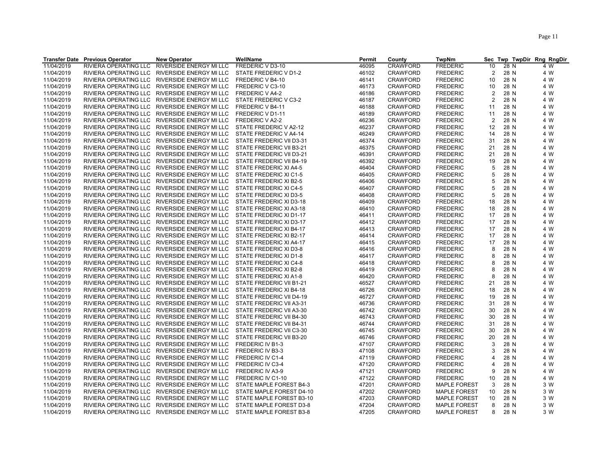|            | <b>Transfer Date Previous Operator</b> | <b>New Operator</b>                           | WellName                 | Permit | County          | <b>TwpNm</b>        | <b>Sec</b>     |      | Twp TwpDir Rng RngDir |
|------------|----------------------------------------|-----------------------------------------------|--------------------------|--------|-----------------|---------------------|----------------|------|-----------------------|
| 11/04/2019 | RIVIERA OPERATING LLC                  | RIVERSIDE ENERGY MI LLC                       | FREDERIC V D3-10         | 46095  | <b>CRAWFORD</b> | <b>FREDERIC</b>     | 10             | 28 N | 4 W                   |
| 11/04/2019 | RIVIERA OPERATING LLC                  | RIVERSIDE ENERGY MI LLC                       | STATE FREDERIC V D1-2    | 46102  | <b>CRAWFORD</b> | <b>FREDERIC</b>     | 2              | 28 N | 4 W                   |
| 11/04/2019 | RIVIERA OPERATING LLC                  | RIVERSIDE ENERGY MI LLC                       | FREDERIC V B4-10         | 46141  | <b>CRAWFORD</b> | <b>FREDERIC</b>     | 10             | 28 N | 4 W                   |
| 11/04/2019 |                                        | RIVIERA OPERATING LLC RIVERSIDE ENERGY MI LLC | FREDERIC V C3-10         | 46173  | <b>CRAWFORD</b> | <b>FREDERIC</b>     | 10             | 28 N | 4 W                   |
| 11/04/2019 |                                        | RIVIERA OPERATING LLC RIVERSIDE ENERGY MI LLC | FREDERIC V A4-2          | 46186  | <b>CRAWFORD</b> | <b>FREDERIC</b>     | 2              | 28 N | 4 W                   |
| 11/04/2019 |                                        | RIVIERA OPERATING LLC RIVERSIDE ENERGY MI LLC | STATE FREDERIC V C3-2    | 46187  | <b>CRAWFORD</b> | <b>FREDERIC</b>     | $\overline{2}$ | 28 N | 4 W                   |
| 11/04/2019 | RIVIERA OPERATING LLC                  | RIVERSIDE ENERGY MI LLC                       | FREDERIC V B4-11         | 46188  | <b>CRAWFORD</b> | <b>FREDERIC</b>     | 11             | 28 N | 4 W                   |
| 11/04/2019 |                                        | RIVIERA OPERATING LLC RIVERSIDE ENERGY MI LLC | FREDERIC V D1-11         | 46189  | <b>CRAWFORD</b> | <b>FREDERIC</b>     | 11             | 28 N | 4 W                   |
| 11/04/2019 |                                        | RIVIERA OPERATING LLC RIVERSIDE ENERGY MI LLC | FREDERIC V A2-2          | 46236  | <b>CRAWFORD</b> | <b>FREDERIC</b>     | 2              | 28 N | 4 W                   |
| 11/04/2019 |                                        | RIVIERA OPERATING LLC RIVERSIDE ENERGY MI LLC | STATE FREDERIC V A2-12   | 46237  | <b>CRAWFORD</b> | <b>FREDERIC</b>     | 12             | 28 N | 4 W                   |
| 11/04/2019 |                                        | RIVIERA OPERATING LLC RIVERSIDE ENERGY MI LLC | STATE FREDERIC V A4-14   | 46249  | <b>CRAWFORD</b> | <b>FREDERIC</b>     | 14             | 28 N | 4 W                   |
| 11/04/2019 | RIVIERA OPERATING LLC                  | RIVERSIDE ENERGY MI LLC                       | STATE FREDERIC VII D3-31 | 46374  | <b>CRAWFORD</b> | <b>FREDERIC</b>     | 31             | 28 N | 4 W                   |
| 11/04/2019 |                                        | RIVIERA OPERATING LLC RIVERSIDE ENERGY MI LLC | STATE FREDERIC VII B3-21 | 46375  | <b>CRAWFORD</b> | <b>FREDERIC</b>     | 21             | 28 N | 4 W                   |
| 11/04/2019 |                                        | RIVIERA OPERATING LLC RIVERSIDE ENERGY MI LLC | STATE FREDERIC VII D3-21 | 46391  | <b>CRAWFORD</b> | <b>FREDERIC</b>     | 21             | 28 N | 4 W                   |
| 11/04/2019 |                                        | RIVIERA OPERATING LLC RIVERSIDE ENERGY MI LLC | STATE FREDERIC VII B4-19 | 46392  | <b>CRAWFORD</b> | <b>FREDERIC</b>     | 19             | 28 N | 4 W                   |
| 11/04/2019 |                                        | RIVIERA OPERATING LLC RIVERSIDE ENERGY MI LLC | STATE FREDERIC XI A4-5   | 46404  | <b>CRAWFORD</b> | <b>FREDERIC</b>     | 5              | 28 N | 4 W                   |
|            |                                        |                                               |                          |        |                 |                     | 5              |      |                       |
| 11/04/2019 |                                        | RIVIERA OPERATING LLC RIVERSIDE ENERGY MI LLC | STATE FREDERIC XI C1-5   | 46405  | <b>CRAWFORD</b> | <b>FREDERIC</b>     |                | 28 N | 4 W                   |
| 11/04/2019 |                                        | RIVIERA OPERATING LLC RIVERSIDE ENERGY MI LLC | STATE FREDERIC XI B2-5   | 46406  | <b>CRAWFORD</b> | <b>FREDERIC</b>     | 5              | 28 N | 4 W                   |
| 11/04/2019 |                                        | RIVIERA OPERATING LLC RIVERSIDE ENERGY MI LLC | STATE FREDERIC XI C4-5   | 46407  | <b>CRAWFORD</b> | <b>FREDERIC</b>     | 5              | 28 N | 4 W                   |
| 11/04/2019 |                                        | RIVIERA OPERATING LLC RIVERSIDE ENERGY MI LLC | STATE FREDERIC XI D3-5   | 46408  | <b>CRAWFORD</b> | <b>FREDERIC</b>     | 5              | 28 N | 4 W                   |
| 11/04/2019 |                                        | RIVIERA OPERATING LLC RIVERSIDE ENERGY MI LLC | STATE FREDERIC XI D3-18  | 46409  | <b>CRAWFORD</b> | <b>FREDERIC</b>     | 18             | 28 N | 4 W                   |
| 11/04/2019 |                                        | RIVIERA OPERATING LLC RIVERSIDE ENERGY MI LLC | STATE FREDERIC XI A3-18  | 46410  | <b>CRAWFORD</b> | <b>FREDERIC</b>     | 18             | 28 N | 4 W                   |
| 11/04/2019 |                                        | RIVIERA OPERATING LLC RIVERSIDE ENERGY MI LLC | STATE FREDERIC XI D1-17  | 46411  | <b>CRAWFORD</b> | <b>FREDERIC</b>     | 17             | 28 N | 4 W                   |
| 11/04/2019 |                                        | RIVIERA OPERATING LLC RIVERSIDE ENERGY MI LLC | STATE FREDERIC XI D3-17  | 46412  | CRAWFORD        | <b>FREDERIC</b>     | 17             | 28 N | 4 W                   |
| 11/04/2019 |                                        | RIVIERA OPERATING LLC RIVERSIDE ENERGY MI LLC | STATE FREDERIC XI B4-17  | 46413  | <b>CRAWFORD</b> | <b>FREDERIC</b>     | 17             | 28 N | 4 W                   |
| 11/04/2019 |                                        | RIVIERA OPERATING LLC RIVERSIDE ENERGY MI LLC | STATE FREDERIC XI B2-17  | 46414  | <b>CRAWFORD</b> | <b>FREDERIC</b>     | 17             | 28 N | 4 W                   |
| 11/04/2019 |                                        | RIVIERA OPERATING LLC RIVERSIDE ENERGY MI LLC | STATE FREDERIC XI A4-17  | 46415  | <b>CRAWFORD</b> | <b>FREDERIC</b>     | 17             | 28 N | 4 W                   |
| 11/04/2019 |                                        | RIVIERA OPERATING LLC RIVERSIDE ENERGY MI LLC | STATE FREDERIC XI D3-8   | 46416  | <b>CRAWFORD</b> | <b>FREDERIC</b>     | 8              | 28 N | 4 W                   |
| 11/04/2019 | RIVIERA OPERATING LLC                  | RIVERSIDE ENERGY MI LLC                       | STATE FREDERIC XI D1-8   | 46417  | <b>CRAWFORD</b> | <b>FREDERIC</b>     | 8              | 28 N | 4 W                   |
| 11/04/2019 |                                        | RIVIERA OPERATING LLC RIVERSIDE ENERGY MI LLC | STATE FREDERIC XI C4-8   | 46418  | <b>CRAWFORD</b> | <b>FREDERIC</b>     | 8              | 28 N | 4 W                   |
| 11/04/2019 |                                        | RIVIERA OPERATING LLC RIVERSIDE ENERGY MI LLC | STATE FREDERIC XI B2-8   | 46419  | <b>CRAWFORD</b> | <b>FREDERIC</b>     | 8              | 28 N | 4 W                   |
| 11/04/2019 |                                        | RIVIERA OPERATING LLC RIVERSIDE ENERGY MI LLC | STATE FREDERIC XI A1-8   | 46420  | <b>CRAWFORD</b> | <b>FREDERIC</b>     | 8              | 28 N | 4 W                   |
| 11/04/2019 |                                        | RIVIERA OPERATING LLC RIVERSIDE ENERGY MI LLC | STATE FREDERIC VII B1-21 | 46527  | <b>CRAWFORD</b> | <b>FREDERIC</b>     | 21             | 28 N | 4 W                   |
| 11/04/2019 | RIVIERA OPERATING LLC                  | RIVERSIDE ENERGY MI LLC                       | STATE FREDERIC XI B4-18  | 46726  | <b>CRAWFORD</b> | <b>FREDERIC</b>     | 18             | 28 N | 4 W                   |
| 11/04/2019 |                                        | RIVIERA OPERATING LLC RIVERSIDE ENERGY MI LLC | STATE FREDERIC VII D4-19 | 46727  | <b>CRAWFORD</b> | <b>FREDERIC</b>     | 19             | 28 N | 4 W                   |
| 11/04/2019 |                                        | RIVIERA OPERATING LLC RIVERSIDE ENERGY MI LLC | STATE FREDERIC VII A3-31 | 46736  | <b>CRAWFORD</b> | <b>FREDERIC</b>     | 31             | 28 N | 4 W                   |
| 11/04/2019 |                                        | RIVIERA OPERATING LLC RIVERSIDE ENERGY MI LLC | STATE FREDERIC VII A3-30 | 46742  | <b>CRAWFORD</b> | <b>FREDERIC</b>     | 30             | 28 N | 4 W                   |
| 11/04/2019 |                                        | RIVIERA OPERATING LLC RIVERSIDE ENERGY MI LLC | STATE FREDERIC VII B4-30 | 46743  | <b>CRAWFORD</b> | <b>FREDERIC</b>     | 30             | 28 N | 4 W                   |
| 11/04/2019 | <b>RIVIERA OPERATING LLC</b>           | RIVERSIDE ENERGY MI LLC                       | STATE FREDERIC VII B4-31 | 46744  | <b>CRAWFORD</b> | <b>FREDERIC</b>     | 31             | 28 N | 4 W                   |
| 11/04/2019 |                                        | RIVIERA OPERATING LLC RIVERSIDE ENERGY MI LLC | STATE FREDERIC VII C3-30 | 46745  | <b>CRAWFORD</b> | <b>FREDERIC</b>     | 30             | 28 N | 4 W                   |
| 11/04/2019 |                                        | RIVIERA OPERATING LLC RIVERSIDE ENERGY MI LLC | STATE FREDERIC VII B3-20 | 46746  | <b>CRAWFORD</b> | <b>FREDERIC</b>     | 20             | 28 N | 4 W                   |
| 11/04/2019 |                                        | RIVIERA OPERATING LLC RIVERSIDE ENERGY MI LLC | FREDERIC IV B1-3         | 47107  | <b>CRAWFORD</b> | <b>FREDERIC</b>     | 3              | 28 N | 4 W                   |
| 11/04/2019 |                                        | RIVIERA OPERATING LLC RIVERSIDE ENERGY MI LLC | FREDERIC IV B3-3         | 47108  | CRAWFORD        | <b>FREDERIC</b>     | 3              | 28 N | 4 W                   |
| 11/04/2019 |                                        | RIVIERA OPERATING LLC RIVERSIDE ENERGY MI LLC | FREDERIC IV C1-4         | 47119  | <b>CRAWFORD</b> | <b>FREDERIC</b>     | $\Delta$       | 28 N | 4 W                   |
| 11/04/2019 |                                        | RIVIERA OPERATING LLC RIVERSIDE ENERGY MI LLC | FREDERIC IV C3-4         | 47120  | <b>CRAWFORD</b> | <b>FREDERIC</b>     | 4              | 28 N | 4 W                   |
| 11/04/2019 |                                        | RIVIERA OPERATING LLC RIVERSIDE ENERGY MI LLC | <b>FREDERIC IV A3-9</b>  | 47121  | <b>CRAWFORD</b> | <b>FREDERIC</b>     | g              | 28 N | 4 W                   |
| 11/04/2019 |                                        | RIVIERA OPERATING LLC RIVERSIDE ENERGY MI LLC | FREDERIC IV C1-10        | 47122  | <b>CRAWFORD</b> | <b>FREDERIC</b>     | 10             | 28 N | 4 W                   |
| 11/04/2019 |                                        | RIVIERA OPERATING LLC RIVERSIDE ENERGY MI LLC | STATE MAPLE FOREST B4-3  | 47201  | <b>CRAWFORD</b> | <b>MAPLE FOREST</b> | 3              | 28 N | 3 W                   |
| 11/04/2019 |                                        | RIVIERA OPERATING LLC RIVERSIDE ENERGY MI LLC | STATE MAPLE FOREST D4-10 | 47202  | <b>CRAWFORD</b> | <b>MAPLE FOREST</b> | 10             | 28 N | 3 W                   |
| 11/04/2019 |                                        | RIVIERA OPERATING LLC RIVERSIDE ENERGY MI LLC | STATE MAPLE FOREST B3-10 | 47203  | <b>CRAWFORD</b> | <b>MAPLE FOREST</b> | 10             | 28 N | 3 W                   |
| 11/04/2019 |                                        | RIVIERA OPERATING LLC RIVERSIDE ENERGY MI LLC | STATE MAPLE FOREST D3-8  | 47204  | <b>CRAWFORD</b> | <b>MAPLE FOREST</b> | 8              | 28 N | 3 W                   |
| 11/04/2019 |                                        | RIVIERA OPERATING LLC RIVERSIDE ENERGY MI LLC | STATE MAPLE FOREST B3-8  | 47205  | <b>CRAWFORD</b> | <b>MAPLE FOREST</b> | 8              | 28 N | 3 W                   |
|            |                                        |                                               |                          |        |                 |                     |                |      |                       |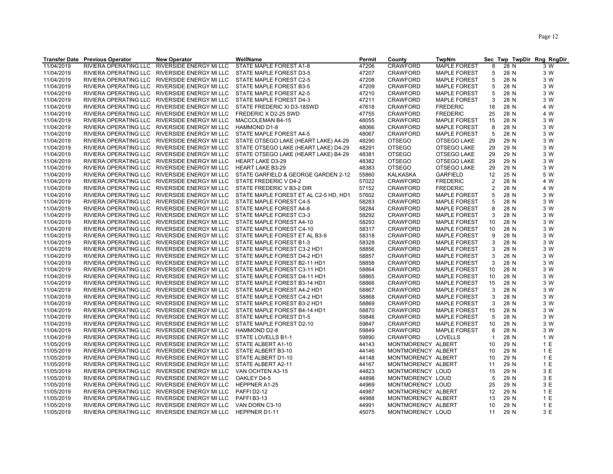|            | <b>Transfer Date Previous Operator</b> | <b>New Operator</b>                           | WellName                                                        | Permit | County             | <b>TwpNm</b>               |                |      | Sec Twp TwpDir Rng RngDir |
|------------|----------------------------------------|-----------------------------------------------|-----------------------------------------------------------------|--------|--------------------|----------------------------|----------------|------|---------------------------|
| 11/04/2019 | RIVIERA OPERATING LLC                  | RIVERSIDE ENERGY MI LLC                       | STATE MAPLE FOREST A1-8                                         | 47206  | <b>CRAWFORD</b>    | <b>MAPLE FOREST</b>        | 8              | 28 N | 3 W                       |
| 11/04/2019 |                                        | RIVIERA OPERATING LLC RIVERSIDE ENERGY MI LLC | STATE MAPLE FOREST D3-5                                         | 47207  | <b>CRAWFORD</b>    | <b>MAPLE FOREST</b>        | 5              | 28 N | 3 W                       |
| 11/04/2019 | RIVIERA OPERATING LLC                  | RIVERSIDE ENERGY MI LLC                       | STATE MAPLE FOREST C2-5                                         | 47208  | <b>CRAWFORD</b>    | <b>MAPLE FOREST</b>        | 5              | 28 N | 3 W                       |
| 11/04/2019 |                                        | RIVIERA OPERATING LLC RIVERSIDE ENERGY MI LLC | STATE MAPLE FOREST B3-5                                         | 47209  | <b>CRAWFORD</b>    | <b>MAPLE FOREST</b>        | 5              | 28 N | 3 W                       |
| 11/04/2019 |                                        | RIVIERA OPERATING LLC RIVERSIDE ENERGY MI LLC | STATE MAPLE FOREST A2-5                                         | 47210  | <b>CRAWFORD</b>    | <b>MAPLE FOREST</b>        | 5              | 28 N | 3 W                       |
| 11/04/2019 |                                        | RIVIERA OPERATING LLC RIVERSIDE ENERGY MI LLC | STATE MAPLE FOREST D4-3                                         | 47211  | <b>CRAWFORD</b>    | <b>MAPLE FOREST</b>        | 3              | 28 N | 3 W                       |
| 11/04/2019 |                                        | RIVIERA OPERATING LLC RIVERSIDE ENERGY MI LLC | STATE FREDERIC XI D3-18SWD                                      | 47618  | <b>CRAWFORD</b>    | <b>FREDERIC</b>            | 18             | 28 N | 4 W                       |
| 11/04/2019 |                                        | RIVIERA OPERATING LLC RIVERSIDE ENERGY MI LLC | FREDERIC X D2-25 SWD                                            | 47755  | <b>CRAWFORD</b>    | <b>FREDERIC</b>            | 25             | 28 N | 4 W                       |
| 11/04/2019 |                                        | RIVIERA OPERATING LLC RIVERSIDE ENERGY MI LLC | <b>MACCOLEMAN B4-15</b>                                         | 48055  | <b>CRAWFORD</b>    | <b>MAPLE FOREST</b>        | 15             | 28 N | 3 W                       |
| 11/04/2019 |                                        | RIVIERA OPERATING LLC RIVERSIDE ENERGY MI LLC | HAMMOND D1-8                                                    | 48066  | <b>CRAWFORD</b>    | <b>MAPLE FOREST</b>        | 8              | 28 N | 3 W                       |
| 11/04/2019 |                                        | RIVIERA OPERATING LLC RIVERSIDE ENERGY MI LLC | STATE MAPLE FOREST A4-5                                         | 48067  | <b>CRAWFORD</b>    | <b>MAPLE FOREST</b>        | 5              | 28 N | 3 W                       |
| 11/04/2019 |                                        | RIVIERA OPERATING LLC RIVERSIDE ENERGY MI LLC | STATE OTSEGO LAKE (HEART LAKE) A4-29                            | 48290  | <b>OTSEGO</b>      | OTSEGO LAKE                | 29             | 29 N | 3 W                       |
| 11/04/2019 |                                        | RIVIERA OPERATING LLC RIVERSIDE ENERGY MI LLC | STATE OTSEGO LAKE (HEART LAKE) D4-29                            | 48291  | <b>OTSEGO</b>      | OTSEGO LAKE                | 29             | 29 N | 3 W                       |
| 11/04/2019 |                                        | RIVIERA OPERATING LLC RIVERSIDE ENERGY MI LLC |                                                                 | 48381  | <b>OTSEGO</b>      |                            | 29             | 29 N | 3 W                       |
| 11/04/2019 |                                        | RIVIERA OPERATING LLC RIVERSIDE ENERGY MI LLC | STATE OTSEGO LAKE (HEART LAKE) B4-29<br><b>HEART LAKE D3-29</b> | 48382  | <b>OTSEGO</b>      | OTSEGO LAKE<br>OTSEGO LAKE | 29             | 29 N | 3 W                       |
|            |                                        |                                               |                                                                 |        | <b>OTSEGO</b>      |                            | 29             | 29 N | 3 W                       |
| 11/04/2019 |                                        | RIVIERA OPERATING LLC RIVERSIDE ENERGY MI LLC | <b>HEART LAKE B3-29</b>                                         | 48383  |                    | OTSEGO LAKE                |                |      |                           |
| 11/04/2019 |                                        | RIVIERA OPERATING LLC RIVERSIDE ENERGY MI LLC | STATE GARFIELD & GEORGE GARDEN 2-12                             | 55860  | KALKASKA           | <b>GARFIELD</b>            | 12             | 25 N | 5 W                       |
| 11/04/2019 |                                        | RIVIERA OPERATING LLC RIVERSIDE ENERGY MI LLC | STATE FREDERIC V D4-2                                           | 57022  | <b>CRAWFORD</b>    | <b>FREDERIC</b>            | 2              | 28 N | 4 W                       |
| 11/04/2019 |                                        | RIVIERA OPERATING LLC RIVERSIDE ENERGY MI LLC | STATE FREDERIC V B3-2 DIR                                       | 57152  | <b>CRAWFORD</b>    | <b>FREDERIC</b>            | $\overline{2}$ | 28 N | 4 W                       |
| 11/04/2019 |                                        | RIVIERA OPERATING LLC RIVERSIDE ENERGY MI LLC | STATE MAPLE FOREST ET AL C2-5 HD, HD1                           | 57602  | <b>CRAWFORD</b>    | <b>MAPLE FOREST</b>        | 5              | 28 N | 3 W                       |
| 11/04/2019 |                                        | RIVIERA OPERATING LLC RIVERSIDE ENERGY MI LLC | STATE MAPLE FOREST C4-5                                         | 58283  | <b>CRAWFORD</b>    | <b>MAPLE FOREST</b>        | 5              | 28 N | 3 W                       |
| 11/04/2019 |                                        | RIVIERA OPERATING LLC RIVERSIDE ENERGY MI LLC | STATE MAPLE FOREST A4-8                                         | 58284  | <b>CRAWFORD</b>    | <b>MAPLE FOREST</b>        | 8              | 28 N | 3 W                       |
| 11/04/2019 |                                        | RIVIERA OPERATING LLC RIVERSIDE ENERGY MI LLC | STATE MAPLE FOREST C3-3                                         | 58292  | <b>CRAWFORD</b>    | <b>MAPLE FOREST</b>        | 3              | 28 N | 3 W                       |
| 11/04/2019 |                                        | RIVIERA OPERATING LLC RIVERSIDE ENERGY MI LLC | STATE MAPLE FOREST A4-10                                        | 58293  | CRAWFORD           | <b>MAPLE FOREST</b>        | 10             | 28 N | 3 W                       |
| 11/04/2019 |                                        | RIVIERA OPERATING LLC RIVERSIDE ENERGY MI LLC | STATE MAPLE FOREST C4-10                                        | 58317  | <b>CRAWFORD</b>    | <b>MAPLE FOREST</b>        | 10             | 28 N | 3 W                       |
| 11/04/2019 |                                        | RIVIERA OPERATING LLC RIVERSIDE ENERGY MI LLC | STATE MAPLE FOREST ET AL B3-9                                   | 58318  | <b>CRAWFORD</b>    | <b>MAPLE FOREST</b>        | 9              | 28 N | 3 W                       |
| 11/04/2019 |                                        | RIVIERA OPERATING LLC RIVERSIDE ENERGY MI LLC | STATE MAPLE FOREST B1-3                                         | 58328  | <b>CRAWFORD</b>    | <b>MAPLE FOREST</b>        | 3              | 28 N | 3 W                       |
| 11/04/2019 |                                        | RIVIERA OPERATING LLC RIVERSIDE ENERGY MI LLC | STATE MAPLE FOREST C3-2 HD1                                     | 58856  | <b>CRAWFORD</b>    | <b>MAPLE FOREST</b>        | 3              | 28 N | 3 W                       |
| 11/04/2019 | RIVIERA OPERATING LLC                  | RIVERSIDE ENERGY MI LLC                       | STATE MAPLE FOREST D4-2 HD1                                     | 58857  | <b>CRAWFORD</b>    | <b>MAPLE FOREST</b>        | 3              | 28 N | 3 W                       |
| 11/04/2019 | RIVIERA OPERATING LLC                  | RIVERSIDE ENERGY MI LLC                       | STATE MAPLE FOREST B2-11 HD1                                    | 58858  | <b>CRAWFORD</b>    | <b>MAPLE FOREST</b>        | 3              | 28 N | 3 W                       |
| 11/04/2019 |                                        | RIVIERA OPERATING LLC RIVERSIDE ENERGY MI LLC | STATE MAPLE FOREST C3-11 HD1                                    | 58864  | <b>CRAWFORD</b>    | <b>MAPLE FOREST</b>        | 10             | 28 N | 3 W                       |
| 11/04/2019 |                                        | RIVIERA OPERATING LLC RIVERSIDE ENERGY MI LLC | STATE MAPLE FOREST D4-11 HD1                                    | 58865  | <b>CRAWFORD</b>    | <b>MAPLE FOREST</b>        | 10             | 28 N | 3 W                       |
| 11/04/2019 |                                        | RIVIERA OPERATING LLC RIVERSIDE ENERGY MI LLC | STATE MAPLE FOREST B3-14 HD1                                    | 58866  | <b>CRAWFORD</b>    | <b>MAPLE FOREST</b>        | 15             | 28 N | 3 W                       |
| 11/04/2019 | RIVIERA OPERATING LLC                  | RIVERSIDE ENERGY MI LLC                       | STATE MAPLE FOREST A4-2 HD1                                     | 58867  | <b>CRAWFORD</b>    | <b>MAPLE FOREST</b>        | 3              | 28 N | 3 W                       |
| 11/04/2019 |                                        | RIVIERA OPERATING LLC RIVERSIDE ENERGY MI LLC | STATE MAPLE FOREST C4-2 HD1                                     | 58868  | CRAWFORD           | <b>MAPLE FOREST</b>        | 3              | 28 N | 3 W                       |
| 11/04/2019 |                                        | RIVIERA OPERATING LLC RIVERSIDE ENERGY MI LLC | STATE MAPLE FOREST B3-2 HD1                                     | 58869  | <b>CRAWFORD</b>    | <b>MAPLE FOREST</b>        | 3              | 28 N | 3 W                       |
| 11/04/2019 |                                        | RIVIERA OPERATING LLC RIVERSIDE ENERGY MI LLC | STATE MAPLE FOREST B4-14 HD1                                    | 58870  | <b>CRAWFORD</b>    | <b>MAPLE FOREST</b>        | 15             | 28 N | 3 W                       |
| 11/04/2019 |                                        | RIVIERA OPERATING LLC RIVERSIDE ENERGY MI LLC | STATE MAPLE FOREST D1-5                                         | 59846  | <b>CRAWFORD</b>    | <b>MAPLE FOREST</b>        | 5              | 28 N | 3 W                       |
| 11/04/2019 |                                        | RIVIERA OPERATING LLC RIVERSIDE ENERGY MI LLC | STATE MAPLE FOREST D2-10                                        | 59847  | <b>CRAWFORD</b>    | <b>MAPLE FOREST</b>        | 10             | 28 N | 3 W                       |
| 11/04/2019 | RIVIERA OPERATING LLC                  | RIVERSIDE ENERGY MI LLC                       | HAMMOND D2-8                                                    | 59849  | <b>CRAWFORD</b>    | <b>MAPLE FOREST</b>        | 8              | 28 N | 3 W                       |
| 11/04/2019 | RIVIERA OPERATING LLC                  | RIVERSIDE ENERGY MI LLC                       | STATE LOVELLS B1-1                                              | 59890  | <b>CRAWFORD</b>    | <b>LOVELLS</b>             | $\mathbf{1}$   | 28 N | 1 W                       |
| 11/05/2019 | RIVIERA OPERATING LLC                  | RIVERSIDE ENERGY MI LLC                       | STATE ALBERT A1-10                                              | 44143  | MONTMORENCY ALBERT |                            | 10             | 29 N | 1 E                       |
| 11/05/2019 |                                        | RIVIERA OPERATING LLC RIVERSIDE ENERGY MI LLC | STATE ALBERT B3-10                                              | 44146  | MONTMORENCY ALBERT |                            | 10             | 29 N | 1 E                       |
| 11/05/2019 |                                        | RIVIERA OPERATING LLC RIVERSIDE ENERGY MI LLC | STATE ALBERT D1-10                                              | 44148  | MONTMORENCY ALBERT |                            | 10             | 29 N | 1 E                       |
| 11/05/2019 | RIVIERA OPERATING LLC                  | RIVERSIDE ENERGY MI LLC                       | STATE ALBERT A2-11                                              | 44167  | MONTMORENCY ALBERT |                            | 11             | 29 N | 1 E                       |
| 11/05/2019 | RIVIERA OPERATING LLC                  | RIVERSIDE ENERGY MI LLC                       | VAN OCHTEN A3-15                                                | 44823  | MONTMORENCY LOUD   |                            | 15             | 29 N | 3 E                       |
| 11/05/2019 | RIVIERA OPERATING LLC                  | RIVERSIDE ENERGY MI LLC                       | OAKLEY D4-5                                                     | 44898  | MONTMORENCY LOUD   |                            | 5              | 29 N | 3 E                       |
| 11/05/2019 | RIVIERA OPERATING LLC                  | RIVERSIDE ENERGY MI LLC                       | <b>HEPPNER A1-25</b>                                            | 44969  | MONTMORENCY LOUD   |                            | 25             | 29 N | 3E                        |
| 11/05/2019 |                                        | RIVIERA OPERATING LLC RIVERSIDE ENERGY MI LLC | PAFFID2-12                                                      | 44987  | MONTMORENCY ALBERT |                            | 12             | 29 N | 1 E                       |
| 11/05/2019 |                                        | RIVIERA OPERATING LLC RIVERSIDE ENERGY MI LLC | PAFFIB3-13                                                      | 44988  | MONTMORENCY ALBERT |                            | 13             | 29 N | 1 E                       |
| 11/05/2019 |                                        | RIVIERA OPERATING LLC RIVERSIDE ENERGY MI LLC | VAN DORN C3-10                                                  | 44991  | MONTMORENCY ALBERT |                            | 10             | 29 N | 1 E                       |
| 11/05/2019 |                                        | RIVIERA OPERATING LLC RIVERSIDE ENERGY MI LLC | HEPPNER D1-11                                                   | 45075  | MONTMORENCY LOUD   |                            | 11             | 29 N | 3 E                       |
|            |                                        |                                               |                                                                 |        |                    |                            |                |      |                           |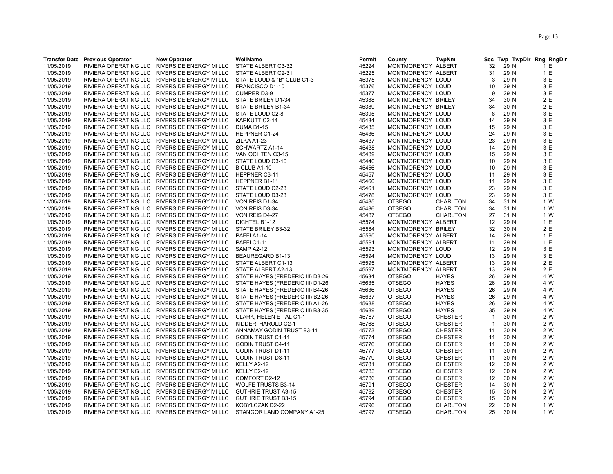|            | <b>Transfer Date Previous Operator</b> | <b>New Operator</b>                           | WellName                         | Permit | County             | <b>TwpNm</b>    |                |      | Sec Twp TwpDir Rng RngDir |
|------------|----------------------------------------|-----------------------------------------------|----------------------------------|--------|--------------------|-----------------|----------------|------|---------------------------|
| 11/05/2019 | RIVIERA OPERATING LLC                  | RIVERSIDE ENERGY MI LLC                       | STATE ALBERT C3-32               | 45224  | MONTMORENCY ALBERT |                 | 32             | 29 N | 1 E                       |
| 11/05/2019 |                                        | RIVIERA OPERATING LLC RIVERSIDE ENERGY MI LLC | STATE ALBERT C2-31               | 45225  | MONTMORENCY ALBERT |                 | 31             | 29 N | 1 E                       |
| 11/05/2019 |                                        | RIVIERA OPERATING LLC RIVERSIDE ENERGY MI LLC | STATE LOUD & "B" CLUB C1-3       | 45375  | MONTMORENCY LOUD   |                 | 3              | 29 N | 3 E                       |
| 11/05/2019 |                                        | RIVIERA OPERATING LLC RIVERSIDE ENERGY MI LLC | FRANCISCO D1-10                  | 45376  | MONTMORENCY LOUD   |                 | 10             | 29 N | 3 E                       |
| 11/05/2019 |                                        | RIVIERA OPERATING LLC RIVERSIDE ENERGY MI LLC | <b>CUMPER D3-9</b>               | 45377  | MONTMORENCY LOUD   |                 | 9              | 29 N | 3 E                       |
| 11/05/2019 |                                        | RIVIERA OPERATING LLC RIVERSIDE ENERGY MI LLC | STATE BRILEY D1-34               | 45388  | MONTMORENCY BRILEY |                 | 34             | 30 N | 2 E                       |
| 11/05/2019 |                                        | RIVIERA OPERATING LLC RIVERSIDE ENERGY MI LLC | STATE BRILEY B1-34               | 45389  | MONTMORENCY BRILEY |                 | 34             | 30 N | 2E                        |
| 11/05/2019 |                                        | RIVIERA OPERATING LLC RIVERSIDE ENERGY MI LLC | STATE LOUD C2-8                  | 45395  | MONTMORENCY LOUD   |                 | 8              | 29 N | 3 E                       |
| 11/05/2019 |                                        | RIVIERA OPERATING LLC RIVERSIDE ENERGY MI LLC | KARKUTT C2-14                    | 45434  | MONTMORENCY LOUD   |                 | 14             | 29 N | 3 E                       |
| 11/05/2019 |                                        | RIVIERA OPERATING LLC RIVERSIDE ENERGY MI LLC | <b>DUMA B1-15</b>                | 45435  | MONTMORENCY LOUD   |                 | 15             | 29 N | 3 E                       |
| 11/05/2019 |                                        | RIVIERA OPERATING LLC RIVERSIDE ENERGY MI LLC | HEPPNER C1-24                    | 45436  | MONTMORENCY LOUD   |                 | 24             | 29 N | 3 E                       |
| 11/05/2019 |                                        | RIVIERA OPERATING LLC RIVERSIDE ENERGY MI LLC | ZILKA A1-23                      | 45437  | MONTMORENCY LOUD   |                 | 23             | 29 N | 3 E                       |
| 11/05/2019 |                                        | RIVIERA OPERATING LLC RIVERSIDE ENERGY MI LLC | SCHWARTZ A1-14                   | 45438  | MONTMORENCY LOUD   |                 | 14             | 29 N | 3 E                       |
|            |                                        |                                               |                                  |        |                    |                 |                |      |                           |
| 11/05/2019 |                                        | RIVIERA OPERATING LLC RIVERSIDE ENERGY MI LLC | VAN OCHTEN C3-15                 | 45439  | MONTMORENCY LOUD   |                 | 15             | 29 N | 3 E                       |
| 11/05/2019 |                                        | RIVIERA OPERATING LLC RIVERSIDE ENERGY MI LLC | STATE LOUD C3-10                 | 45440  | MONTMORENCY LOUD   |                 | 10             | 29 N | 3 E                       |
| 11/05/2019 |                                        | RIVIERA OPERATING LLC RIVERSIDE ENERGY MI LLC | B CLUB A1-10                     | 45456  | MONTMORENCY LOUD   |                 | 10             | 29 N | 3 E                       |
| 11/05/2019 |                                        | RIVIERA OPERATING LLC RIVERSIDE ENERGY MI LLC | HEPPNER C3-11                    | 45457  | MONTMORENCY LOUD   |                 | 11             | 29 N | 3 E                       |
| 11/05/2019 |                                        | RIVIERA OPERATING LLC RIVERSIDE ENERGY MI LLC | HEPPNER B1-11                    | 45460  | MONTMORENCY LOUD   |                 | 11             | 29 N | 3 E                       |
| 11/05/2019 |                                        | RIVIERA OPERATING LLC RIVERSIDE ENERGY MI LLC | STATE LOUD C2-23                 | 45461  | MONTMORENCY LOUD   |                 | 23             | 29 N | 3 E                       |
| 11/05/2019 |                                        | RIVIERA OPERATING LLC RIVERSIDE ENERGY MI LLC | STATE LOUD D3-23                 | 45478  | MONTMORENCY LOUD   |                 | 23             | 29 N | 3 E                       |
| 11/05/2019 |                                        | RIVIERA OPERATING LLC RIVERSIDE ENERGY MI LLC | VON REIS D1-34                   | 45485  | <b>OTSEGO</b>      | <b>CHARLTON</b> | 34             | 31 N | 1 W                       |
| 11/05/2019 |                                        | RIVIERA OPERATING LLC RIVERSIDE ENERGY MI LLC | VON REIS D3-34                   | 45486  | <b>OTSEGO</b>      | <b>CHARLTON</b> | 34             | 31 N | 1 W                       |
| 11/05/2019 |                                        | RIVIERA OPERATING LLC RIVERSIDE ENERGY MI LLC | VON REIS D4-27                   | 45487  | <b>OTSEGO</b>      | CHARLTON        | 27             | 31 N | 1 W                       |
| 11/05/2019 |                                        | RIVIERA OPERATING LLC RIVERSIDE ENERGY MI LLC | DICHTEL B1-12                    | 45574  | MONTMORENCY ALBERT |                 | 12             | 29 N | 1 E                       |
| 11/05/2019 |                                        | RIVIERA OPERATING LLC RIVERSIDE ENERGY MI LLC | STATE BRILEY B3-32               | 45584  | MONTMORENCY BRILEY |                 | 32             | 30 N | 2E                        |
| 11/05/2019 |                                        | RIVIERA OPERATING LLC RIVERSIDE ENERGY MI LLC | PAFFIA1-14                       | 45590  | MONTMORENCY ALBERT |                 | 14             | 29 N | 1 E                       |
| 11/05/2019 |                                        | RIVIERA OPERATING LLC RIVERSIDE ENERGY MI LLC | PAFFIC1-11                       | 45591  | MONTMORENCY ALBERT |                 | 11             | 29 N | 1 E                       |
| 11/05/2019 |                                        | RIVIERA OPERATING LLC RIVERSIDE ENERGY MI LLC | <b>SAMP A2-12</b>                | 45593  | MONTMORENCY LOUD   |                 | 12             | 29 N | 3 E                       |
| 11/05/2019 |                                        | RIVIERA OPERATING LLC RIVERSIDE ENERGY MI LLC | BEAUREGARD B1-13                 | 45594  | MONTMORENCY LOUD   |                 | 13             | 29 N | 3 E                       |
| 11/05/2019 |                                        | RIVIERA OPERATING LLC RIVERSIDE ENERGY MI LLC | STATE ALBERT C1-13               | 45595  | MONTMORENCY ALBERT |                 | 13             | 29 N | 2 E                       |
| 11/05/2019 |                                        | RIVIERA OPERATING LLC RIVERSIDE ENERGY MI LLC | STATE ALBERT A2-13               | 45597  | MONTMORENCY ALBERT |                 | 13             | 29 N | 2 E                       |
| 11/05/2019 |                                        | RIVIERA OPERATING LLC RIVERSIDE ENERGY MI LLC | STATE HAYES (FREDERIC III) D3-26 | 45634  | <b>OTSEGO</b>      | <b>HAYES</b>    | 26             | 29 N | 4 W                       |
| 11/05/2019 |                                        | RIVIERA OPERATING LLC RIVERSIDE ENERGY MI LLC | STATE HAYES (FREDERIC III) D1-26 | 45635  | <b>OTSEGO</b>      | <b>HAYES</b>    | 26             | 29 N | 4 W                       |
| 11/05/2019 |                                        | RIVIERA OPERATING LLC RIVERSIDE ENERGY MI LLC | STATE HAYES (FREDERIC III) B4-26 | 45636  | <b>OTSEGO</b>      | <b>HAYES</b>    | 26             | 29 N | 4 W                       |
| 11/05/2019 |                                        | RIVIERA OPERATING LLC RIVERSIDE ENERGY MI LLC | STATE HAYES (FREDERIC III) B2-26 | 45637  | <b>OTSEGO</b>      | <b>HAYES</b>    | 26             | 29 N | 4 W                       |
| 11/05/2019 |                                        | RIVIERA OPERATING LLC RIVERSIDE ENERGY MI LLC | STATE HAYES (FREDERIC III) A1-26 | 45638  | <b>OTSEGO</b>      | <b>HAYES</b>    | 26             | 29 N | 4 W                       |
| 11/05/2019 |                                        | RIVIERA OPERATING LLC RIVERSIDE ENERGY MI LLC | STATE HAYES (FREDERIC III) B3-35 | 45639  | <b>OTSEGO</b>      | <b>HAYES</b>    | 35             | 29 N | 4 W                       |
| 11/05/2019 |                                        | RIVIERA OPERATING LLC RIVERSIDE ENERGY MI LLC | CLARK, HELEN ET AL C1-1          | 45767  | <b>OTSEGO</b>      | <b>CHESTER</b>  | $\overline{1}$ | 30 N | 2 W                       |
| 11/05/2019 |                                        | RIVIERA OPERATING LLC RIVERSIDE ENERGY MI LLC | KIDDER, HAROLD C2-1              | 45768  | <b>OTSEGO</b>      | <b>CHESTER</b>  | $\overline{1}$ | 30 N | 2 W                       |
| 11/05/2019 |                                        | RIVIERA OPERATING LLC RIVERSIDE ENERGY MI LLC | ANNAMAY GODIN TRUST B3-11        | 45773  | <b>OTSEGO</b>      | <b>CHESTER</b>  | 11             | 30 N | 2 W                       |
| 11/05/2019 |                                        | RIVIERA OPERATING LLC RIVERSIDE ENERGY MI LLC | <b>GODIN TRUST C1-11</b>         | 45774  | <b>OTSEGO</b>      | <b>CHESTER</b>  | 11             | 30 N | 2 W                       |
| 11/05/2019 |                                        | RIVIERA OPERATING LLC RIVERSIDE ENERGY MI LLC | <b>GODIN TRUST C4-11</b>         | 45776  | <b>OTSEGO</b>      | <b>CHESTER</b>  | 11             | 30 N | 2 W                       |
| 11/05/2019 |                                        | RIVIERA OPERATING LLC RIVERSIDE ENERGY MI LLC | <b>GODIN TRUST D1-11</b>         | 45777  | <b>OTSEGO</b>      |                 | 11             | 30 N | 2 W                       |
|            |                                        |                                               |                                  |        |                    | <b>CHESTER</b>  |                |      |                           |
| 11/05/2019 |                                        | RIVIERA OPERATING LLC RIVERSIDE ENERGY MI LLC | <b>GODIN TRUST D3-11</b>         | 45779  | <b>OTSEGO</b>      | <b>CHESTER</b>  | 11             | 30 N | 2 W                       |
| 11/05/2019 |                                        | RIVIERA OPERATING LLC RIVERSIDE ENERGY MI LLC | KELLY A2-12                      | 45781  | <b>OTSEGO</b>      | <b>CHESTER</b>  | 12             | 30 N | 2 W                       |
| 11/05/2019 |                                        | RIVIERA OPERATING LLC RIVERSIDE ENERGY MI LLC | KELLY B2-12                      | 45783  | <b>OTSEGO</b>      | <b>CHESTER</b>  | 12             | 30 N | 2 W                       |
| 11/05/2019 |                                        | RIVIERA OPERATING LLC RIVERSIDE ENERGY MI LLC | COMFORT D2-12                    | 45786  | <b>OTSEGO</b>      | <b>CHESTER</b>  | 12             | 30 N | 2 W                       |
| 11/05/2019 |                                        | RIVIERA OPERATING LLC RIVERSIDE ENERGY MI LLC | <b>WOLFE TRUSTS B3-14</b>        | 45791  | <b>OTSEGO</b>      | <b>CHESTER</b>  | 14             | 30 N | 2 W                       |
| 11/05/2019 |                                        | RIVIERA OPERATING LLC RIVERSIDE ENERGY MI LLC | <b>GUTHRIE TRUST A3-15</b>       | 45792  | <b>OTSEGO</b>      | <b>CHESTER</b>  | 15             | 30 N | 2 W                       |
| 11/05/2019 |                                        | RIVIERA OPERATING LLC RIVERSIDE ENERGY MI LLC | <b>GUTHRIE TRUST B3-15</b>       | 45794  | <b>OTSEGO</b>      | <b>CHESTER</b>  | 15             | 30 N | 2 W                       |
| 11/05/2019 |                                        | RIVIERA OPERATING LLC RIVERSIDE ENERGY MI LLC | KOBYLCZAK D2-22                  | 45796  | <b>OTSEGO</b>      | CHARLTON        | 22             | 30 N | 1 W                       |
| 11/05/2019 |                                        | RIVIERA OPERATING LLC RIVERSIDE ENERGY MI LLC | STANGOR LAND COMPANY A1-25       | 45797  | <b>OTSEGO</b>      | <b>CHARLTON</b> | 25             | 30 N | 1 W                       |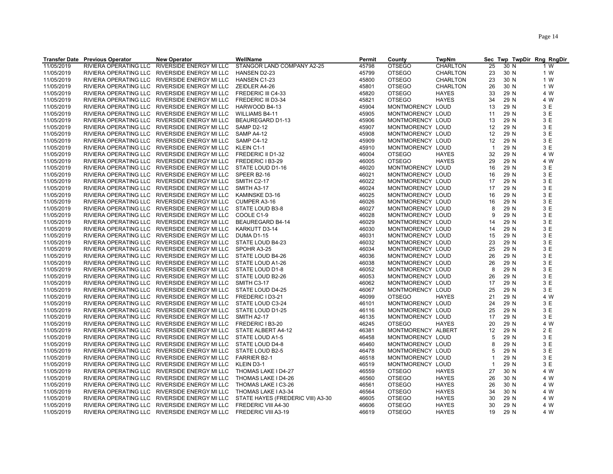|                          | <b>Transfer Date Previous Operator</b> | <b>New Operator</b>                                                                            | WellName                                   | Permit         | County                               | <b>TwpNm</b>    |                |              | Sec Twp TwpDir Rng RngDir |
|--------------------------|----------------------------------------|------------------------------------------------------------------------------------------------|--------------------------------------------|----------------|--------------------------------------|-----------------|----------------|--------------|---------------------------|
| 11/05/2019               | RIVIERA OPERATING LLC                  | RIVERSIDE ENERGY MI LLC                                                                        | STANGOR LAND COMPANY A2-25                 | 45798          | <b>OTSEGO</b>                        | CHARLTON        | 25             | 30 N         | 1 W                       |
| 11/05/2019               |                                        | RIVIERA OPERATING LLC RIVERSIDE ENERGY MI LLC                                                  | HANSEN D2-23                               | 45799          | <b>OTSEGO</b>                        | <b>CHARLTON</b> | 23             | 30 N         | 1 W                       |
| 11/05/2019               |                                        | RIVIERA OPERATING LLC RIVERSIDE ENERGY MI LLC                                                  | HANSEN C1-23                               | 45800          | <b>OTSEGO</b>                        | <b>CHARLTON</b> | 23             | 30 N         | 1 W                       |
| 11/05/2019               |                                        | RIVIERA OPERATING LLC RIVERSIDE ENERGY MI LLC                                                  | ZEIDLER A4-26                              | 45801          | <b>OTSEGO</b>                        | <b>CHARLTON</b> | 26             | 30 N         | 1 W                       |
| 11/05/2019               |                                        | RIVIERA OPERATING LLC RIVERSIDE ENERGY MI LLC                                                  | FREDERIC III C4-33                         | 45820          | <b>OTSEGO</b>                        | <b>HAYES</b>    | 33             | 29 N         | 4 W                       |
| 11/05/2019               |                                        | RIVIERA OPERATING LLC RIVERSIDE ENERGY MI LLC                                                  | FREDERIC III D3-34                         | 45821          | <b>OTSEGO</b>                        | <b>HAYES</b>    | 34             | 29 N         | 4 W                       |
| 11/05/2019               |                                        | RIVIERA OPERATING LLC RIVERSIDE ENERGY MI LLC                                                  | HARWOOD B4-13                              | 45904          | MONTMORENCY LOUD                     |                 | 13             | 29 N         | 3 E                       |
| 11/05/2019               |                                        | RIVIERA OPERATING LLC RIVERSIDE ENERGY MI LLC                                                  | <b>WILLIAMS B4-11</b>                      | 45905          | MONTMORENCY LOUD                     |                 | 11             | 29 N         | 3 E                       |
| 11/05/2019               |                                        | RIVIERA OPERATING LLC RIVERSIDE ENERGY MI LLC                                                  | BEAUREGARD D1-13                           | 45906          | MONTMORENCY LOUD                     |                 | 13             | 29 N         | 3 E                       |
| 11/05/2019               |                                        | RIVIERA OPERATING LLC RIVERSIDE ENERGY MI LLC                                                  | <b>SAMP D2-12</b>                          | 45907          | MONTMORENCY LOUD                     |                 | 12             | 29 N         | 3 E                       |
| 11/05/2019               |                                        | RIVIERA OPERATING LLC RIVERSIDE ENERGY MI LLC                                                  | <b>SAMP A4-12</b>                          | 45908          | MONTMORENCY LOUD                     |                 | 12             | 29 N         | 3 E                       |
| 11/05/2019               |                                        | RIVIERA OPERATING LLC RIVERSIDE ENERGY MI LLC                                                  | SAMP C4-12                                 | 45909          | MONTMORENCY LOUD                     |                 | 12             | 29 N         | 3E                        |
| 11/05/2019               |                                        | RIVIERA OPERATING LLC RIVERSIDE ENERGY MI LLC                                                  | KLEIN C1-1                                 | 45910          | MONTMORENCY LOUD                     |                 | $\overline{1}$ | 29 N         | 3 E                       |
| 11/05/2019               |                                        | RIVIERA OPERATING LLC RIVERSIDE ENERGY MI LLC                                                  | FREDERIC II D1-32                          | 46004          | <b>OTSEGO</b>                        | <b>HAYES</b>    | 32             | 29 N         | 4 W                       |
| 11/05/2019               |                                        | RIVIERA OPERATING LLC RIVERSIDE ENERGY MI LLC                                                  | FREDERIC I B3-29                           | 46005          | <b>OTSEGO</b>                        | <b>HAYES</b>    | 29             | 29 N         | 4 W                       |
| 11/05/2019               |                                        | RIVIERA OPERATING LLC RIVERSIDE ENERGY MI LLC                                                  | STATE LOUD D1-16                           | 46020          | MONTMORENCY LOUD                     |                 | 16             | 29 N         | 3 E                       |
| 11/05/2019               |                                        | RIVIERA OPERATING LLC RIVERSIDE ENERGY MI LLC                                                  | SPEER B2-16                                | 46021          | MONTMORENCY LOUD                     |                 | 16             | 29 N         | 3 E                       |
| 11/05/2019               |                                        | RIVIERA OPERATING LLC RIVERSIDE ENERGY MI LLC                                                  | SMITH C2-17                                | 46022          | MONTMORENCY LOUD                     |                 | 17             | 29 N         | 3 E                       |
| 11/05/2019               |                                        | RIVIERA OPERATING LLC RIVERSIDE ENERGY MI LLC                                                  | SMITH A3-17                                | 46024          | MONTMORENCY LOUD                     |                 | 17             | 29 N         | 3 E                       |
|                          |                                        | RIVIERA OPERATING LLC RIVERSIDE ENERGY MI LLC                                                  | KAMINSKE D3-16                             | 46025          |                                      |                 | 16             | 29 N         | 3 E                       |
| 11/05/2019               |                                        | RIVIERA OPERATING LLC RIVERSIDE ENERGY MI LLC                                                  |                                            | 46026          | MONTMORENCY LOUD                     |                 | 16             | 29 N         | 3 E                       |
| 11/05/2019               |                                        |                                                                                                | <b>CUMPER A3-16</b>                        |                | MONTMORENCY LOUD                     |                 |                |              |                           |
| 11/05/2019               |                                        | RIVIERA OPERATING LLC RIVERSIDE ENERGY MI LLC                                                  | STATE LOUD B3-8                            | 46027          | MONTMORENCY LOUD                     |                 | 8              | 29 N         | 3 E<br>3 E                |
| 11/05/2019               |                                        | RIVIERA OPERATING LLC RIVERSIDE ENERGY MI LLC                                                  | COOLE C1-9                                 | 46028          | MONTMORENCY LOUD                     |                 | 9              | 29 N         |                           |
| 11/05/2019               |                                        | RIVIERA OPERATING LLC RIVERSIDE ENERGY MI LLC                                                  | BEAUREGARD B4-14                           | 46029          | MONTMORENCY LOUD                     |                 | 14             | 29 N         | 3E                        |
| 11/05/2019               |                                        | RIVIERA OPERATING LLC RIVERSIDE ENERGY MI LLC                                                  | KARKUTT D3-14                              | 46030          | MONTMORENCY LOUD                     |                 | 14             | 29 N         | 3 E                       |
| 11/05/2019               |                                        | RIVIERA OPERATING LLC RIVERSIDE ENERGY MI LLC                                                  | <b>DUMA D1-15</b>                          | 46031          | MONTMORENCY LOUD                     |                 | 15             | 29 N         | 3 E<br>3 E                |
| 11/05/2019               |                                        | RIVIERA OPERATING LLC RIVERSIDE ENERGY MI LLC<br>RIVIERA OPERATING LLC RIVERSIDE ENERGY MI LLC | STATE LOUD B4-23                           | 46032<br>46034 | MONTMORENCY LOUD                     |                 | 23<br>25       | 29 N<br>29 N | 3 E                       |
| 11/05/2019               |                                        |                                                                                                | SPOHR A3-25<br>STATE LOUD B4-26            |                | MONTMORENCY LOUD                     |                 | 26             | 29 N         | 3E                        |
| 11/05/2019<br>11/05/2019 |                                        | RIVIERA OPERATING LLC RIVERSIDE ENERGY MI LLC<br>RIVIERA OPERATING LLC RIVERSIDE ENERGY MI LLC | STATE LOUD A1-26                           | 46036<br>46038 | MONTMORENCY LOUD<br>MONTMORENCY LOUD |                 | 26             | 29 N         | 3 E                       |
| 11/05/2019               |                                        | RIVIERA OPERATING LLC RIVERSIDE ENERGY MI LLC                                                  | STATE LOUD D1-8                            | 46052          |                                      |                 | 8              | 29 N         | 3 E                       |
| 11/05/2019               |                                        | RIVIERA OPERATING LLC RIVERSIDE ENERGY MI LLC                                                  | STATE LOUD B2-26                           | 46053          | MONTMORENCY LOUD<br>MONTMORENCY LOUD |                 | 26             | 29 N         | 3E                        |
|                          |                                        |                                                                                                |                                            |                |                                      |                 |                |              | 3 E                       |
| 11/05/2019               |                                        | RIVIERA OPERATING LLC RIVERSIDE ENERGY MI LLC<br>RIVIERA OPERATING LLC RIVERSIDE ENERGY MI LLC | SMITH C3-17<br>STATE LOUD D4-25            | 46062<br>46067 | MONTMORENCY LOUD<br>MONTMORENCY LOUD |                 | 17<br>25       | 29 N<br>29 N | 3 E                       |
| 11/05/2019               |                                        | RIVIERA OPERATING LLC RIVERSIDE ENERGY MI LLC                                                  | FREDERIC I D3-21                           | 46099          | <b>OTSEGO</b>                        | <b>HAYES</b>    | 21             | 29 N         | 4 W                       |
| 11/05/2019<br>11/05/2019 |                                        |                                                                                                |                                            |                | MONTMORENCY LOUD                     |                 | 24             | 29 N         | 3E                        |
| 11/05/2019               |                                        | RIVIERA OPERATING LLC RIVERSIDE ENERGY MI LLC<br>RIVIERA OPERATING LLC RIVERSIDE ENERGY MI LLC | STATE LOUD C3-24<br>STATE LOUD D1-25       | 46101<br>46116 | MONTMORENCY LOUD                     |                 | 25             | 29 N         | 3 E                       |
| 11/05/2019               |                                        | RIVIERA OPERATING LLC RIVERSIDE ENERGY MI LLC                                                  | SMITH A2-17                                | 46135          | MONTMORENCY LOUD                     |                 | 17             | 29 N         | 3 E                       |
| 11/05/2019               |                                        | RIVIERA OPERATING LLC RIVERSIDE ENERGY MI LLC                                                  | FREDERIC I B3-20                           | 46245          | <b>OTSEGO</b>                        | <b>HAYES</b>    | 20             | 29 N         | 4 W                       |
| 11/05/2019               |                                        | RIVIERA OPERATING LLC RIVERSIDE ENERGY MI LLC                                                  | STATE ALBERT A4-12                         | 46381          | MONTMORENCY ALBERT                   |                 | 12             | 29 N         | 2 E                       |
| 11/05/2019               |                                        | RIVIERA OPERATING LLC RIVERSIDE ENERGY MI LLC                                                  | STATE LOUD A1-5                            | 46458          | MONTMORENCY LOUD                     |                 | 5              | 29 N         | 3 E                       |
| 11/05/2019               |                                        | RIVIERA OPERATING LLC RIVERSIDE ENERGY MI LLC                                                  | STATE LOUD D4-8                            | 46460          | MONTMORENCY LOUD                     |                 | 8              | 29 N         | 3 E                       |
| 11/05/2019               |                                        | RIVIERA OPERATING LLC RIVERSIDE ENERGY MI LLC                                                  | STATE LOUD B2-5                            | 46478          | MONTMORENCY LOUD                     |                 | 5              | 29 N         | 3 E                       |
| 11/05/2019               |                                        | RIVIERA OPERATING LLC RIVERSIDE ENERGY MI LLC                                                  | <b>FARRIER B2-1</b>                        | 46518          | MONTMORENCY LOUD                     |                 | $\overline{1}$ | 29 N         | 3 E                       |
| 11/05/2019               |                                        | RIVIERA OPERATING LLC RIVERSIDE ENERGY MI LLC                                                  | KLEIN D3-1                                 | 46519          | MONTMORENCY LOUD                     |                 | $\overline{1}$ | 29 N         | 3 E                       |
| 11/05/2019               |                                        | RIVIERA OPERATING LLC RIVERSIDE ENERGY MI LLC                                                  | THOMAS LAKE I D4-27                        | 46559          | <b>OTSEGO</b>                        | <b>HAYES</b>    | 27             | 30 N         | 4 W                       |
|                          |                                        |                                                                                                |                                            | 46560          | <b>OTSEGO</b>                        | <b>HAYES</b>    |                |              | 4 W                       |
| 11/05/2019<br>11/05/2019 |                                        | RIVIERA OPERATING LLC RIVERSIDE ENERGY MI LLC<br>RIVIERA OPERATING LLC RIVERSIDE ENERGY MI LLC | THOMAS LAKE I D4-26<br>THOMAS LAKE I C3-26 | 46561          | <b>OTSEGO</b>                        | <b>HAYES</b>    | 26<br>26       | 30 N<br>30 N | 4 W                       |
| 11/05/2019               |                                        | RIVIERA OPERATING LLC RIVERSIDE ENERGY MI LLC                                                  | THOMAS LAKE I A3-34                        | 46564          | <b>OTSEGO</b>                        | <b>HAYES</b>    | 34             | 30 N         | 4 W                       |
| 11/05/2019               |                                        | RIVIERA OPERATING LLC RIVERSIDE ENERGY MI LLC                                                  | STATE HAYES (FREDERIC VIII) A3-30          | 46605          | <b>OTSEGO</b>                        | <b>HAYES</b>    | 30             | 29 N         | 4 W                       |
| 11/05/2019               |                                        | RIVIERA OPERATING LLC RIVERSIDE ENERGY MI LLC                                                  | FREDERIC VIII A4-30                        | 46606          | <b>OTSEGO</b>                        | <b>HAYES</b>    | 30             | 29 N         | 4 W                       |
| 11/05/2019               |                                        | RIVIERA OPERATING LLC RIVERSIDE ENERGY MI LLC                                                  | FREDERIC VIII A3-19                        | 46619          | <b>OTSEGO</b>                        | <b>HAYES</b>    | 19             | 29 N         | 4 W                       |
|                          |                                        |                                                                                                |                                            |                |                                      |                 |                |              |                           |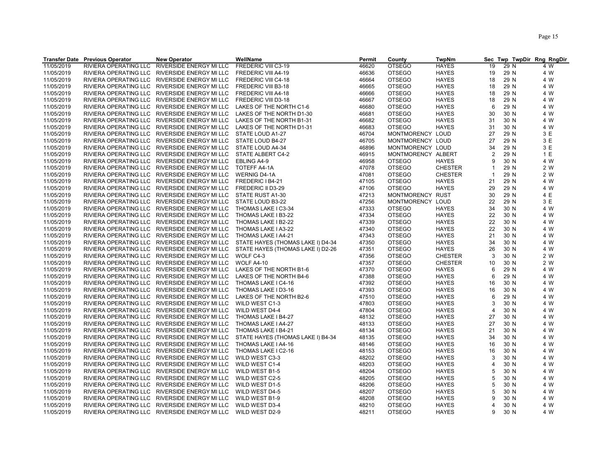|            | <b>Transfer Date Previous Operator</b> | <b>New Operator</b>                           | WellName                          | Permit | County             | <b>TwpNm</b>   | <b>Sec</b>     |      | Twp TwpDir Rng RngDir |
|------------|----------------------------------------|-----------------------------------------------|-----------------------------------|--------|--------------------|----------------|----------------|------|-----------------------|
| 11/05/2019 | RIVIERA OPERATING LLC                  | RIVERSIDE ENERGY MI LLC                       | FREDERIC VIII C3-19               | 46620  | <b>OTSEGO</b>      | <b>HAYES</b>   | 19             | 29 N | 4 W                   |
| 11/05/2019 |                                        | RIVIERA OPERATING LLC RIVERSIDE ENERGY MI LLC | FREDERIC VIII A4-19               | 46636  | <b>OTSEGO</b>      | <b>HAYES</b>   | 19             | 29 N | 4 W                   |
| 11/05/2019 |                                        | RIVIERA OPERATING LLC RIVERSIDE ENERGY MI LLC | FREDERIC VIII C4-18               | 46664  | <b>OTSEGO</b>      | <b>HAYES</b>   | 18             | 29 N | 4 W                   |
| 11/05/2019 |                                        | RIVIERA OPERATING LLC RIVERSIDE ENERGY MI LLC | FREDERIC VIII B3-18               | 46665  | <b>OTSEGO</b>      | <b>HAYES</b>   | 18             | 29 N | 4 W                   |
| 11/05/2019 |                                        | RIVIERA OPERATING LLC RIVERSIDE ENERGY MI LLC | FREDERIC VIII A4-18               | 46666  | <b>OTSEGO</b>      | <b>HAYES</b>   | 18             | 29 N | 4 W                   |
| 11/05/2019 |                                        | RIVIERA OPERATING LLC RIVERSIDE ENERGY MI LLC | FREDERIC VIII D3-18               | 46667  | <b>OTSEGO</b>      | <b>HAYES</b>   | 18             | 29 N | 4 W                   |
| 11/05/2019 |                                        | RIVIERA OPERATING LLC RIVERSIDE ENERGY MI LLC | LAKES OF THE NORTH C1-6           | 46680  | <b>OTSEGO</b>      | <b>HAYES</b>   | 6              | 29 N | 4 W                   |
| 11/05/2019 |                                        | RIVIERA OPERATING LLC RIVERSIDE ENERGY MI LLC | LAKES OF THE NORTH D1-30          | 46681  | <b>OTSEGO</b>      | <b>HAYES</b>   | 30             | 30 N | 4 W                   |
| 11/05/2019 |                                        | RIVIERA OPERATING LLC RIVERSIDE ENERGY MI LLC | LAKES OF THE NORTH B1-31          | 46682  | <b>OTSEGO</b>      | <b>HAYES</b>   | 31             | 30 N | 4 W                   |
| 11/05/2019 |                                        | RIVIERA OPERATING LLC RIVERSIDE ENERGY MI LLC | LAKES OF THE NORTH D1-31          | 46683  | <b>OTSEGO</b>      | <b>HAYES</b>   | 31             | 30 N | 4 W                   |
| 11/05/2019 |                                        | RIVIERA OPERATING LLC RIVERSIDE ENERGY MI LLC | STATE LOUD A1-27                  | 46704  | MONTMORENCY LOUD   |                | 27             | 29 N | 3 E                   |
| 11/05/2019 |                                        | RIVIERA OPERATING LLC RIVERSIDE ENERGY MI LLC | STATE LOUD B4-27                  | 46705  | MONTMORENCY LOUD   |                | 27             | 29 N | 3 E                   |
|            |                                        |                                               |                                   | 46896  |                    |                | 34             | 29 N | 3 E                   |
| 11/05/2019 |                                        | RIVIERA OPERATING LLC RIVERSIDE ENERGY MI LLC | STATE LOUD A4-34                  |        | MONTMORENCY LOUD   |                |                |      |                       |
| 11/05/2019 |                                        | RIVIERA OPERATING LLC RIVERSIDE ENERGY MI LLC | STATE ALBERT C4-2                 | 46915  | MONTMORENCY ALBERT |                | 2              | 29 N | 1 E                   |
| 11/05/2019 |                                        | RIVIERA OPERATING LLC RIVERSIDE ENERGY MI LLC | EBLING A4-9                       | 46958  | <b>OTSEGO</b>      | <b>HAYES</b>   | 9              | 30 N | 4 W                   |
| 11/05/2019 |                                        | RIVIERA OPERATING LLC RIVERSIDE ENERGY MI LLC | TOTEFF A4-1A                      | 47078  | <b>OTSEGO</b>      | <b>CHESTER</b> | $\mathbf 1$    | 29 N | 2 W                   |
| 11/05/2019 |                                        | RIVIERA OPERATING LLC RIVERSIDE ENERGY MI LLC | <b>WERNIG D4-1A</b>               | 47081  | <b>OTSEGO</b>      | <b>CHESTER</b> | $\overline{1}$ | 29 N | 2 W                   |
| 11/05/2019 |                                        | RIVIERA OPERATING LLC RIVERSIDE ENERGY MI LLC | FREDERIC I B4-21                  | 47105  | <b>OTSEGO</b>      | <b>HAYES</b>   | 21             | 29 N | 4 W                   |
| 11/05/2019 |                                        | RIVIERA OPERATING LLC RIVERSIDE ENERGY MI LLC | FREDERIC II D3-29                 | 47106  | <b>OTSEGO</b>      | <b>HAYES</b>   | 29             | 29 N | 4 W                   |
| 11/05/2019 |                                        | RIVIERA OPERATING LLC RIVERSIDE ENERGY MI LLC | STATE RUST A1-30                  | 47213  | <b>MONTMORENCY</b> | RUST           | 30             | 29 N | 4 E                   |
| 11/05/2019 |                                        | RIVIERA OPERATING LLC RIVERSIDE ENERGY MI LLC | STATE LOUD B3-22                  | 47256  | <b>MONTMORENCY</b> | LOUD           | 22             | 29 N | 3E                    |
| 11/05/2019 |                                        | RIVIERA OPERATING LLC RIVERSIDE ENERGY MI LLC | THOMAS LAKE I C3-34               | 47333  | <b>OTSEGO</b>      | <b>HAYES</b>   | 34             | 30 N | 4 W                   |
| 11/05/2019 |                                        | RIVIERA OPERATING LLC RIVERSIDE ENERGY MI LLC | THOMAS LAKE I B3-22               | 47334  | <b>OTSEGO</b>      | <b>HAYES</b>   | 22             | 30 N | 4 W                   |
| 11/05/2019 |                                        | RIVIERA OPERATING LLC RIVERSIDE ENERGY MI LLC | THOMAS LAKE I B2-22               | 47339  | <b>OTSEGO</b>      | <b>HAYES</b>   | 22             | 30 N | 4 W                   |
| 11/05/2019 |                                        | RIVIERA OPERATING LLC RIVERSIDE ENERGY MI LLC | THOMAS LAKE I A3-22               | 47340  | <b>OTSEGO</b>      | <b>HAYES</b>   | 22             | 30 N | 4 W                   |
| 11/05/2019 |                                        | RIVIERA OPERATING LLC RIVERSIDE ENERGY MI LLC | THOMAS LAKE I A4-21               | 47343  | <b>OTSEGO</b>      | <b>HAYES</b>   | 21             | 30 N | 4 W                   |
| 11/05/2019 |                                        | RIVIERA OPERATING LLC RIVERSIDE ENERGY MI LLC | STATE HAYES (THOMAS LAKE I) D4-34 | 47350  | <b>OTSEGO</b>      | <b>HAYES</b>   | 34             | 30 N | 4 W                   |
| 11/05/2019 |                                        | RIVIERA OPERATING LLC RIVERSIDE ENERGY MI LLC | STATE HAYES (THOMAS LAKE I) D2-26 | 47351  | <b>OTSEGO</b>      | <b>HAYES</b>   | 26             | 30 N | 4 W                   |
| 11/05/2019 |                                        | RIVIERA OPERATING LLC RIVERSIDE ENERGY MI LLC | WOLF C4-3                         | 47356  | <b>OTSEGO</b>      | <b>CHESTER</b> | 3              | 30 N | 2 W                   |
| 11/05/2019 |                                        | RIVIERA OPERATING LLC RIVERSIDE ENERGY MI LLC | WOLF A4-10                        | 47357  | <b>OTSEGO</b>      | <b>CHESTER</b> | 10             | 30 N | 2 W                   |
| 11/05/2019 |                                        | RIVIERA OPERATING LLC RIVERSIDE ENERGY MI LLC | LAKES OF THE NORTH B1-6           | 47370  | <b>OTSEGO</b>      | <b>HAYES</b>   | 6              | 29 N | 4 W                   |
| 11/05/2019 |                                        | RIVIERA OPERATING LLC RIVERSIDE ENERGY MI LLC | LAKES OF THE NORTH B4-6           | 47388  | <b>OTSEGO</b>      | <b>HAYES</b>   | 6              | 29 N | 4 W                   |
| 11/05/2019 |                                        | RIVIERA OPERATING LLC RIVERSIDE ENERGY MI LLC | THOMAS LAKE I C4-16               | 47392  | <b>OTSEGO</b>      | <b>HAYES</b>   | 16             | 30 N | 4 W                   |
| 11/05/2019 |                                        | RIVIERA OPERATING LLC RIVERSIDE ENERGY MI LLC | THOMAS LAKE I D3-16               | 47393  | <b>OTSEGO</b>      | <b>HAYES</b>   | 16             | 30 N | 4 W                   |
| 11/05/2019 |                                        | RIVIERA OPERATING LLC RIVERSIDE ENERGY MI LLC | LAKES OF THE NORTH B2-6           | 47510  | <b>OTSEGO</b>      | <b>HAYES</b>   | 6              | 29 N | 4 W                   |
| 11/05/2019 |                                        | RIVIERA OPERATING LLC RIVERSIDE ENERGY MI LLC | WILD WEST C1-3                    | 47803  | <b>OTSEGO</b>      | <b>HAYES</b>   | 3              | 30 N | 4 W                   |
| 11/05/2019 |                                        | RIVIERA OPERATING LLC RIVERSIDE ENERGY MI LLC | WILD WEST D4-4                    | 47804  | <b>OTSEGO</b>      | <b>HAYES</b>   | $\overline{4}$ | 30 N | 4 W                   |
| 11/05/2019 |                                        | RIVIERA OPERATING LLC RIVERSIDE ENERGY MI LLC | THOMAS LAKE I B4-27               | 48132  | <b>OTSEGO</b>      | <b>HAYES</b>   | 27             | 30 N | 4 W                   |
| 11/05/2019 |                                        | RIVIERA OPERATING LLC RIVERSIDE ENERGY MI LLC | THOMAS LAKE I A4-27               | 48133  | <b>OTSEGO</b>      | <b>HAYES</b>   | 27             | 30 N | 4 W                   |
| 11/05/2019 |                                        | RIVIERA OPERATING LLC RIVERSIDE ENERGY MI LLC | THOMAS LAKE I B4-21               | 48134  | <b>OTSEGO</b>      | <b>HAYES</b>   | 21             | 30 N | 4 W                   |
| 11/05/2019 |                                        | RIVIERA OPERATING LLC RIVERSIDE ENERGY MI LLC | STATE HAYES (THOMAS LAKE I) B4-34 | 48135  | <b>OTSEGO</b>      | <b>HAYES</b>   | 34             | 30 N | 4 W                   |
| 11/05/2019 |                                        | RIVIERA OPERATING LLC RIVERSIDE ENERGY MI LLC | THOMAS LAKE I A4-16               | 48146  | <b>OTSEGO</b>      | <b>HAYES</b>   | 16             | 30 N | 4 W                   |
| 11/05/2019 |                                        | RIVIERA OPERATING LLC RIVERSIDE ENERGY MI LLC | THOMAS LAKE I C2-16               | 48153  | <b>OTSEGO</b>      | <b>HAYES</b>   | 16             | 30 N | 4 W                   |
| 11/05/2019 |                                        | RIVIERA OPERATING LLC RIVERSIDE ENERGY MI LLC | WILD WEST C3-3                    | 48202  | <b>OTSEGO</b>      | <b>HAYES</b>   | 3              | 30 N | 4 W                   |
| 11/05/2019 |                                        | RIVIERA OPERATING LLC RIVERSIDE ENERGY MI LLC | WILD WEST C1-4                    | 48203  | <b>OTSEGO</b>      | <b>HAYES</b>   | $\overline{4}$ | 30 N | 4 W                   |
| 11/05/2019 |                                        | RIVIERA OPERATING LLC RIVERSIDE ENERGY MI LLC | WILD WEST B1-5                    | 48204  | <b>OTSEGO</b>      | <b>HAYES</b>   | 5              | 30 N | 4 W                   |
|            |                                        |                                               |                                   |        |                    |                |                |      |                       |
| 11/05/2019 |                                        | RIVIERA OPERATING LLC RIVERSIDE ENERGY MI LLC | WILD WEST C2-5                    | 48205  | <b>OTSEGO</b>      | <b>HAYES</b>   | 5<br>5         | 30 N | 4 W                   |
| 11/05/2019 |                                        | RIVIERA OPERATING LLC RIVERSIDE ENERGY MI LLC | WILD WEST D1-5                    | 48206  | <b>OTSEGO</b>      | <b>HAYES</b>   |                | 30 N | 4 W                   |
| 11/05/2019 |                                        | RIVIERA OPERATING LLC RIVERSIDE ENERGY MI LLC | WILD WEST D4-5                    | 48207  | <b>OTSEGO</b>      | <b>HAYES</b>   | 5              | 30 N | 4 W                   |
| 11/05/2019 |                                        | RIVIERA OPERATING LLC RIVERSIDE ENERGY MI LLC | WILD WEST B1-9                    | 48208  | <b>OTSEGO</b>      | <b>HAYES</b>   | 9              | 30 N | 4 W                   |
| 11/05/2019 |                                        | RIVIERA OPERATING LLC RIVERSIDE ENERGY MI LLC | WILD WEST D3-4                    | 48210  | <b>OTSEGO</b>      | <b>HAYES</b>   | $\overline{4}$ | 30 N | 4 W                   |
| 11/05/2019 |                                        | RIVIERA OPERATING LLC RIVERSIDE ENERGY MI LLC | WILD WEST D2-9                    | 48211  | <b>OTSEGO</b>      | <b>HAYES</b>   | q              | 30 N | 4 W                   |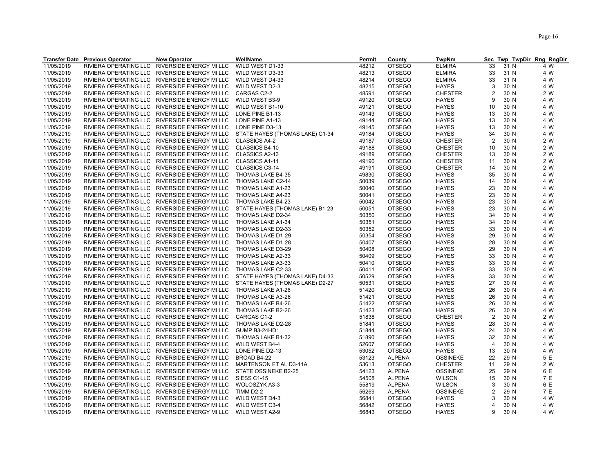|            | <b>Transfer Date Previous Operator</b> | <b>New Operator</b>                           | WellName                        | <b>Permit</b> | County        | <b>TwpNm</b>    | Sec            |      | Twp TwpDir Rng RngDir |
|------------|----------------------------------------|-----------------------------------------------|---------------------------------|---------------|---------------|-----------------|----------------|------|-----------------------|
| 11/05/2019 | RIVIERA OPERATING LLC                  | RIVERSIDE ENERGY MI LLC                       | WILD WEST D1-33                 | 48212         | <b>OTSEGO</b> | <b>ELMIRA</b>   | 33             | 31 N | 4 W                   |
| 11/05/2019 | RIVIERA OPERATING LLC                  | RIVERSIDE ENERGY MI LLC                       | WILD WEST D3-33                 | 48213         | <b>OTSEGO</b> | <b>ELMIRA</b>   | 33             | 31 N | 4 W                   |
| 11/05/2019 | RIVIERA OPERATING LLC                  | RIVERSIDE ENERGY MI LLC                       | WILD WEST D4-33                 | 48214         | <b>OTSEGO</b> | <b>ELMIRA</b>   | 33             | 31 N | 4 W                   |
| 11/05/2019 |                                        | RIVIERA OPERATING LLC RIVERSIDE ENERGY MI LLC | WILD WEST D2-3                  | 48215         | <b>OTSEGO</b> | <b>HAYES</b>    | 3              | 30 N | 4 W                   |
| 11/05/2019 |                                        | RIVIERA OPERATING LLC RIVERSIDE ENERGY MI LLC | CARGAS C2-2                     | 48591         | <b>OTSEGO</b> | <b>CHESTER</b>  | $\overline{2}$ | 30 N | 2 W                   |
| 11/05/2019 |                                        | RIVIERA OPERATING LLC RIVERSIDE ENERGY MI LLC | WILD WEST B3-9                  | 49120         | <b>OTSEGO</b> | <b>HAYES</b>    | 9              | 30 N | 4 W                   |
| 11/05/2019 |                                        | RIVIERA OPERATING LLC RIVERSIDE ENERGY MI LLC | WILD WEST B1-10                 | 49121         | <b>OTSEGO</b> | <b>HAYES</b>    | 10             | 30 N | 4 W                   |
| 11/05/2019 | RIVIERA OPERATING LLC                  | RIVERSIDE ENERGY MI LLC                       | LONE PINE B1-13                 | 49143         | <b>OTSEGO</b> | <b>HAYES</b>    | 13             | 30 N | 4 W                   |
| 11/05/2019 |                                        | RIVIERA OPERATING LLC RIVERSIDE ENERGY MI LLC | LONE PINE A1-13                 | 49144         | <b>OTSEGO</b> | <b>HAYES</b>    | 13             | 30 N | 4 W                   |
| 11/05/2019 |                                        | RIVIERA OPERATING LLC RIVERSIDE ENERGY MI LLC | LONE PINE D3-13                 | 49145         | <b>OTSEGO</b> | <b>HAYES</b>    | 13             | 30 N | 4 W                   |
| 11/05/2019 |                                        | RIVIERA OPERATING LLC RIVERSIDE ENERGY MI LLC | STATE HAYES (THOMAS LAKE) C1-34 | 49184         | <b>OTSEGO</b> | <b>HAYES</b>    | 34             | 30 N | 4 W                   |
| 11/05/2019 |                                        | RIVIERA OPERATING LLC RIVERSIDE ENERGY MI LLC | <b>CLASSICS A4-2</b>            | 49187         | <b>OTSEGO</b> | <b>CHESTER</b>  | $\overline{2}$ | 30 N | 2 W                   |
| 11/05/2019 | RIVIERA OPERATING LLC                  | RIVERSIDE ENERGY MI LLC                       | CLASSICS B4-10                  | 49188         | <b>OTSEGO</b> | <b>CHESTER</b>  | 10             | 30 N | 2 W                   |
| 11/05/2019 |                                        | RIVIERA OPERATING LLC RIVERSIDE ENERGY MI LLC | CLASSICS A2-13                  | 49189         | <b>OTSEGO</b> | <b>CHESTER</b>  | 13             | 30 N | 2 W                   |
| 11/05/2019 |                                        | RIVIERA OPERATING LLC RIVERSIDE ENERGY MI LLC | CLASSICS A1-11                  | 49190         | <b>OTSEGO</b> | <b>CHESTER</b>  | 11             | 30 N | 2 W                   |
| 11/05/2019 |                                        | RIVIERA OPERATING LLC RIVERSIDE ENERGY MI LLC | CLASSICS C3-14                  | 49191         | <b>OTSEGO</b> | <b>CHESTER</b>  | 14             | 30 N | 2 W                   |
|            |                                        | RIVIERA OPERATING LLC RIVERSIDE ENERGY MI LLC |                                 | 49830         | <b>OTSEGO</b> |                 | 35             | 30 N | 4 W                   |
| 11/05/2019 |                                        |                                               | THOMAS LAKE B4-35               |               |               | <b>HAYES</b>    |                |      |                       |
| 11/05/2019 |                                        | RIVIERA OPERATING LLC RIVERSIDE ENERGY MI LLC | THOMAS LAKE C2-14               | 50039         | <b>OTSEGO</b> | <b>HAYES</b>    | 14             | 30 N | 4 W                   |
| 11/05/2019 | RIVIERA OPERATING LLC                  | RIVERSIDE ENERGY MI LLC                       | THOMAS LAKE A1-23               | 50040         | <b>OTSEGO</b> | <b>HAYES</b>    | 23             | 30 N | 4 W                   |
| 11/05/2019 |                                        | RIVIERA OPERATING LLC RIVERSIDE ENERGY MI LLC | THOMAS LAKE A4-23               | 50041         | <b>OTSEGO</b> | <b>HAYES</b>    | 23             | 30 N | 4 W                   |
| 11/05/2019 |                                        | RIVIERA OPERATING LLC RIVERSIDE ENERGY MI LLC | THOMAS LAKE B4-23               | 50042         | <b>OTSEGO</b> | <b>HAYES</b>    | 23             | 30 N | 4 W                   |
| 11/05/2019 |                                        | RIVIERA OPERATING LLC RIVERSIDE ENERGY MI LLC | STATE HAYES (THOMAS LAKE) B1-23 | 50051         | <b>OTSEGO</b> | <b>HAYES</b>    | 23             | 30 N | 4 W                   |
| 11/05/2019 |                                        | RIVIERA OPERATING LLC RIVERSIDE ENERGY MI LLC | THOMAS LAKE D2-34               | 50350         | <b>OTSEGO</b> | <b>HAYES</b>    | 34             | 30 N | 4 W                   |
| 11/05/2019 |                                        | RIVIERA OPERATING LLC RIVERSIDE ENERGY MI LLC | THOMAS LAKE A1-34               | 50351         | <b>OTSEGO</b> | <b>HAYES</b>    | 34             | 30 N | 4 W                   |
| 11/05/2019 |                                        | RIVIERA OPERATING LLC RIVERSIDE ENERGY MI LLC | THOMAS LAKE D2-33               | 50352         | <b>OTSEGO</b> | <b>HAYES</b>    | 33             | 30 N | 4 W                   |
| 11/05/2019 |                                        | RIVIERA OPERATING LLC RIVERSIDE ENERGY MI LLC | THOMAS LAKE D1-29               | 50354         | <b>OTSEGO</b> | <b>HAYES</b>    | 29             | 30 N | 4 W                   |
| 11/05/2019 |                                        | RIVIERA OPERATING LLC RIVERSIDE ENERGY MI LLC | THOMAS LAKE D1-28               | 50407         | <b>OTSEGO</b> | <b>HAYES</b>    | 28             | 30 N | 4 W                   |
| 11/05/2019 |                                        | RIVIERA OPERATING LLC RIVERSIDE ENERGY MI LLC | THOMAS LAKE D3-29               | 50408         | <b>OTSEGO</b> | <b>HAYES</b>    | 29             | 30 N | 4 W                   |
| 11/05/2019 |                                        | RIVIERA OPERATING LLC RIVERSIDE ENERGY MI LLC | THOMAS LAKE A2-33               | 50409         | <b>OTSEGO</b> | <b>HAYES</b>    | 33             | 30 N | 4 W                   |
| 11/05/2019 |                                        | RIVIERA OPERATING LLC RIVERSIDE ENERGY MI LLC | THOMAS LAKE A3-33               | 50410         | <b>OTSEGO</b> | <b>HAYES</b>    | 33             | 30 N | 4 W                   |
| 11/05/2019 |                                        | RIVIERA OPERATING LLC RIVERSIDE ENERGY MI LLC | THOMAS LAKE C2-33               | 50411         | <b>OTSEGO</b> | <b>HAYES</b>    | 33             | 30 N | 4 W                   |
| 11/05/2019 |                                        | RIVIERA OPERATING LLC RIVERSIDE ENERGY MI LLC | STATE HAYES (THOMAS LAKE) D4-33 | 50529         | <b>OTSEGO</b> | <b>HAYES</b>    | 33             | 30 N | 4 W                   |
| 11/05/2019 |                                        | RIVIERA OPERATING LLC RIVERSIDE ENERGY MI LLC | STATE HAYES (THOMAS LAKE) D2-27 | 50531         | <b>OTSEGO</b> | <b>HAYES</b>    | 27             | 30 N | 4 W                   |
| 11/05/2019 |                                        | RIVIERA OPERATING LLC RIVERSIDE ENERGY MI LLC | THOMAS LAKE A1-26               | 51420         | <b>OTSEGO</b> | <b>HAYES</b>    | 26             | 30 N | 4 W                   |
| 11/05/2019 |                                        | RIVIERA OPERATING LLC RIVERSIDE ENERGY MI LLC | THOMAS LAKE A3-26               | 51421         | <b>OTSEGO</b> | <b>HAYES</b>    | 26             | 30 N | 4 W                   |
| 11/05/2019 |                                        | RIVIERA OPERATING LLC RIVERSIDE ENERGY MI LLC | THOMAS LAKE B4-26               | 51422         | <b>OTSEGO</b> | <b>HAYES</b>    | 26             | 30 N | 4 W                   |
| 11/05/2019 |                                        | RIVIERA OPERATING LLC RIVERSIDE ENERGY MI LLC | THOMAS LAKE B2-26               | 51423         | <b>OTSEGO</b> | <b>HAYES</b>    | 26             | 30 N | 4 W                   |
| 11/05/2019 |                                        | RIVIERA OPERATING LLC RIVERSIDE ENERGY MI LLC | CARGAS C1-2                     | 51838         | <b>OTSEGO</b> | <b>CHESTER</b>  | $\overline{2}$ | 30 N | 2 W                   |
| 11/05/2019 |                                        | RIVIERA OPERATING LLC RIVERSIDE ENERGY MI LLC | THOMAS LAKE D2-28               | 51841         | <b>OTSEGO</b> | <b>HAYES</b>    | 28             | 30 N | 4 W                   |
| 11/05/2019 |                                        | RIVIERA OPERATING LLC RIVERSIDE ENERGY MI LLC | GUMP B3-24HD1                   | 51844         | <b>OTSEGO</b> | <b>HAYES</b>    | 24             | 30 N | 4 W                   |
| 11/05/2019 |                                        | RIVIERA OPERATING LLC RIVERSIDE ENERGY MI LLC | THOMAS LAKE B1-32               | 51890         | <b>OTSEGO</b> | HAYES           | 32             | 30 N | 4 W                   |
| 11/05/2019 |                                        | RIVIERA OPERATING LLC RIVERSIDE ENERGY MI LLC | WILD WEST B4-4                  | 52607         | <b>OTSEGO</b> | <b>HAYES</b>    | $\overline{4}$ | 30 N | 4 W                   |
| 11/05/2019 |                                        | RIVIERA OPERATING LLC RIVERSIDE ENERGY MI LLC | LONE PINE D2-13                 | 53052         | <b>OTSEGO</b> | <b>HAYES</b>    | 13             | 30 N | 4 W                   |
| 11/05/2019 |                                        | RIVIERA OPERATING LLC RIVERSIDE ENERGY MI LLC | BROAD B4-22                     | 53123         | <b>ALPENA</b> | <b>OSSINEKE</b> | 22             | 29 N | 5 E                   |
| 11/05/2019 |                                        | RIVIERA OPERATING LLC RIVERSIDE ENERGY MI LLC | MARTENSON ET AL D3-11A          | 53613         | <b>OTSEGO</b> | <b>CHESTER</b>  | 11             | 29 N | 2 W                   |
| 11/05/2019 |                                        | RIVIERA OPERATING LLC RIVERSIDE ENERGY MI LLC | STATE OSSINEKE B2-25            | 54123         | <b>ALPENA</b> | <b>OSSINEKE</b> | 25             | 29 N | 6 E                   |
| 11/05/2019 |                                        | RIVIERA OPERATING LLC RIVERSIDE ENERGY MI LLC | <b>SIESS C1-15</b>              | 54508         | ALPENA        | <b>WILSON</b>   | 15             | 30 N | 7 E                   |
| 11/05/2019 |                                        | RIVIERA OPERATING LLC RIVERSIDE ENERGY MI LLC | WOLOSZYK A3-3                   | 55819         | <b>ALPENA</b> | <b>WILSON</b>   | 3              | 30 N | 6 E                   |
| 11/05/2019 |                                        | RIVIERA OPERATING LLC RIVERSIDE ENERGY MI LLC | TIMM D2-2                       | 56269         | <b>ALPENA</b> | <b>OSSINEKE</b> | $\overline{2}$ | 29 N | 7 E                   |
| 11/05/2019 |                                        | RIVIERA OPERATING LLC RIVERSIDE ENERGY MI LLC | WILD WEST D4-3                  | 56841         | <b>OTSEGO</b> | <b>HAYES</b>    | 3              | 30 N | 4 W                   |
| 11/05/2019 |                                        | RIVIERA OPERATING LLC RIVERSIDE ENERGY MI LLC | WILD WEST C3-4                  | 56842         | <b>OTSEGO</b> | <b>HAYES</b>    | $\overline{4}$ | 30 N | 4 W                   |
| 11/05/2019 |                                        | RIVIERA OPERATING LLC RIVERSIDE ENERGY MI LLC | WILD WEST A2-9                  | 56843         | <b>OTSEGO</b> | <b>HAYES</b>    | 9              | 30 N | 4 W                   |
|            |                                        |                                               |                                 |               |               |                 |                |      |                       |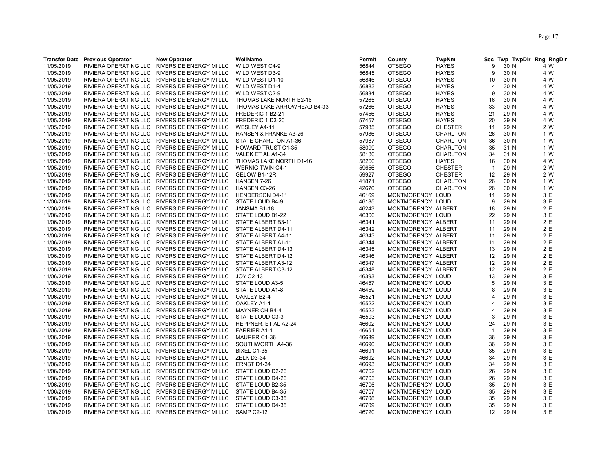|            | <b>Transfer Date Previous Operator</b> | <b>New Operator</b>                           | WellName                    | Permit | County             | <b>TwpNm</b>    |                |      | Sec Twp TwpDir Rng RngDir |
|------------|----------------------------------------|-----------------------------------------------|-----------------------------|--------|--------------------|-----------------|----------------|------|---------------------------|
| 11/05/2019 | RIVIERA OPERATING LLC                  | RIVERSIDE ENERGY MI LLC                       | WILD WEST C4-9              | 56844  | <b>OTSEGO</b>      | <b>HAYES</b>    | 9              | 30 N | 4 W                       |
| 11/05/2019 |                                        | RIVIERA OPERATING LLC RIVERSIDE ENERGY MI LLC | WILD WEST D3-9              | 56845  | <b>OTSEGO</b>      | <b>HAYES</b>    | 9              | 30 N | 4 W                       |
| 11/05/2019 |                                        | RIVIERA OPERATING LLC RIVERSIDE ENERGY MI LLC | WILD WEST D1-10             | 56846  | <b>OTSEGO</b>      | <b>HAYES</b>    | 10             | 30 N | 4 W                       |
| 11/05/2019 |                                        | RIVIERA OPERATING LLC RIVERSIDE ENERGY MI LLC | WILD WEST D1-4              | 56883  | <b>OTSEGO</b>      | <b>HAYES</b>    | 4              | 30 N | 4 W                       |
| 11/05/2019 |                                        | RIVIERA OPERATING LLC RIVERSIDE ENERGY MI LLC | WILD WEST C2-9              | 56884  | <b>OTSEGO</b>      | <b>HAYES</b>    | 9              | 30 N | 4 W                       |
| 11/05/2019 |                                        | RIVIERA OPERATING LLC RIVERSIDE ENERGY MI LLC | THOMAS LAKE NORTH B2-16     | 57265  | <b>OTSEGO</b>      | <b>HAYES</b>    | 16             | 30 N | 4 W                       |
| 11/05/2019 |                                        | RIVIERA OPERATING LLC RIVERSIDE ENERGY MI LLC | THOMAS LAKE ARROWHEAD B4-33 | 57266  | <b>OTSEGO</b>      | <b>HAYES</b>    | 33             | 30 N | 4 W                       |
| 11/05/2019 |                                        | RIVIERA OPERATING LLC RIVERSIDE ENERGY MI LLC | FREDERIC 1 B2-21            | 57456  | <b>OTSEGO</b>      | <b>HAYES</b>    | 21             | 29 N | 4 W                       |
| 11/05/2019 |                                        | RIVIERA OPERATING LLC RIVERSIDE ENERGY MI LLC | FREDERIC 1 D3-20            | 57457  | <b>OTSEGO</b>      | <b>HAYES</b>    | 20             | 29 N | 4 W                       |
| 11/05/2019 |                                        | RIVIERA OPERATING LLC RIVERSIDE ENERGY MI LLC | WESLEY A4-11                | 57985  | <b>OTSEGO</b>      | <b>CHESTER</b>  | 11             | 29 N | 2 W                       |
| 11/05/2019 |                                        | RIVIERA OPERATING LLC RIVERSIDE ENERGY MI LLC | HANSEN & FRANKE A3-26       | 57986  | <b>OTSEGO</b>      | <b>CHARLTON</b> | 26             | 30 N | 1 W                       |
| 11/05/2019 |                                        | RIVIERA OPERATING LLC RIVERSIDE ENERGY MI LLC | STATE CHARLTON A1-36        | 57987  | <b>OTSEGO</b>      | <b>CHARLTON</b> | 36             | 30 N | 1 W                       |
| 11/05/2019 |                                        | RIVIERA OPERATING LLC RIVERSIDE ENERGY MI LLC | <b>HOWARD TRUST C1-35</b>   | 58099  | <b>OTSEGO</b>      | <b>CHARLTON</b> | 35             | 31 N | 1 W                       |
| 11/05/2019 |                                        | RIVIERA OPERATING LLC RIVERSIDE ENERGY MI LLC | VALEK ET AL A1-34           | 58130  | <b>OTSEGO</b>      | CHARLTON        | 34             | 31 N | 1 W                       |
| 11/05/2019 |                                        | RIVIERA OPERATING LLC RIVERSIDE ENERGY MI LLC | THOMAS LAKE NORTH D1-16     | 58260  | <b>OTSEGO</b>      | <b>HAYES</b>    | 16             | 30 N | 4 W                       |
| 11/05/2019 |                                        | RIVIERA OPERATING LLC RIVERSIDE ENERGY MI LLC | <b>WERNIG TWIN C4-1</b>     | 59656  | <b>OTSEGO</b>      | <b>CHESTER</b>  | $\overline{1}$ | 29 N | 2 W                       |
| 11/05/2019 |                                        | RIVIERA OPERATING LLC RIVERSIDE ENERGY MI LLC | GELOW B1-12R                | 59927  | <b>OTSEGO</b>      | <b>CHESTER</b>  | 12             | 29 N | 2 W                       |
| 11/06/2019 |                                        | RIVIERA OPERATING LLC RIVERSIDE ENERGY MI LLC | HANSEN 7-26                 | 41871  | <b>OTSEGO</b>      | <b>CHARLTON</b> | 26             | 30 N | 1 W                       |
| 11/06/2019 |                                        | RIVIERA OPERATING LLC RIVERSIDE ENERGY MI LLC | <b>HANSEN C3-26</b>         | 42670  | <b>OTSEGO</b>      | <b>CHARLTON</b> | 26             | 30 N | 1 W                       |
| 11/06/2019 |                                        | RIVIERA OPERATING LLC RIVERSIDE ENERGY MI LLC | <b>HENDERSON D4-11</b>      | 46169  | MONTMORENCY LOUD   |                 | 11             | 29 N | 3 E                       |
| 11/06/2019 |                                        | RIVIERA OPERATING LLC RIVERSIDE ENERGY MI LLC | STATE LOUD B4-9             | 46185  | MONTMORENCY LOUD   |                 | 9              | 29 N | 3 E                       |
|            |                                        |                                               |                             |        |                    |                 |                |      | 2 E                       |
| 11/06/2019 |                                        | RIVIERA OPERATING LLC RIVERSIDE ENERGY MI LLC | JANSMA B1-18                | 46243  | MONTMORENCY ALBERT |                 | 18             | 29 N |                           |
| 11/06/2019 |                                        | RIVIERA OPERATING LLC RIVERSIDE ENERGY MI LLC | STATE LOUD B1-22            | 46300  | MONTMORENCY LOUD   |                 | 22             | 29 N | 3 E                       |
| 11/06/2019 |                                        | RIVIERA OPERATING LLC RIVERSIDE ENERGY MI LLC | STATE ALBERT B3-11          | 46341  | MONTMORENCY ALBERT |                 | 11             | 29 N | 2 E                       |
| 11/06/2019 |                                        | RIVIERA OPERATING LLC RIVERSIDE ENERGY MI LLC | STATE ALBERT D4-11          | 46342  | MONTMORENCY ALBERT |                 | 11             | 29 N | 2 E                       |
| 11/06/2019 |                                        | RIVIERA OPERATING LLC RIVERSIDE ENERGY MI LLC | STATE ALBERT A4-11          | 46343  | MONTMORENCY ALBERT |                 | 11             | 29 N | 2E                        |
| 11/06/2019 |                                        | RIVIERA OPERATING LLC RIVERSIDE ENERGY MI LLC | STATE ALBERT A1-11          | 46344  | MONTMORENCY ALBERT |                 | 11             | 29 N | 2 E                       |
| 11/06/2019 |                                        | RIVIERA OPERATING LLC RIVERSIDE ENERGY MI LLC | STATE ALBERT D4-13          | 46345  | MONTMORENCY ALBERT |                 | 13             | 29 N | 2 E                       |
| 11/06/2019 |                                        | RIVIERA OPERATING LLC RIVERSIDE ENERGY MI LLC | STATE ALBERT D4-12          | 46346  | MONTMORENCY ALBERT |                 | 12             | 29 N | 2 E                       |
| 11/06/2019 |                                        | RIVIERA OPERATING LLC RIVERSIDE ENERGY MI LLC | STATE ALBERT A3-12          | 46347  | MONTMORENCY ALBERT |                 | 12             | 29 N | 2E                        |
| 11/06/2019 |                                        | RIVIERA OPERATING LLC RIVERSIDE ENERGY MI LLC | STATE ALBERT C3-12          | 46348  | MONTMORENCY ALBERT |                 | 12             | 29 N | 2 E                       |
| 11/06/2019 |                                        | RIVIERA OPERATING LLC RIVERSIDE ENERGY MI LLC | JOY C2-13                   | 46393  | MONTMORENCY LOUD   |                 | 13             | 29 N | 3E                        |
| 11/06/2019 |                                        | RIVIERA OPERATING LLC RIVERSIDE ENERGY MI LLC | <b>STATE LOUD A3-5</b>      | 46457  | MONTMORENCY LOUD   |                 | 5              | 29 N | 3 E                       |
| 11/06/2019 |                                        | RIVIERA OPERATING LLC RIVERSIDE ENERGY MI LLC | STATE LOUD A1-8             | 46459  | MONTMORENCY LOUD   |                 | 8              | 29 N | 3 E                       |
| 11/06/2019 |                                        | RIVIERA OPERATING LLC RIVERSIDE ENERGY MI LLC | OAKLEY B2-4                 | 46521  | MONTMORENCY LOUD   |                 |                | 29 N | 3 E                       |
| 11/06/2019 |                                        | RIVIERA OPERATING LLC RIVERSIDE ENERGY MI LLC | OAKLEY A1-4                 | 46522  | MONTMORENCY LOUD   |                 | 4              | 29 N | 3E                        |
| 11/06/2019 |                                        | RIVIERA OPERATING LLC RIVERSIDE ENERGY MI LLC | <b>MAYNERICH B4-4</b>       | 46523  | MONTMORENCY LOUD   |                 | $\overline{4}$ | 29 N | 3E                        |
| 11/06/2019 |                                        | RIVIERA OPERATING LLC RIVERSIDE ENERGY MI LLC | STATE LOUD C3-3             | 46593  | MONTMORENCY LOUD   |                 | 3              | 29 N | 3 E                       |
| 11/06/2019 |                                        | RIVIERA OPERATING LLC RIVERSIDE ENERGY MI LLC | HEPPNER, ET AL A2-24        | 46602  | MONTMORENCY LOUD   |                 | 24             | 29 N | 3E                        |
| 11/06/2019 |                                        | RIVIERA OPERATING LLC RIVERSIDE ENERGY MI LLC | <b>FARRIER A1-1</b>         | 46651  | MONTMORENCY LOUD   |                 | $\overline{1}$ | 29 N | 3 E                       |
| 11/06/2019 |                                        | RIVIERA OPERATING LLC RIVERSIDE ENERGY MI LLC | MAURER C1-36                | 46689  | MONTMORENCY LOUD   |                 | 36             | 29 N | 3 E                       |
| 11/06/2019 |                                        | RIVIERA OPERATING LLC RIVERSIDE ENERGY MI LLC | SOUTHWORTH A4-36            | 46690  | MONTMORENCY LOUD   |                 | 36             | 29 N | 3 E                       |
| 11/06/2019 |                                        | RIVIERA OPERATING LLC RIVERSIDE ENERGY MI LLC | BIXEL C1-35                 | 46691  | MONTMORENCY LOUD   |                 | 35             | 29 N | 3 E                       |
| 11/06/2019 |                                        | RIVIERA OPERATING LLC RIVERSIDE ENERGY MI LLC | ZELK D3-34                  | 46692  | MONTMORENCY LOUD   |                 | 34             | 29 N | 3 E                       |
| 11/06/2019 |                                        | RIVIERA OPERATING LLC RIVERSIDE ENERGY MI LLC | ERNST D1-34                 | 46693  | MONTMORENCY LOUD   |                 | 34             | 29 N | 3E                        |
| 11/06/2019 |                                        | RIVIERA OPERATING LLC RIVERSIDE ENERGY MI LLC | STATE LOUD D2-26            | 46702  | MONTMORENCY LOUD   |                 | 26             | 29 N | 3 E                       |
| 11/06/2019 |                                        | RIVIERA OPERATING LLC RIVERSIDE ENERGY MI LLC | STATE LOUD D4-26            | 46703  | MONTMORENCY LOUD   |                 | 26             | 29 N | 3 E                       |
| 11/06/2019 |                                        | RIVIERA OPERATING LLC RIVERSIDE ENERGY MI LLC | STATE LOUD B2-35            | 46706  | MONTMORENCY LOUD   |                 | 35             | 29 N | 3E                        |
| 11/06/2019 |                                        | RIVIERA OPERATING LLC RIVERSIDE ENERGY MI LLC | STATE LOUD B4-35            | 46707  | MONTMORENCY LOUD   |                 | 35             | 29 N | 3E                        |
| 11/06/2019 |                                        | RIVIERA OPERATING LLC RIVERSIDE ENERGY MI LLC | STATE LOUD C3-35            | 46708  | MONTMORENCY LOUD   |                 | 35             | 29 N | 3 E                       |
| 11/06/2019 |                                        | RIVIERA OPERATING LLC RIVERSIDE ENERGY MI LLC | STATE LOUD D4-35            | 46709  | MONTMORENCY LOUD   |                 | 35             | 29 N | 3 E                       |
| 11/06/2019 |                                        | RIVIERA OPERATING LLC RIVERSIDE ENERGY MI LLC | SAMP C2-12                  | 46720  | MONTMORENCY LOUD   |                 | 12             | 29 N | 3 E                       |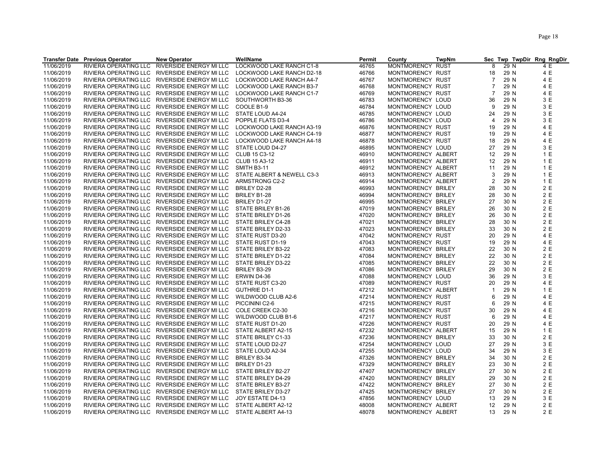|                          | <b>Transfer Date Previous Operator</b> | <b>New Operator</b>                                                      | WellName                   | Permit | County                                   | <b>TwpNm</b> | <b>Sec</b>              |      | Twp TwpDir Rng RngDir |
|--------------------------|----------------------------------------|--------------------------------------------------------------------------|----------------------------|--------|------------------------------------------|--------------|-------------------------|------|-----------------------|
| 11/06/2019               | RIVIERA OPERATING LLC                  | RIVERSIDE ENERGY MI LLC                                                  | LOCKWOOD LAKE RANCH C1-8   | 46765  | <b>MONTMORENCY</b>                       | RUST         | 8                       | 29 N | 4 E                   |
| 11/06/2019               | RIVIERA OPERATING LLC                  | RIVERSIDE ENERGY MI LLC                                                  | LOCKWOOD LAKE RANCH D2-18  | 46766  | MONTMORENCY RUST                         |              | 18                      | 29 N | 4 E                   |
| 11/06/2019               | RIVIERA OPERATING LLC                  | RIVERSIDE ENERGY MI LLC                                                  | LOCKWOOD LAKE RANCH A4-7   | 46767  | MONTMORENCY RUST                         |              | $\overline{7}$          | 29 N | 4 E                   |
| 11/06/2019               | RIVIERA OPERATING LLC                  | RIVERSIDE ENERGY MI LLC                                                  | LOCKWOOD LAKE RANCH B3-7   | 46768  | MONTMORENCY RUST                         |              | $\overline{7}$          | 29 N | 4 E                   |
| 11/06/2019               |                                        | RIVIERA OPERATING LLC RIVERSIDE ENERGY MI LLC                            | LOCKWOOD LAKE RANCH C1-7   | 46769  | MONTMORENCY RUST                         |              | $\overline{7}$          | 29 N | 4 E                   |
| 11/06/2019               | RIVIERA OPERATING LLC                  | RIVERSIDE ENERGY MI LLC                                                  | SOUTHWORTH B3-36           | 46783  | MONTMORENCY LOUD                         |              | 36                      | 29 N | 3 E                   |
| 11/06/2019               | RIVIERA OPERATING LLC                  | RIVERSIDE ENERGY MI LLC                                                  | COOLE B1-9                 | 46784  | MONTMORENCY LOUD                         |              | 9                       | 29 N | 3 E                   |
| 11/06/2019               |                                        | RIVIERA OPERATING LLC RIVERSIDE ENERGY MI LLC                            | STATE LOUD A4-24           | 46785  | MONTMORENCY LOUD                         |              | 24                      | 29 N | 3 E                   |
| 11/06/2019               |                                        | RIVIERA OPERATING LLC RIVERSIDE ENERGY MI LLC                            | POPPLE FLATS D3-4          | 46786  | MONTMORENCY LOUD                         |              | $\overline{4}$          | 29 N | 3 E                   |
| 11/06/2019               |                                        | RIVIERA OPERATING LLC RIVERSIDE ENERGY MI LLC                            | LOCKWOOD LAKE RANCH A3-19  | 46876  | MONTMORENCY RUST                         |              | 19                      | 29 N | 4 E                   |
| 11/06/2019               |                                        | RIVIERA OPERATING LLC RIVERSIDE ENERGY MI LLC                            | LOCKWOOD LAKE RANCH C4-19  | 46877  | MONTMORENCY RUST                         |              | 19                      | 29 N | 4 E                   |
| 11/06/2019               | RIVIERA OPERATING LLC                  | RIVERSIDE ENERGY MI LLC                                                  | LOCKWOOD LAKE RANCH A4-18  | 46878  | MONTMORENCY RUST                         |              | 18                      | 29 N | 4 E                   |
| 11/06/2019               |                                        | RIVIERA OPERATING LLC RIVERSIDE ENERGY MI LLC                            | STATE LOUD D4-27           | 46895  | MONTMORENCY LOUD                         |              | 27                      | 29 N | 3 E                   |
| 11/06/2019               |                                        | RIVIERA OPERATING LLC RIVERSIDE ENERGY MI LLC                            | CLUB 15 C3-12              | 46910  | MONTMORENCY ALBERT                       |              | 12                      | 29 N | 1 E                   |
| 11/06/2019               |                                        | RIVIERA OPERATING LLC RIVERSIDE ENERGY MI LLC                            | CLUB 15 A3-12              | 46911  | MONTMORENCY ALBERT                       |              | 12                      | 29 N | 1 E                   |
| 11/06/2019               |                                        | RIVIERA OPERATING LLC RIVERSIDE ENERGY MI LLC                            | <b>SMITH B3-11</b>         | 46912  | MONTMORENCY ALBERT                       |              | 11                      | 29 N | 1 E                   |
| 11/06/2019               | <b>RIVIERA OPERATING LLC</b>           | <b>RIVERSIDE ENERGY MI LLC</b>                                           | STATE ALBERT & NEWELL C3-3 | 46913  | MONTMORENCY ALBERT                       |              | 3                       | 29 N | 1 E                   |
| 11/06/2019               |                                        | RIVIERA OPERATING LLC RIVERSIDE ENERGY MI LLC                            | ARMSTRONG C2-2             | 46914  | MONTMORENCY ALBERT                       |              | $\overline{2}$          | 29 N | 1 E                   |
| 11/06/2019               |                                        | RIVIERA OPERATING LLC RIVERSIDE ENERGY MI LLC                            | BRILEY D2-28               | 46993  | MONTMORENCY BRILEY                       |              | 28                      | 30 N | 2E                    |
| 11/06/2019               | RIVIERA OPERATING LLC                  | RIVERSIDE ENERGY MI LLC                                                  | BRILEY B1-28               | 46994  | MONTMORENCY BRILEY                       |              | 28                      | 30 N | 2 E                   |
| 11/06/2019               |                                        | RIVIERA OPERATING LLC RIVERSIDE ENERGY MI LLC                            | BRILEY D1-27               | 46995  | MONTMORENCY BRILEY                       |              | 27                      | 30 N | 2 E                   |
| 11/06/2019               |                                        | RIVIERA OPERATING LLC RIVERSIDE ENERGY MI LLC                            | STATE BRILEY B1-26         | 47019  | MONTMORENCY BRILEY                       |              | 26                      | 30 N | 2 E                   |
|                          | RIVIERA OPERATING LLC                  | RIVERSIDE ENERGY MI LLC                                                  | STATE BRILEY D1-26         | 47020  |                                          |              | 26                      | 30 N | 2 E                   |
| 11/06/2019<br>11/06/2019 |                                        | RIVIERA OPERATING LLC RIVERSIDE ENERGY MI LLC                            | STATE BRILEY C4-28         | 47021  | MONTMORENCY BRILEY<br>MONTMORENCY BRILEY |              | 28                      | 30 N | 2 E                   |
|                          |                                        | RIVIERA OPERATING LLC RIVERSIDE ENERGY MI LLC                            | STATE BRILEY D2-33         | 47023  | MONTMORENCY BRILEY                       |              | 33                      | 30 N | 2E                    |
| 11/06/2019<br>11/06/2019 |                                        | RIVIERA OPERATING LLC RIVERSIDE ENERGY MI LLC                            | STATE RUST D3-20           | 47042  | MONTMORENCY RUST                         |              | 20                      | 29 N | 4 E                   |
| 11/06/2019               |                                        | RIVIERA OPERATING LLC RIVERSIDE ENERGY MI LLC                            | STATE RUST D1-19           | 47043  | MONTMORENCY RUST                         |              | 19                      | 29 N | 4 E                   |
| 11/06/2019               |                                        | RIVIERA OPERATING LLC RIVERSIDE ENERGY MI LLC                            | STATE BRILEY B3-22         | 47083  | MONTMORENCY BRILEY                       |              | 22                      | 30 N | 2 E                   |
| 11/06/2019               | RIVIERA OPERATING LLC                  | RIVERSIDE ENERGY MI LLC                                                  | STATE BRILEY D1-22         | 47084  | MONTMORENCY BRILEY                       |              | 22                      | 30 N | 2 E                   |
| 11/06/2019               |                                        | RIVIERA OPERATING LLC RIVERSIDE ENERGY MI LLC                            | STATE BRILEY D3-22         | 47085  | MONTMORENCY BRILEY                       |              | 22                      | 30 N | 2 E                   |
| 11/06/2019               |                                        | RIVIERA OPERATING LLC RIVERSIDE ENERGY MI LLC                            | BRILEY B3-29               | 47086  | MONTMORENCY BRILEY                       |              | 29                      | 30 N | 2 E                   |
| 11/06/2019               |                                        | RIVIERA OPERATING LLC RIVERSIDE ENERGY MI LLC                            | ERWIN D4-36                | 47088  | MONTMORENCY LOUD                         |              | 36                      | 29 N | 3 E                   |
| 11/06/2019               |                                        | RIVIERA OPERATING LLC RIVERSIDE ENERGY MI LLC                            | STATE RUST C3-20           | 47089  | MONTMORENCY RUST                         |              | 20                      | 29 N | 4 E                   |
| 11/06/2019               | <b>RIVIERA OPERATING LLC</b>           | <b>RIVERSIDE ENERGY MI LLC</b>                                           | <b>GUTHRIE D1-1</b>        | 47212  | MONTMORENCY ALBERT                       |              | $\overline{\mathbf{1}}$ | 29 N | 1 E                   |
| 11/06/2019               |                                        | RIVIERA OPERATING LLC RIVERSIDE ENERGY MI LLC                            | WILDWOOD CLUB A2-6         | 47214  | MONTMORENCY RUST                         |              | 6                       | 29 N | 4 E                   |
| 11/06/2019               |                                        | RIVIERA OPERATING LLC RIVERSIDE ENERGY MI LLC                            | PICCININI C2-6             | 47215  | MONTMORENCY RUST                         |              | 6                       | 29 N | 4 E                   |
| 11/06/2019               | RIVIERA OPERATING LLC                  | RIVERSIDE ENERGY MI LLC                                                  | COLE CREEK C2-30           | 47216  | MONTMORENCY RUST                         |              | 30                      | 29 N | 4 E                   |
| 11/06/2019               |                                        | RIVIERA OPERATING LLC RIVERSIDE ENERGY MI LLC                            | WILDWOOD CLUB B1-6         | 47217  | MONTMORENCY RUST                         |              | 6                       | 29 N | 4 E                   |
| 11/06/2019               |                                        | RIVIERA OPERATING LLC RIVERSIDE ENERGY MI LLC                            | STATE RUST D1-20           | 47226  | MONTMORENCY RUST                         |              | 20                      | 29 N | 4 E                   |
| 11/06/2019               | RIVIERA OPERATING LLC                  | RIVERSIDE ENERGY MI LLC                                                  | STATE ALBERT A2-15         | 47232  | MONTMORENCY ALBERT                       |              | 15                      | 29 N | 1 E                   |
| 11/06/2019               |                                        | RIVIERA OPERATING LLC RIVERSIDE ENERGY MI LLC                            | STATE BRILEY C1-33         | 47236  | MONTMORENCY BRILEY                       |              | 33                      | 30 N | 2 E                   |
| 11/06/2019               |                                        | RIVIERA OPERATING LLC RIVERSIDE ENERGY MI LLC                            | STATE LOUD D2-27           | 47254  | MONTMORENCY LOUD                         |              | 27                      | 29 N | 3 E                   |
| 11/06/2019               |                                        | RIVIERA OPERATING LLC RIVERSIDE ENERGY MI LLC                            | STATE LOUD A2-34           | 47255  | MONTMORENCY LOUD                         |              | 34                      | 29 N | 3 E                   |
| 11/06/2019               |                                        | RIVIERA OPERATING LLC RIVERSIDE ENERGY MI LLC                            | BRILEY B3-34               | 47326  | MONTMORENCY BRILEY                       |              | 34                      | 30 N | 2 E                   |
| 11/06/2019               |                                        | RIVIERA OPERATING LLC RIVERSIDE ENERGY MI LLC                            | BRILEY D1-23               | 47329  | MONTMORENCY BRILEY                       |              | 23                      | 30 N | 2 E                   |
| 11/06/2019               |                                        | RIVIERA OPERATING LLC RIVERSIDE ENERGY MI LLC                            | STATE BRILEY B2-27         | 47407  | MONTMORENCY BRILEY                       |              | 27                      | 30 N | 2 E                   |
|                          |                                        |                                                                          | STATE BRILEY D4-29         | 47420  | MONTMORENCY BRILEY                       |              | 29                      | 30 N | 2E                    |
| 11/06/2019<br>11/06/2019 | RIVIERA OPERATING LLC                  | RIVIERA OPERATING LLC RIVERSIDE ENERGY MI LLC<br>RIVERSIDE ENERGY MI LLC | STATE BRILEY B3-27         | 47422  | MONTMORENCY BRILEY                       |              | 27                      | 30 N | 2 E                   |
| 11/06/2019               |                                        | RIVIERA OPERATING LLC RIVERSIDE ENERGY MI LLC                            | STATE BRILEY D3-27         | 47425  | MONTMORENCY BRILEY                       |              | 27                      | 30 N | 2E                    |
| 11/06/2019               |                                        | RIVIERA OPERATING LLC RIVERSIDE ENERGY MI LLC                            | JOY ESTATE D4-13           | 47856  | MONTMORENCY LOUD                         |              | 13                      | 29 N | 3 E                   |
| 11/06/2019               |                                        | RIVIERA OPERATING LLC RIVERSIDE ENERGY MI LLC                            | STATE ALBERT A2-12         | 48008  | MONTMORENCY ALBERT                       |              | 12                      | 29 N | 2 E                   |
| 11/06/2019               |                                        | RIVIERA OPERATING LLC RIVERSIDE ENERGY MI LLC                            | STATE ALBERT A4-13         | 48078  | MONTMORENCY ALBERT                       |              | 13                      | 29 N | 2 E                   |
|                          |                                        |                                                                          |                            |        |                                          |              |                         |      |                       |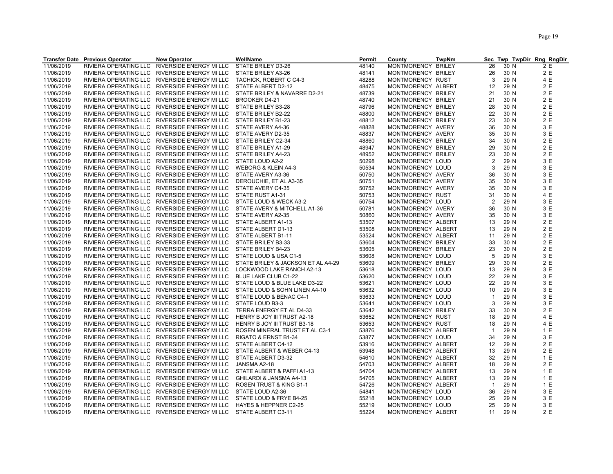| 11/06/2019<br>RIVIERA OPERATING LLC<br>RIVERSIDE ENERGY MI LLC<br>STATE BRILEY D3-26<br>48140<br>MONTMORENCY BRILEY<br>26<br>30 N<br>2 E<br>2 E<br>11/06/2019<br>RIVIERA OPERATING LLC RIVERSIDE ENERGY MI LLC<br>STATE BRILEY A3-26<br>48141<br>MONTMORENCY BRILEY<br>26<br>30 N<br>3<br>29 N<br>4 E<br>11/06/2019<br>RIVIERA OPERATING LLC<br>RIVERSIDE ENERGY MI LLC<br>TACHICK, ROBERT C C4-3<br>48288<br>MONTMORENCY RUST<br>2 E<br>11/06/2019<br>RIVIERA OPERATING LLC RIVERSIDE ENERGY MI LLC<br>STATE ALBERT D2-12<br>48475<br>MONTMORENCY ALBERT<br>12<br>29 N<br>2 E<br>11/06/2019<br>RIVIERA OPERATING LLC RIVERSIDE ENERGY MI LLC<br>STATE BRILEY & NAVARRE D2-21<br>48739<br>MONTMORENCY BRILEY<br>21<br>30 N<br>2 E<br>11/06/2019<br>RIVIERA OPERATING LLC RIVERSIDE ENERGY MI LLC<br>48740<br>21<br>30 N<br><b>BROOKER D4-21</b><br>MONTMORENCY BRILEY<br>11/06/2019<br>48796<br>28<br>2 E<br>RIVIERA OPERATING LLC RIVERSIDE ENERGY MI LLC<br>STATE BRILEY B3-28<br>MONTMORENCY BRILEY<br>30 N<br>2 E<br>22<br>11/06/2019<br>RIVIERA OPERATING LLC RIVERSIDE ENERGY MI LLC<br>STATE BRILEY B2-22<br>48800<br>MONTMORENCY BRILEY<br>30 N<br>23<br>2 E<br>11/06/2019<br>RIVIERA OPERATING LLC RIVERSIDE ENERGY MI LLC<br>48812<br>MONTMORENCY BRILEY<br>30 N<br>STATE BRILEY B1-23<br>3 E<br>11/06/2019<br>RIVIERA OPERATING LLC RIVERSIDE ENERGY MI LLC<br>48828<br>MONTMORENCY AVERY<br>36<br>30 N<br>STATE AVERY A4-36<br>3 E<br>RIVIERA OPERATING LLC RIVERSIDE ENERGY MI LLC<br>11/06/2019<br>STATE AVERY D2-35<br>48837<br>MONTMORENCY AVERY<br>35<br>30 N<br>2 E<br>11/06/2019<br>48860<br>30 N<br>RIVIERA OPERATING LLC RIVERSIDE ENERGY MI LLC<br>STATE BRILEY C2-34<br>MONTMORENCY BRILEY<br>34<br>29<br>2 E<br>11/06/2019<br>RIVIERA OPERATING LLC RIVERSIDE ENERGY MI LLC<br>STATE BRILEY A1-29<br>48947<br>MONTMORENCY BRILEY<br>30 N<br>2E<br>11/06/2019<br>RIVIERA OPERATING LLC RIVERSIDE ENERGY MI LLC<br>STATE BRILEY A4-23<br>48952<br>23<br>30 N<br>MONTMORENCY BRILEY<br>3 E<br>11/06/2019<br>RIVIERA OPERATING LLC RIVERSIDE ENERGY MI LLC<br>STATE LOUD A2-2<br>50298<br>MONTMORENCY LOUD<br>$\overline{2}$<br>29 N<br>3 E<br>3<br>11/06/2019<br>RIVIERA OPERATING LLC RIVERSIDE ENERGY MI LLC<br>WEBORG & KLEIN A4-3<br>50534<br>MONTMORENCY LOUD<br>29 N<br>3 E<br>11/06/2019<br>50750<br>30 N<br>RIVIERA OPERATING LLC RIVERSIDE ENERGY MI LLC<br>STATE AVERY A3-36<br>MONTMORENCY AVERY<br>36<br>35<br>3 E<br>11/06/2019<br>RIVIERA OPERATING LLC RIVERSIDE ENERGY MI LLC<br>DEROUCHIE, ET AL A3-35<br>50751<br>MONTMORENCY AVERY<br>30 N<br>35<br>3 E<br>11/06/2019<br>RIVIERA OPERATING LLC RIVERSIDE ENERGY MI LLC<br>STATE AVERY C4-35<br>50752<br>MONTMORENCY AVERY<br>30 N<br>4 E<br>11/06/2019<br>RIVIERA OPERATING LLC RIVERSIDE ENERGY MI LLC<br>STATE RUST A1-31<br>50753<br>31<br>30 N<br>MONTMORENCY RUST<br>3 E<br>11/06/2019<br>50754<br>$\overline{2}$<br>29 N<br>RIVIERA OPERATING LLC RIVERSIDE ENERGY MI LLC<br>STATE LOUD & WECK A3-2<br>MONTMORENCY LOUD<br>3 E<br>11/06/2019<br>RIVIERA OPERATING LLC RIVERSIDE ENERGY MI LLC<br>STATE AVERY & MITCHELL A1-36<br>50781<br>MONTMORENCY AVERY<br>36<br>30 N<br>3 E<br>11/06/2019<br>35<br>30 N<br>RIVIERA OPERATING LLC RIVERSIDE ENERGY MI LLC<br>STATE AVERY A2-35<br>50860<br>MONTMORENCY AVERY<br>2 E<br>11/06/2019<br>RIVIERA OPERATING LLC RIVERSIDE ENERGY MI LLC<br>STATE ALBERT A1-13<br>53507<br>MONTMORENCY ALBERT<br>13<br>29 N<br>2E<br>11/06/2019<br>RIVIERA OPERATING LLC RIVERSIDE ENERGY MI LLC<br>53508<br>13<br>29 N<br>STATE ALBERT D1-13<br>MONTMORENCY ALBERT<br>2 E<br>11/06/2019<br>RIVIERA OPERATING LLC RIVERSIDE ENERGY MI LLC<br>53524<br>MONTMORENCY ALBERT<br>11<br>29 N<br>STATE ALBERT B1-11<br>2 E<br>11/06/2019<br>RIVIERA OPERATING LLC RIVERSIDE ENERGY MI LLC<br>STATE BRILEY B3-33<br>53604<br>MONTMORENCY BRILEY<br>33<br>30 N<br>2 E<br>11/06/2019<br>STATE BRILEY B4-23<br>23<br>30 N<br>RIVIERA OPERATING LLC RIVERSIDE ENERGY MI LLC<br>53605<br>MONTMORENCY BRILEY<br>5<br>3 E<br>11/06/2019<br>RIVIERA OPERATING LLC<br>RIVERSIDE ENERGY MI LLC<br>STATE LOUD & USA C1-5<br>53608<br>MONTMORENCY LOUD<br>29 N<br>2 E<br>11/06/2019<br>29<br>30 N<br>RIVIERA OPERATING LLC RIVERSIDE ENERGY MI LLC<br>STATE BRILEY & JACKSON ET AL A4-29<br>53609<br>MONTMORENCY BRILEY<br>3 E<br>11/06/2019<br>RIVIERA OPERATING LLC RIVERSIDE ENERGY MI LLC<br>MONTMORENCY LOUD<br>13<br>29 N<br>LOCKWOOD LAKE RANCH A2-13<br>53618<br>3 E<br>11/06/2019<br>53620<br>22<br>29 N<br>RIVIERA OPERATING LLC RIVERSIDE ENERGY MI LLC<br>BLUE LAKE CLUB C1-22<br>MONTMORENCY LOUD<br>3 E<br>22<br>29 N<br>11/06/2019<br>RIVIERA OPERATING LLC RIVERSIDE ENERGY MI LLC<br>STATE LOUD & BLUE LAKE D3-22<br>53621<br>MONTMORENCY LOUD<br>3 E<br>11/06/2019<br>53632<br>29 N<br>RIVIERA OPERATING LLC<br>RIVERSIDE ENERGY MI LLC<br>STATE LOUD & SOHN LINEN A4-10<br>MONTMORENCY LOUD<br>10<br>3 E<br>11/06/2019<br>RIVIERA OPERATING LLC RIVERSIDE ENERGY MI LLC<br>STATE LOUD & BENAC C4-1<br>53633<br>29 N<br>MONTMORENCY LOUD<br>$\mathbf{1}$<br>3 E<br>11/06/2019<br>3<br>29 N<br>RIVIERA OPERATING LLC RIVERSIDE ENERGY MI LLC<br>STATE LOUD B3-3<br>53641<br>MONTMORENCY LOUD<br>2 E<br>11/06/2019<br>53642<br>MONTMORENCY BRILEY<br>33<br>30 N<br>RIVERSIDE ENERGY MI LLC<br>TERRA ENERGY ET AL D4-33 | <b>Transfer Date Previous Operator</b> | <b>New Operator</b> | WellName | <b>Permit</b> | County | <b>TwpNm</b> | <b>Sec</b> |  | Twp TwpDir Rng RngDir |
|------------------------------------------------------------------------------------------------------------------------------------------------------------------------------------------------------------------------------------------------------------------------------------------------------------------------------------------------------------------------------------------------------------------------------------------------------------------------------------------------------------------------------------------------------------------------------------------------------------------------------------------------------------------------------------------------------------------------------------------------------------------------------------------------------------------------------------------------------------------------------------------------------------------------------------------------------------------------------------------------------------------------------------------------------------------------------------------------------------------------------------------------------------------------------------------------------------------------------------------------------------------------------------------------------------------------------------------------------------------------------------------------------------------------------------------------------------------------------------------------------------------------------------------------------------------------------------------------------------------------------------------------------------------------------------------------------------------------------------------------------------------------------------------------------------------------------------------------------------------------------------------------------------------------------------------------------------------------------------------------------------------------------------------------------------------------------------------------------------------------------------------------------------------------------------------------------------------------------------------------------------------------------------------------------------------------------------------------------------------------------------------------------------------------------------------------------------------------------------------------------------------------------------------------------------------------------------------------------------------------------------------------------------------------------------------------------------------------------------------------------------------------------------------------------------------------------------------------------------------------------------------------------------------------------------------------------------------------------------------------------------------------------------------------------------------------------------------------------------------------------------------------------------------------------------------------------------------------------------------------------------------------------------------------------------------------------------------------------------------------------------------------------------------------------------------------------------------------------------------------------------------------------------------------------------------------------------------------------------------------------------------------------------------------------------------------------------------------------------------------------------------------------------------------------------------------------------------------------------------------------------------------------------------------------------------------------------------------------------------------------------------------------------------------------------------------------------------------------------------------------------------------------------------------------------------------------------------------------------------------------------------------------------------------------------------------------------------------------------------------------------------------------------------------------------------------------------------------------------------------------------------------------------------------------------------------------------------------------------------------------------------------------------------------------------------------------------------------------------------------------------------------------------------------------------------------------------------------------------------------------------------------------------------------------------------------------------------------------------------------------------------------------------------------------------------------------------------------------------------------------------------------------------------------------------------------------------------------------------------------------------------------------------------------------------------------------------------------|----------------------------------------|---------------------|----------|---------------|--------|--------------|------------|--|-----------------------|
|                                                                                                                                                                                                                                                                                                                                                                                                                                                                                                                                                                                                                                                                                                                                                                                                                                                                                                                                                                                                                                                                                                                                                                                                                                                                                                                                                                                                                                                                                                                                                                                                                                                                                                                                                                                                                                                                                                                                                                                                                                                                                                                                                                                                                                                                                                                                                                                                                                                                                                                                                                                                                                                                                                                                                                                                                                                                                                                                                                                                                                                                                                                                                                                                                                                                                                                                                                                                                                                                                                                                                                                                                                                                                                                                                                                                                                                                                                                                                                                                                                                                                                                                                                                                                                                                                                                                                                                                                                                                                                                                                                                                                                                                                                                                                                                                                                                                                                                                                                                                                                                                                                                                                                                                                                                                                                                                                |                                        |                     |          |               |        |              |            |  |                       |
|                                                                                                                                                                                                                                                                                                                                                                                                                                                                                                                                                                                                                                                                                                                                                                                                                                                                                                                                                                                                                                                                                                                                                                                                                                                                                                                                                                                                                                                                                                                                                                                                                                                                                                                                                                                                                                                                                                                                                                                                                                                                                                                                                                                                                                                                                                                                                                                                                                                                                                                                                                                                                                                                                                                                                                                                                                                                                                                                                                                                                                                                                                                                                                                                                                                                                                                                                                                                                                                                                                                                                                                                                                                                                                                                                                                                                                                                                                                                                                                                                                                                                                                                                                                                                                                                                                                                                                                                                                                                                                                                                                                                                                                                                                                                                                                                                                                                                                                                                                                                                                                                                                                                                                                                                                                                                                                                                |                                        |                     |          |               |        |              |            |  |                       |
|                                                                                                                                                                                                                                                                                                                                                                                                                                                                                                                                                                                                                                                                                                                                                                                                                                                                                                                                                                                                                                                                                                                                                                                                                                                                                                                                                                                                                                                                                                                                                                                                                                                                                                                                                                                                                                                                                                                                                                                                                                                                                                                                                                                                                                                                                                                                                                                                                                                                                                                                                                                                                                                                                                                                                                                                                                                                                                                                                                                                                                                                                                                                                                                                                                                                                                                                                                                                                                                                                                                                                                                                                                                                                                                                                                                                                                                                                                                                                                                                                                                                                                                                                                                                                                                                                                                                                                                                                                                                                                                                                                                                                                                                                                                                                                                                                                                                                                                                                                                                                                                                                                                                                                                                                                                                                                                                                |                                        |                     |          |               |        |              |            |  |                       |
|                                                                                                                                                                                                                                                                                                                                                                                                                                                                                                                                                                                                                                                                                                                                                                                                                                                                                                                                                                                                                                                                                                                                                                                                                                                                                                                                                                                                                                                                                                                                                                                                                                                                                                                                                                                                                                                                                                                                                                                                                                                                                                                                                                                                                                                                                                                                                                                                                                                                                                                                                                                                                                                                                                                                                                                                                                                                                                                                                                                                                                                                                                                                                                                                                                                                                                                                                                                                                                                                                                                                                                                                                                                                                                                                                                                                                                                                                                                                                                                                                                                                                                                                                                                                                                                                                                                                                                                                                                                                                                                                                                                                                                                                                                                                                                                                                                                                                                                                                                                                                                                                                                                                                                                                                                                                                                                                                |                                        |                     |          |               |        |              |            |  |                       |
|                                                                                                                                                                                                                                                                                                                                                                                                                                                                                                                                                                                                                                                                                                                                                                                                                                                                                                                                                                                                                                                                                                                                                                                                                                                                                                                                                                                                                                                                                                                                                                                                                                                                                                                                                                                                                                                                                                                                                                                                                                                                                                                                                                                                                                                                                                                                                                                                                                                                                                                                                                                                                                                                                                                                                                                                                                                                                                                                                                                                                                                                                                                                                                                                                                                                                                                                                                                                                                                                                                                                                                                                                                                                                                                                                                                                                                                                                                                                                                                                                                                                                                                                                                                                                                                                                                                                                                                                                                                                                                                                                                                                                                                                                                                                                                                                                                                                                                                                                                                                                                                                                                                                                                                                                                                                                                                                                |                                        |                     |          |               |        |              |            |  |                       |
|                                                                                                                                                                                                                                                                                                                                                                                                                                                                                                                                                                                                                                                                                                                                                                                                                                                                                                                                                                                                                                                                                                                                                                                                                                                                                                                                                                                                                                                                                                                                                                                                                                                                                                                                                                                                                                                                                                                                                                                                                                                                                                                                                                                                                                                                                                                                                                                                                                                                                                                                                                                                                                                                                                                                                                                                                                                                                                                                                                                                                                                                                                                                                                                                                                                                                                                                                                                                                                                                                                                                                                                                                                                                                                                                                                                                                                                                                                                                                                                                                                                                                                                                                                                                                                                                                                                                                                                                                                                                                                                                                                                                                                                                                                                                                                                                                                                                                                                                                                                                                                                                                                                                                                                                                                                                                                                                                |                                        |                     |          |               |        |              |            |  |                       |
|                                                                                                                                                                                                                                                                                                                                                                                                                                                                                                                                                                                                                                                                                                                                                                                                                                                                                                                                                                                                                                                                                                                                                                                                                                                                                                                                                                                                                                                                                                                                                                                                                                                                                                                                                                                                                                                                                                                                                                                                                                                                                                                                                                                                                                                                                                                                                                                                                                                                                                                                                                                                                                                                                                                                                                                                                                                                                                                                                                                                                                                                                                                                                                                                                                                                                                                                                                                                                                                                                                                                                                                                                                                                                                                                                                                                                                                                                                                                                                                                                                                                                                                                                                                                                                                                                                                                                                                                                                                                                                                                                                                                                                                                                                                                                                                                                                                                                                                                                                                                                                                                                                                                                                                                                                                                                                                                                |                                        |                     |          |               |        |              |            |  |                       |
|                                                                                                                                                                                                                                                                                                                                                                                                                                                                                                                                                                                                                                                                                                                                                                                                                                                                                                                                                                                                                                                                                                                                                                                                                                                                                                                                                                                                                                                                                                                                                                                                                                                                                                                                                                                                                                                                                                                                                                                                                                                                                                                                                                                                                                                                                                                                                                                                                                                                                                                                                                                                                                                                                                                                                                                                                                                                                                                                                                                                                                                                                                                                                                                                                                                                                                                                                                                                                                                                                                                                                                                                                                                                                                                                                                                                                                                                                                                                                                                                                                                                                                                                                                                                                                                                                                                                                                                                                                                                                                                                                                                                                                                                                                                                                                                                                                                                                                                                                                                                                                                                                                                                                                                                                                                                                                                                                |                                        |                     |          |               |        |              |            |  |                       |
|                                                                                                                                                                                                                                                                                                                                                                                                                                                                                                                                                                                                                                                                                                                                                                                                                                                                                                                                                                                                                                                                                                                                                                                                                                                                                                                                                                                                                                                                                                                                                                                                                                                                                                                                                                                                                                                                                                                                                                                                                                                                                                                                                                                                                                                                                                                                                                                                                                                                                                                                                                                                                                                                                                                                                                                                                                                                                                                                                                                                                                                                                                                                                                                                                                                                                                                                                                                                                                                                                                                                                                                                                                                                                                                                                                                                                                                                                                                                                                                                                                                                                                                                                                                                                                                                                                                                                                                                                                                                                                                                                                                                                                                                                                                                                                                                                                                                                                                                                                                                                                                                                                                                                                                                                                                                                                                                                |                                        |                     |          |               |        |              |            |  |                       |
|                                                                                                                                                                                                                                                                                                                                                                                                                                                                                                                                                                                                                                                                                                                                                                                                                                                                                                                                                                                                                                                                                                                                                                                                                                                                                                                                                                                                                                                                                                                                                                                                                                                                                                                                                                                                                                                                                                                                                                                                                                                                                                                                                                                                                                                                                                                                                                                                                                                                                                                                                                                                                                                                                                                                                                                                                                                                                                                                                                                                                                                                                                                                                                                                                                                                                                                                                                                                                                                                                                                                                                                                                                                                                                                                                                                                                                                                                                                                                                                                                                                                                                                                                                                                                                                                                                                                                                                                                                                                                                                                                                                                                                                                                                                                                                                                                                                                                                                                                                                                                                                                                                                                                                                                                                                                                                                                                |                                        |                     |          |               |        |              |            |  |                       |
|                                                                                                                                                                                                                                                                                                                                                                                                                                                                                                                                                                                                                                                                                                                                                                                                                                                                                                                                                                                                                                                                                                                                                                                                                                                                                                                                                                                                                                                                                                                                                                                                                                                                                                                                                                                                                                                                                                                                                                                                                                                                                                                                                                                                                                                                                                                                                                                                                                                                                                                                                                                                                                                                                                                                                                                                                                                                                                                                                                                                                                                                                                                                                                                                                                                                                                                                                                                                                                                                                                                                                                                                                                                                                                                                                                                                                                                                                                                                                                                                                                                                                                                                                                                                                                                                                                                                                                                                                                                                                                                                                                                                                                                                                                                                                                                                                                                                                                                                                                                                                                                                                                                                                                                                                                                                                                                                                |                                        |                     |          |               |        |              |            |  |                       |
|                                                                                                                                                                                                                                                                                                                                                                                                                                                                                                                                                                                                                                                                                                                                                                                                                                                                                                                                                                                                                                                                                                                                                                                                                                                                                                                                                                                                                                                                                                                                                                                                                                                                                                                                                                                                                                                                                                                                                                                                                                                                                                                                                                                                                                                                                                                                                                                                                                                                                                                                                                                                                                                                                                                                                                                                                                                                                                                                                                                                                                                                                                                                                                                                                                                                                                                                                                                                                                                                                                                                                                                                                                                                                                                                                                                                                                                                                                                                                                                                                                                                                                                                                                                                                                                                                                                                                                                                                                                                                                                                                                                                                                                                                                                                                                                                                                                                                                                                                                                                                                                                                                                                                                                                                                                                                                                                                |                                        |                     |          |               |        |              |            |  |                       |
|                                                                                                                                                                                                                                                                                                                                                                                                                                                                                                                                                                                                                                                                                                                                                                                                                                                                                                                                                                                                                                                                                                                                                                                                                                                                                                                                                                                                                                                                                                                                                                                                                                                                                                                                                                                                                                                                                                                                                                                                                                                                                                                                                                                                                                                                                                                                                                                                                                                                                                                                                                                                                                                                                                                                                                                                                                                                                                                                                                                                                                                                                                                                                                                                                                                                                                                                                                                                                                                                                                                                                                                                                                                                                                                                                                                                                                                                                                                                                                                                                                                                                                                                                                                                                                                                                                                                                                                                                                                                                                                                                                                                                                                                                                                                                                                                                                                                                                                                                                                                                                                                                                                                                                                                                                                                                                                                                |                                        |                     |          |               |        |              |            |  |                       |
|                                                                                                                                                                                                                                                                                                                                                                                                                                                                                                                                                                                                                                                                                                                                                                                                                                                                                                                                                                                                                                                                                                                                                                                                                                                                                                                                                                                                                                                                                                                                                                                                                                                                                                                                                                                                                                                                                                                                                                                                                                                                                                                                                                                                                                                                                                                                                                                                                                                                                                                                                                                                                                                                                                                                                                                                                                                                                                                                                                                                                                                                                                                                                                                                                                                                                                                                                                                                                                                                                                                                                                                                                                                                                                                                                                                                                                                                                                                                                                                                                                                                                                                                                                                                                                                                                                                                                                                                                                                                                                                                                                                                                                                                                                                                                                                                                                                                                                                                                                                                                                                                                                                                                                                                                                                                                                                                                |                                        |                     |          |               |        |              |            |  |                       |
|                                                                                                                                                                                                                                                                                                                                                                                                                                                                                                                                                                                                                                                                                                                                                                                                                                                                                                                                                                                                                                                                                                                                                                                                                                                                                                                                                                                                                                                                                                                                                                                                                                                                                                                                                                                                                                                                                                                                                                                                                                                                                                                                                                                                                                                                                                                                                                                                                                                                                                                                                                                                                                                                                                                                                                                                                                                                                                                                                                                                                                                                                                                                                                                                                                                                                                                                                                                                                                                                                                                                                                                                                                                                                                                                                                                                                                                                                                                                                                                                                                                                                                                                                                                                                                                                                                                                                                                                                                                                                                                                                                                                                                                                                                                                                                                                                                                                                                                                                                                                                                                                                                                                                                                                                                                                                                                                                |                                        |                     |          |               |        |              |            |  |                       |
|                                                                                                                                                                                                                                                                                                                                                                                                                                                                                                                                                                                                                                                                                                                                                                                                                                                                                                                                                                                                                                                                                                                                                                                                                                                                                                                                                                                                                                                                                                                                                                                                                                                                                                                                                                                                                                                                                                                                                                                                                                                                                                                                                                                                                                                                                                                                                                                                                                                                                                                                                                                                                                                                                                                                                                                                                                                                                                                                                                                                                                                                                                                                                                                                                                                                                                                                                                                                                                                                                                                                                                                                                                                                                                                                                                                                                                                                                                                                                                                                                                                                                                                                                                                                                                                                                                                                                                                                                                                                                                                                                                                                                                                                                                                                                                                                                                                                                                                                                                                                                                                                                                                                                                                                                                                                                                                                                |                                        |                     |          |               |        |              |            |  |                       |
|                                                                                                                                                                                                                                                                                                                                                                                                                                                                                                                                                                                                                                                                                                                                                                                                                                                                                                                                                                                                                                                                                                                                                                                                                                                                                                                                                                                                                                                                                                                                                                                                                                                                                                                                                                                                                                                                                                                                                                                                                                                                                                                                                                                                                                                                                                                                                                                                                                                                                                                                                                                                                                                                                                                                                                                                                                                                                                                                                                                                                                                                                                                                                                                                                                                                                                                                                                                                                                                                                                                                                                                                                                                                                                                                                                                                                                                                                                                                                                                                                                                                                                                                                                                                                                                                                                                                                                                                                                                                                                                                                                                                                                                                                                                                                                                                                                                                                                                                                                                                                                                                                                                                                                                                                                                                                                                                                |                                        |                     |          |               |        |              |            |  |                       |
|                                                                                                                                                                                                                                                                                                                                                                                                                                                                                                                                                                                                                                                                                                                                                                                                                                                                                                                                                                                                                                                                                                                                                                                                                                                                                                                                                                                                                                                                                                                                                                                                                                                                                                                                                                                                                                                                                                                                                                                                                                                                                                                                                                                                                                                                                                                                                                                                                                                                                                                                                                                                                                                                                                                                                                                                                                                                                                                                                                                                                                                                                                                                                                                                                                                                                                                                                                                                                                                                                                                                                                                                                                                                                                                                                                                                                                                                                                                                                                                                                                                                                                                                                                                                                                                                                                                                                                                                                                                                                                                                                                                                                                                                                                                                                                                                                                                                                                                                                                                                                                                                                                                                                                                                                                                                                                                                                |                                        |                     |          |               |        |              |            |  |                       |
|                                                                                                                                                                                                                                                                                                                                                                                                                                                                                                                                                                                                                                                                                                                                                                                                                                                                                                                                                                                                                                                                                                                                                                                                                                                                                                                                                                                                                                                                                                                                                                                                                                                                                                                                                                                                                                                                                                                                                                                                                                                                                                                                                                                                                                                                                                                                                                                                                                                                                                                                                                                                                                                                                                                                                                                                                                                                                                                                                                                                                                                                                                                                                                                                                                                                                                                                                                                                                                                                                                                                                                                                                                                                                                                                                                                                                                                                                                                                                                                                                                                                                                                                                                                                                                                                                                                                                                                                                                                                                                                                                                                                                                                                                                                                                                                                                                                                                                                                                                                                                                                                                                                                                                                                                                                                                                                                                |                                        |                     |          |               |        |              |            |  |                       |
|                                                                                                                                                                                                                                                                                                                                                                                                                                                                                                                                                                                                                                                                                                                                                                                                                                                                                                                                                                                                                                                                                                                                                                                                                                                                                                                                                                                                                                                                                                                                                                                                                                                                                                                                                                                                                                                                                                                                                                                                                                                                                                                                                                                                                                                                                                                                                                                                                                                                                                                                                                                                                                                                                                                                                                                                                                                                                                                                                                                                                                                                                                                                                                                                                                                                                                                                                                                                                                                                                                                                                                                                                                                                                                                                                                                                                                                                                                                                                                                                                                                                                                                                                                                                                                                                                                                                                                                                                                                                                                                                                                                                                                                                                                                                                                                                                                                                                                                                                                                                                                                                                                                                                                                                                                                                                                                                                |                                        |                     |          |               |        |              |            |  |                       |
|                                                                                                                                                                                                                                                                                                                                                                                                                                                                                                                                                                                                                                                                                                                                                                                                                                                                                                                                                                                                                                                                                                                                                                                                                                                                                                                                                                                                                                                                                                                                                                                                                                                                                                                                                                                                                                                                                                                                                                                                                                                                                                                                                                                                                                                                                                                                                                                                                                                                                                                                                                                                                                                                                                                                                                                                                                                                                                                                                                                                                                                                                                                                                                                                                                                                                                                                                                                                                                                                                                                                                                                                                                                                                                                                                                                                                                                                                                                                                                                                                                                                                                                                                                                                                                                                                                                                                                                                                                                                                                                                                                                                                                                                                                                                                                                                                                                                                                                                                                                                                                                                                                                                                                                                                                                                                                                                                |                                        |                     |          |               |        |              |            |  |                       |
|                                                                                                                                                                                                                                                                                                                                                                                                                                                                                                                                                                                                                                                                                                                                                                                                                                                                                                                                                                                                                                                                                                                                                                                                                                                                                                                                                                                                                                                                                                                                                                                                                                                                                                                                                                                                                                                                                                                                                                                                                                                                                                                                                                                                                                                                                                                                                                                                                                                                                                                                                                                                                                                                                                                                                                                                                                                                                                                                                                                                                                                                                                                                                                                                                                                                                                                                                                                                                                                                                                                                                                                                                                                                                                                                                                                                                                                                                                                                                                                                                                                                                                                                                                                                                                                                                                                                                                                                                                                                                                                                                                                                                                                                                                                                                                                                                                                                                                                                                                                                                                                                                                                                                                                                                                                                                                                                                |                                        |                     |          |               |        |              |            |  |                       |
|                                                                                                                                                                                                                                                                                                                                                                                                                                                                                                                                                                                                                                                                                                                                                                                                                                                                                                                                                                                                                                                                                                                                                                                                                                                                                                                                                                                                                                                                                                                                                                                                                                                                                                                                                                                                                                                                                                                                                                                                                                                                                                                                                                                                                                                                                                                                                                                                                                                                                                                                                                                                                                                                                                                                                                                                                                                                                                                                                                                                                                                                                                                                                                                                                                                                                                                                                                                                                                                                                                                                                                                                                                                                                                                                                                                                                                                                                                                                                                                                                                                                                                                                                                                                                                                                                                                                                                                                                                                                                                                                                                                                                                                                                                                                                                                                                                                                                                                                                                                                                                                                                                                                                                                                                                                                                                                                                |                                        |                     |          |               |        |              |            |  |                       |
|                                                                                                                                                                                                                                                                                                                                                                                                                                                                                                                                                                                                                                                                                                                                                                                                                                                                                                                                                                                                                                                                                                                                                                                                                                                                                                                                                                                                                                                                                                                                                                                                                                                                                                                                                                                                                                                                                                                                                                                                                                                                                                                                                                                                                                                                                                                                                                                                                                                                                                                                                                                                                                                                                                                                                                                                                                                                                                                                                                                                                                                                                                                                                                                                                                                                                                                                                                                                                                                                                                                                                                                                                                                                                                                                                                                                                                                                                                                                                                                                                                                                                                                                                                                                                                                                                                                                                                                                                                                                                                                                                                                                                                                                                                                                                                                                                                                                                                                                                                                                                                                                                                                                                                                                                                                                                                                                                |                                        |                     |          |               |        |              |            |  |                       |
|                                                                                                                                                                                                                                                                                                                                                                                                                                                                                                                                                                                                                                                                                                                                                                                                                                                                                                                                                                                                                                                                                                                                                                                                                                                                                                                                                                                                                                                                                                                                                                                                                                                                                                                                                                                                                                                                                                                                                                                                                                                                                                                                                                                                                                                                                                                                                                                                                                                                                                                                                                                                                                                                                                                                                                                                                                                                                                                                                                                                                                                                                                                                                                                                                                                                                                                                                                                                                                                                                                                                                                                                                                                                                                                                                                                                                                                                                                                                                                                                                                                                                                                                                                                                                                                                                                                                                                                                                                                                                                                                                                                                                                                                                                                                                                                                                                                                                                                                                                                                                                                                                                                                                                                                                                                                                                                                                |                                        |                     |          |               |        |              |            |  |                       |
|                                                                                                                                                                                                                                                                                                                                                                                                                                                                                                                                                                                                                                                                                                                                                                                                                                                                                                                                                                                                                                                                                                                                                                                                                                                                                                                                                                                                                                                                                                                                                                                                                                                                                                                                                                                                                                                                                                                                                                                                                                                                                                                                                                                                                                                                                                                                                                                                                                                                                                                                                                                                                                                                                                                                                                                                                                                                                                                                                                                                                                                                                                                                                                                                                                                                                                                                                                                                                                                                                                                                                                                                                                                                                                                                                                                                                                                                                                                                                                                                                                                                                                                                                                                                                                                                                                                                                                                                                                                                                                                                                                                                                                                                                                                                                                                                                                                                                                                                                                                                                                                                                                                                                                                                                                                                                                                                                |                                        |                     |          |               |        |              |            |  |                       |
|                                                                                                                                                                                                                                                                                                                                                                                                                                                                                                                                                                                                                                                                                                                                                                                                                                                                                                                                                                                                                                                                                                                                                                                                                                                                                                                                                                                                                                                                                                                                                                                                                                                                                                                                                                                                                                                                                                                                                                                                                                                                                                                                                                                                                                                                                                                                                                                                                                                                                                                                                                                                                                                                                                                                                                                                                                                                                                                                                                                                                                                                                                                                                                                                                                                                                                                                                                                                                                                                                                                                                                                                                                                                                                                                                                                                                                                                                                                                                                                                                                                                                                                                                                                                                                                                                                                                                                                                                                                                                                                                                                                                                                                                                                                                                                                                                                                                                                                                                                                                                                                                                                                                                                                                                                                                                                                                                |                                        |                     |          |               |        |              |            |  |                       |
|                                                                                                                                                                                                                                                                                                                                                                                                                                                                                                                                                                                                                                                                                                                                                                                                                                                                                                                                                                                                                                                                                                                                                                                                                                                                                                                                                                                                                                                                                                                                                                                                                                                                                                                                                                                                                                                                                                                                                                                                                                                                                                                                                                                                                                                                                                                                                                                                                                                                                                                                                                                                                                                                                                                                                                                                                                                                                                                                                                                                                                                                                                                                                                                                                                                                                                                                                                                                                                                                                                                                                                                                                                                                                                                                                                                                                                                                                                                                                                                                                                                                                                                                                                                                                                                                                                                                                                                                                                                                                                                                                                                                                                                                                                                                                                                                                                                                                                                                                                                                                                                                                                                                                                                                                                                                                                                                                |                                        |                     |          |               |        |              |            |  |                       |
|                                                                                                                                                                                                                                                                                                                                                                                                                                                                                                                                                                                                                                                                                                                                                                                                                                                                                                                                                                                                                                                                                                                                                                                                                                                                                                                                                                                                                                                                                                                                                                                                                                                                                                                                                                                                                                                                                                                                                                                                                                                                                                                                                                                                                                                                                                                                                                                                                                                                                                                                                                                                                                                                                                                                                                                                                                                                                                                                                                                                                                                                                                                                                                                                                                                                                                                                                                                                                                                                                                                                                                                                                                                                                                                                                                                                                                                                                                                                                                                                                                                                                                                                                                                                                                                                                                                                                                                                                                                                                                                                                                                                                                                                                                                                                                                                                                                                                                                                                                                                                                                                                                                                                                                                                                                                                                                                                |                                        |                     |          |               |        |              |            |  |                       |
|                                                                                                                                                                                                                                                                                                                                                                                                                                                                                                                                                                                                                                                                                                                                                                                                                                                                                                                                                                                                                                                                                                                                                                                                                                                                                                                                                                                                                                                                                                                                                                                                                                                                                                                                                                                                                                                                                                                                                                                                                                                                                                                                                                                                                                                                                                                                                                                                                                                                                                                                                                                                                                                                                                                                                                                                                                                                                                                                                                                                                                                                                                                                                                                                                                                                                                                                                                                                                                                                                                                                                                                                                                                                                                                                                                                                                                                                                                                                                                                                                                                                                                                                                                                                                                                                                                                                                                                                                                                                                                                                                                                                                                                                                                                                                                                                                                                                                                                                                                                                                                                                                                                                                                                                                                                                                                                                                |                                        |                     |          |               |        |              |            |  |                       |
|                                                                                                                                                                                                                                                                                                                                                                                                                                                                                                                                                                                                                                                                                                                                                                                                                                                                                                                                                                                                                                                                                                                                                                                                                                                                                                                                                                                                                                                                                                                                                                                                                                                                                                                                                                                                                                                                                                                                                                                                                                                                                                                                                                                                                                                                                                                                                                                                                                                                                                                                                                                                                                                                                                                                                                                                                                                                                                                                                                                                                                                                                                                                                                                                                                                                                                                                                                                                                                                                                                                                                                                                                                                                                                                                                                                                                                                                                                                                                                                                                                                                                                                                                                                                                                                                                                                                                                                                                                                                                                                                                                                                                                                                                                                                                                                                                                                                                                                                                                                                                                                                                                                                                                                                                                                                                                                                                |                                        |                     |          |               |        |              |            |  |                       |
|                                                                                                                                                                                                                                                                                                                                                                                                                                                                                                                                                                                                                                                                                                                                                                                                                                                                                                                                                                                                                                                                                                                                                                                                                                                                                                                                                                                                                                                                                                                                                                                                                                                                                                                                                                                                                                                                                                                                                                                                                                                                                                                                                                                                                                                                                                                                                                                                                                                                                                                                                                                                                                                                                                                                                                                                                                                                                                                                                                                                                                                                                                                                                                                                                                                                                                                                                                                                                                                                                                                                                                                                                                                                                                                                                                                                                                                                                                                                                                                                                                                                                                                                                                                                                                                                                                                                                                                                                                                                                                                                                                                                                                                                                                                                                                                                                                                                                                                                                                                                                                                                                                                                                                                                                                                                                                                                                |                                        |                     |          |               |        |              |            |  |                       |
|                                                                                                                                                                                                                                                                                                                                                                                                                                                                                                                                                                                                                                                                                                                                                                                                                                                                                                                                                                                                                                                                                                                                                                                                                                                                                                                                                                                                                                                                                                                                                                                                                                                                                                                                                                                                                                                                                                                                                                                                                                                                                                                                                                                                                                                                                                                                                                                                                                                                                                                                                                                                                                                                                                                                                                                                                                                                                                                                                                                                                                                                                                                                                                                                                                                                                                                                                                                                                                                                                                                                                                                                                                                                                                                                                                                                                                                                                                                                                                                                                                                                                                                                                                                                                                                                                                                                                                                                                                                                                                                                                                                                                                                                                                                                                                                                                                                                                                                                                                                                                                                                                                                                                                                                                                                                                                                                                |                                        |                     |          |               |        |              |            |  |                       |
|                                                                                                                                                                                                                                                                                                                                                                                                                                                                                                                                                                                                                                                                                                                                                                                                                                                                                                                                                                                                                                                                                                                                                                                                                                                                                                                                                                                                                                                                                                                                                                                                                                                                                                                                                                                                                                                                                                                                                                                                                                                                                                                                                                                                                                                                                                                                                                                                                                                                                                                                                                                                                                                                                                                                                                                                                                                                                                                                                                                                                                                                                                                                                                                                                                                                                                                                                                                                                                                                                                                                                                                                                                                                                                                                                                                                                                                                                                                                                                                                                                                                                                                                                                                                                                                                                                                                                                                                                                                                                                                                                                                                                                                                                                                                                                                                                                                                                                                                                                                                                                                                                                                                                                                                                                                                                                                                                |                                        |                     |          |               |        |              |            |  |                       |
|                                                                                                                                                                                                                                                                                                                                                                                                                                                                                                                                                                                                                                                                                                                                                                                                                                                                                                                                                                                                                                                                                                                                                                                                                                                                                                                                                                                                                                                                                                                                                                                                                                                                                                                                                                                                                                                                                                                                                                                                                                                                                                                                                                                                                                                                                                                                                                                                                                                                                                                                                                                                                                                                                                                                                                                                                                                                                                                                                                                                                                                                                                                                                                                                                                                                                                                                                                                                                                                                                                                                                                                                                                                                                                                                                                                                                                                                                                                                                                                                                                                                                                                                                                                                                                                                                                                                                                                                                                                                                                                                                                                                                                                                                                                                                                                                                                                                                                                                                                                                                                                                                                                                                                                                                                                                                                                                                |                                        |                     |          |               |        |              |            |  |                       |
|                                                                                                                                                                                                                                                                                                                                                                                                                                                                                                                                                                                                                                                                                                                                                                                                                                                                                                                                                                                                                                                                                                                                                                                                                                                                                                                                                                                                                                                                                                                                                                                                                                                                                                                                                                                                                                                                                                                                                                                                                                                                                                                                                                                                                                                                                                                                                                                                                                                                                                                                                                                                                                                                                                                                                                                                                                                                                                                                                                                                                                                                                                                                                                                                                                                                                                                                                                                                                                                                                                                                                                                                                                                                                                                                                                                                                                                                                                                                                                                                                                                                                                                                                                                                                                                                                                                                                                                                                                                                                                                                                                                                                                                                                                                                                                                                                                                                                                                                                                                                                                                                                                                                                                                                                                                                                                                                                |                                        |                     |          |               |        |              |            |  |                       |
|                                                                                                                                                                                                                                                                                                                                                                                                                                                                                                                                                                                                                                                                                                                                                                                                                                                                                                                                                                                                                                                                                                                                                                                                                                                                                                                                                                                                                                                                                                                                                                                                                                                                                                                                                                                                                                                                                                                                                                                                                                                                                                                                                                                                                                                                                                                                                                                                                                                                                                                                                                                                                                                                                                                                                                                                                                                                                                                                                                                                                                                                                                                                                                                                                                                                                                                                                                                                                                                                                                                                                                                                                                                                                                                                                                                                                                                                                                                                                                                                                                                                                                                                                                                                                                                                                                                                                                                                                                                                                                                                                                                                                                                                                                                                                                                                                                                                                                                                                                                                                                                                                                                                                                                                                                                                                                                                                |                                        |                     |          |               |        |              |            |  |                       |
|                                                                                                                                                                                                                                                                                                                                                                                                                                                                                                                                                                                                                                                                                                                                                                                                                                                                                                                                                                                                                                                                                                                                                                                                                                                                                                                                                                                                                                                                                                                                                                                                                                                                                                                                                                                                                                                                                                                                                                                                                                                                                                                                                                                                                                                                                                                                                                                                                                                                                                                                                                                                                                                                                                                                                                                                                                                                                                                                                                                                                                                                                                                                                                                                                                                                                                                                                                                                                                                                                                                                                                                                                                                                                                                                                                                                                                                                                                                                                                                                                                                                                                                                                                                                                                                                                                                                                                                                                                                                                                                                                                                                                                                                                                                                                                                                                                                                                                                                                                                                                                                                                                                                                                                                                                                                                                                                                | RIVIERA OPERATING LLC                  |                     |          |               |        |              |            |  |                       |
| 4 E<br>11/06/2019<br>RIVIERA OPERATING LLC RIVERSIDE ENERGY MI LLC<br>HENRY B JOY III TRUST A2-18<br>53652<br>MONTMORENCY RUST<br>18<br>29 N                                                                                                                                                                                                                                                                                                                                                                                                                                                                                                                                                                                                                                                                                                                                                                                                                                                                                                                                                                                                                                                                                                                                                                                                                                                                                                                                                                                                                                                                                                                                                                                                                                                                                                                                                                                                                                                                                                                                                                                                                                                                                                                                                                                                                                                                                                                                                                                                                                                                                                                                                                                                                                                                                                                                                                                                                                                                                                                                                                                                                                                                                                                                                                                                                                                                                                                                                                                                                                                                                                                                                                                                                                                                                                                                                                                                                                                                                                                                                                                                                                                                                                                                                                                                                                                                                                                                                                                                                                                                                                                                                                                                                                                                                                                                                                                                                                                                                                                                                                                                                                                                                                                                                                                                   |                                        |                     |          |               |        |              |            |  |                       |
| 4 E<br>11/06/2019<br>53653<br>29 N<br>RIVIERA OPERATING LLC RIVERSIDE ENERGY MI LLC<br>HENRY B JOY III TRUST B3-18<br>MONTMORENCY RUST<br>18                                                                                                                                                                                                                                                                                                                                                                                                                                                                                                                                                                                                                                                                                                                                                                                                                                                                                                                                                                                                                                                                                                                                                                                                                                                                                                                                                                                                                                                                                                                                                                                                                                                                                                                                                                                                                                                                                                                                                                                                                                                                                                                                                                                                                                                                                                                                                                                                                                                                                                                                                                                                                                                                                                                                                                                                                                                                                                                                                                                                                                                                                                                                                                                                                                                                                                                                                                                                                                                                                                                                                                                                                                                                                                                                                                                                                                                                                                                                                                                                                                                                                                                                                                                                                                                                                                                                                                                                                                                                                                                                                                                                                                                                                                                                                                                                                                                                                                                                                                                                                                                                                                                                                                                                   |                                        |                     |          |               |        |              |            |  |                       |
| 1 E<br>11/06/2019<br>RIVIERA OPERATING LLC<br>RIVERSIDE ENERGY MI LLC<br>ROSEN MINERAL TRUST ET AL C3-1<br>53876<br>MONTMORENCY ALBERT<br>29 N<br>$\mathbf{1}$                                                                                                                                                                                                                                                                                                                                                                                                                                                                                                                                                                                                                                                                                                                                                                                                                                                                                                                                                                                                                                                                                                                                                                                                                                                                                                                                                                                                                                                                                                                                                                                                                                                                                                                                                                                                                                                                                                                                                                                                                                                                                                                                                                                                                                                                                                                                                                                                                                                                                                                                                                                                                                                                                                                                                                                                                                                                                                                                                                                                                                                                                                                                                                                                                                                                                                                                                                                                                                                                                                                                                                                                                                                                                                                                                                                                                                                                                                                                                                                                                                                                                                                                                                                                                                                                                                                                                                                                                                                                                                                                                                                                                                                                                                                                                                                                                                                                                                                                                                                                                                                                                                                                                                                 |                                        |                     |          |               |        |              |            |  |                       |
| 3 E<br>11/06/2019<br>RIVIERA OPERATING LLC RIVERSIDE ENERGY MI LLC<br>RIGATO & ERNST B1-34<br>53877<br>MONTMORENCY LOUD<br>34<br>29 N                                                                                                                                                                                                                                                                                                                                                                                                                                                                                                                                                                                                                                                                                                                                                                                                                                                                                                                                                                                                                                                                                                                                                                                                                                                                                                                                                                                                                                                                                                                                                                                                                                                                                                                                                                                                                                                                                                                                                                                                                                                                                                                                                                                                                                                                                                                                                                                                                                                                                                                                                                                                                                                                                                                                                                                                                                                                                                                                                                                                                                                                                                                                                                                                                                                                                                                                                                                                                                                                                                                                                                                                                                                                                                                                                                                                                                                                                                                                                                                                                                                                                                                                                                                                                                                                                                                                                                                                                                                                                                                                                                                                                                                                                                                                                                                                                                                                                                                                                                                                                                                                                                                                                                                                          |                                        |                     |          |               |        |              |            |  |                       |
| 2 E<br>11/06/2019<br>RIVIERA OPERATING LLC RIVERSIDE ENERGY MI LLC<br>53916<br>MONTMORENCY ALBERT<br>12<br>29 N<br>STATE ALBERT C4-12                                                                                                                                                                                                                                                                                                                                                                                                                                                                                                                                                                                                                                                                                                                                                                                                                                                                                                                                                                                                                                                                                                                                                                                                                                                                                                                                                                                                                                                                                                                                                                                                                                                                                                                                                                                                                                                                                                                                                                                                                                                                                                                                                                                                                                                                                                                                                                                                                                                                                                                                                                                                                                                                                                                                                                                                                                                                                                                                                                                                                                                                                                                                                                                                                                                                                                                                                                                                                                                                                                                                                                                                                                                                                                                                                                                                                                                                                                                                                                                                                                                                                                                                                                                                                                                                                                                                                                                                                                                                                                                                                                                                                                                                                                                                                                                                                                                                                                                                                                                                                                                                                                                                                                                                          |                                        |                     |          |               |        |              |            |  |                       |
| 2E<br>11/06/2019<br>29 N<br>RIVIERA OPERATING LLC RIVERSIDE ENERGY MI LLC<br>STATE ALBERT & WEBER C4-13<br>53948<br>MONTMORENCY ALBERT<br>13                                                                                                                                                                                                                                                                                                                                                                                                                                                                                                                                                                                                                                                                                                                                                                                                                                                                                                                                                                                                                                                                                                                                                                                                                                                                                                                                                                                                                                                                                                                                                                                                                                                                                                                                                                                                                                                                                                                                                                                                                                                                                                                                                                                                                                                                                                                                                                                                                                                                                                                                                                                                                                                                                                                                                                                                                                                                                                                                                                                                                                                                                                                                                                                                                                                                                                                                                                                                                                                                                                                                                                                                                                                                                                                                                                                                                                                                                                                                                                                                                                                                                                                                                                                                                                                                                                                                                                                                                                                                                                                                                                                                                                                                                                                                                                                                                                                                                                                                                                                                                                                                                                                                                                                                   |                                        |                     |          |               |        |              |            |  |                       |
| 1 E<br>11/06/2019<br>RIVIERA OPERATING LLC RIVERSIDE ENERGY MI LLC<br>STATE ALBERT D3-32<br>54610<br>MONTMORENCY ALBERT<br>32<br>29 N                                                                                                                                                                                                                                                                                                                                                                                                                                                                                                                                                                                                                                                                                                                                                                                                                                                                                                                                                                                                                                                                                                                                                                                                                                                                                                                                                                                                                                                                                                                                                                                                                                                                                                                                                                                                                                                                                                                                                                                                                                                                                                                                                                                                                                                                                                                                                                                                                                                                                                                                                                                                                                                                                                                                                                                                                                                                                                                                                                                                                                                                                                                                                                                                                                                                                                                                                                                                                                                                                                                                                                                                                                                                                                                                                                                                                                                                                                                                                                                                                                                                                                                                                                                                                                                                                                                                                                                                                                                                                                                                                                                                                                                                                                                                                                                                                                                                                                                                                                                                                                                                                                                                                                                                          |                                        |                     |          |               |        |              |            |  |                       |
| 2 E<br>18<br>29 N<br>11/06/2019<br>RIVIERA OPERATING LLC RIVERSIDE ENERGY MI LLC<br>JANSMA A2-18<br>54703<br>MONTMORENCY ALBERT                                                                                                                                                                                                                                                                                                                                                                                                                                                                                                                                                                                                                                                                                                                                                                                                                                                                                                                                                                                                                                                                                                                                                                                                                                                                                                                                                                                                                                                                                                                                                                                                                                                                                                                                                                                                                                                                                                                                                                                                                                                                                                                                                                                                                                                                                                                                                                                                                                                                                                                                                                                                                                                                                                                                                                                                                                                                                                                                                                                                                                                                                                                                                                                                                                                                                                                                                                                                                                                                                                                                                                                                                                                                                                                                                                                                                                                                                                                                                                                                                                                                                                                                                                                                                                                                                                                                                                                                                                                                                                                                                                                                                                                                                                                                                                                                                                                                                                                                                                                                                                                                                                                                                                                                                |                                        |                     |          |               |        |              |            |  |                       |
| 1 E<br>11/06/2019<br>RIVIERA OPERATING LLC<br>54704<br>MONTMORENCY ALBERT<br>13<br>29 N<br>RIVERSIDE ENERGY MI LLC<br>STATE ALBERT & PAFFI A1-13                                                                                                                                                                                                                                                                                                                                                                                                                                                                                                                                                                                                                                                                                                                                                                                                                                                                                                                                                                                                                                                                                                                                                                                                                                                                                                                                                                                                                                                                                                                                                                                                                                                                                                                                                                                                                                                                                                                                                                                                                                                                                                                                                                                                                                                                                                                                                                                                                                                                                                                                                                                                                                                                                                                                                                                                                                                                                                                                                                                                                                                                                                                                                                                                                                                                                                                                                                                                                                                                                                                                                                                                                                                                                                                                                                                                                                                                                                                                                                                                                                                                                                                                                                                                                                                                                                                                                                                                                                                                                                                                                                                                                                                                                                                                                                                                                                                                                                                                                                                                                                                                                                                                                                                               |                                        |                     |          |               |        |              |            |  |                       |
| 1 E<br>11/06/2019<br>RIVIERA OPERATING LLC<br>RIVERSIDE ENERGY MI LLC<br>GHILARDI & JANSMA A4-13<br>54705<br>MONTMORENCY ALBERT<br>13<br>29 N                                                                                                                                                                                                                                                                                                                                                                                                                                                                                                                                                                                                                                                                                                                                                                                                                                                                                                                                                                                                                                                                                                                                                                                                                                                                                                                                                                                                                                                                                                                                                                                                                                                                                                                                                                                                                                                                                                                                                                                                                                                                                                                                                                                                                                                                                                                                                                                                                                                                                                                                                                                                                                                                                                                                                                                                                                                                                                                                                                                                                                                                                                                                                                                                                                                                                                                                                                                                                                                                                                                                                                                                                                                                                                                                                                                                                                                                                                                                                                                                                                                                                                                                                                                                                                                                                                                                                                                                                                                                                                                                                                                                                                                                                                                                                                                                                                                                                                                                                                                                                                                                                                                                                                                                  |                                        |                     |          |               |        |              |            |  |                       |
| 1 E<br>11/06/2019<br>RIVIERA OPERATING LLC<br>29 N<br>RIVERSIDE ENERGY MI LLC<br>ROSEN TRUST & KING B1-1<br>54726<br>MONTMORENCY ALBERT<br>$\overline{1}$                                                                                                                                                                                                                                                                                                                                                                                                                                                                                                                                                                                                                                                                                                                                                                                                                                                                                                                                                                                                                                                                                                                                                                                                                                                                                                                                                                                                                                                                                                                                                                                                                                                                                                                                                                                                                                                                                                                                                                                                                                                                                                                                                                                                                                                                                                                                                                                                                                                                                                                                                                                                                                                                                                                                                                                                                                                                                                                                                                                                                                                                                                                                                                                                                                                                                                                                                                                                                                                                                                                                                                                                                                                                                                                                                                                                                                                                                                                                                                                                                                                                                                                                                                                                                                                                                                                                                                                                                                                                                                                                                                                                                                                                                                                                                                                                                                                                                                                                                                                                                                                                                                                                                                                      |                                        |                     |          |               |        |              |            |  |                       |
| 3 E<br>11/06/2019<br>RIVIERA OPERATING LLC RIVERSIDE ENERGY MI LLC<br>STATE LOUD A2-36<br>54841<br>MONTMORENCY LOUD<br>36<br>29 N                                                                                                                                                                                                                                                                                                                                                                                                                                                                                                                                                                                                                                                                                                                                                                                                                                                                                                                                                                                                                                                                                                                                                                                                                                                                                                                                                                                                                                                                                                                                                                                                                                                                                                                                                                                                                                                                                                                                                                                                                                                                                                                                                                                                                                                                                                                                                                                                                                                                                                                                                                                                                                                                                                                                                                                                                                                                                                                                                                                                                                                                                                                                                                                                                                                                                                                                                                                                                                                                                                                                                                                                                                                                                                                                                                                                                                                                                                                                                                                                                                                                                                                                                                                                                                                                                                                                                                                                                                                                                                                                                                                                                                                                                                                                                                                                                                                                                                                                                                                                                                                                                                                                                                                                              |                                        |                     |          |               |        |              |            |  |                       |
| 3 E<br>11/06/2019<br>RIVIERA OPERATING LLC RIVERSIDE ENERGY MI LLC<br>STATE LOUD & FRYE B4-25<br>55218<br>MONTMORENCY LOUD<br>25<br>29 N                                                                                                                                                                                                                                                                                                                                                                                                                                                                                                                                                                                                                                                                                                                                                                                                                                                                                                                                                                                                                                                                                                                                                                                                                                                                                                                                                                                                                                                                                                                                                                                                                                                                                                                                                                                                                                                                                                                                                                                                                                                                                                                                                                                                                                                                                                                                                                                                                                                                                                                                                                                                                                                                                                                                                                                                                                                                                                                                                                                                                                                                                                                                                                                                                                                                                                                                                                                                                                                                                                                                                                                                                                                                                                                                                                                                                                                                                                                                                                                                                                                                                                                                                                                                                                                                                                                                                                                                                                                                                                                                                                                                                                                                                                                                                                                                                                                                                                                                                                                                                                                                                                                                                                                                       |                                        |                     |          |               |        |              |            |  |                       |
| 3 E<br>11/06/2019<br>RIVIERA OPERATING LLC RIVERSIDE ENERGY MI LLC<br>HAYES & HEPPNER C2-25<br>55219<br>MONTMORENCY LOUD<br>25<br>29 N                                                                                                                                                                                                                                                                                                                                                                                                                                                                                                                                                                                                                                                                                                                                                                                                                                                                                                                                                                                                                                                                                                                                                                                                                                                                                                                                                                                                                                                                                                                                                                                                                                                                                                                                                                                                                                                                                                                                                                                                                                                                                                                                                                                                                                                                                                                                                                                                                                                                                                                                                                                                                                                                                                                                                                                                                                                                                                                                                                                                                                                                                                                                                                                                                                                                                                                                                                                                                                                                                                                                                                                                                                                                                                                                                                                                                                                                                                                                                                                                                                                                                                                                                                                                                                                                                                                                                                                                                                                                                                                                                                                                                                                                                                                                                                                                                                                                                                                                                                                                                                                                                                                                                                                                         |                                        |                     |          |               |        |              |            |  |                       |
| 55224<br>2 E<br>11/06/2019<br>RIVIERA OPERATING LLC RIVERSIDE ENERGY MI LLC<br>STATE ALBERT C3-11<br>MONTMORENCY ALBERT<br>11<br>29 N                                                                                                                                                                                                                                                                                                                                                                                                                                                                                                                                                                                                                                                                                                                                                                                                                                                                                                                                                                                                                                                                                                                                                                                                                                                                                                                                                                                                                                                                                                                                                                                                                                                                                                                                                                                                                                                                                                                                                                                                                                                                                                                                                                                                                                                                                                                                                                                                                                                                                                                                                                                                                                                                                                                                                                                                                                                                                                                                                                                                                                                                                                                                                                                                                                                                                                                                                                                                                                                                                                                                                                                                                                                                                                                                                                                                                                                                                                                                                                                                                                                                                                                                                                                                                                                                                                                                                                                                                                                                                                                                                                                                                                                                                                                                                                                                                                                                                                                                                                                                                                                                                                                                                                                                          |                                        |                     |          |               |        |              |            |  |                       |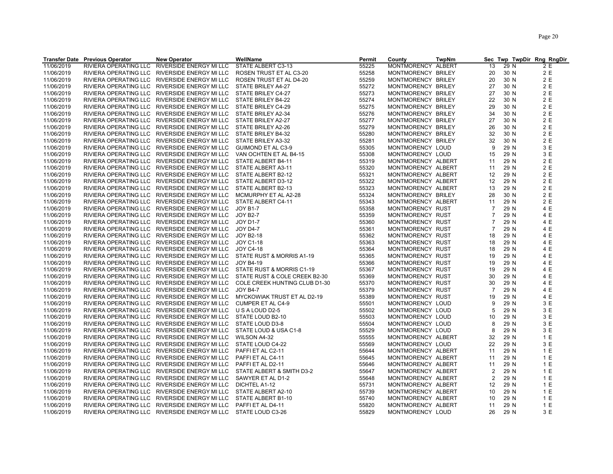|            | <b>Transfer Date Previous Operator</b> | <b>New Operator</b>                           | WellName                      | <b>Permit</b> | County             | <b>TwpNm</b> | <b>Sec</b>                       |      | Twp TwpDir Rng RngDir |
|------------|----------------------------------------|-----------------------------------------------|-------------------------------|---------------|--------------------|--------------|----------------------------------|------|-----------------------|
| 11/06/2019 | RIVIERA OPERATING LLC                  | RIVERSIDE ENERGY MI LLC                       | STATE ALBERT C3-13            | 55225         | MONTMORENCY ALBERT |              | 13                               | 29 N | 2 E                   |
| 11/06/2019 |                                        | RIVIERA OPERATING LLC RIVERSIDE ENERGY MI LLC | ROSEN TRUST ET AL C3-20       | 55258         | MONTMORENCY BRILEY |              | 20                               | 30 N | 2 E                   |
| 11/06/2019 | RIVIERA OPERATING LLC                  | RIVERSIDE ENERGY MI LLC                       | ROSEN TRUST ET AL D4-20       | 55259         | MONTMORENCY BRILEY |              | 20                               | 30 N | 2 E                   |
| 11/06/2019 |                                        | RIVIERA OPERATING LLC RIVERSIDE ENERGY MI LLC | STATE BRILEY A4-27            | 55272         | MONTMORENCY BRILEY |              | 27                               | 30 N | 2 E                   |
| 11/06/2019 |                                        | RIVIERA OPERATING LLC RIVERSIDE ENERGY MI LLC | STATE BRILEY C4-27            | 55273         | MONTMORENCY BRILEY |              | 27                               | 30 N | 2 E                   |
| 11/06/2019 |                                        | RIVIERA OPERATING LLC RIVERSIDE ENERGY MI LLC | STATE BRILEY B4-22            | 55274         | MONTMORENCY BRILEY |              | 22                               | 30 N | 2 E                   |
| 11/06/2019 |                                        | RIVIERA OPERATING LLC RIVERSIDE ENERGY MI LLC | STATE BRILEY C4-29            | 55275         | MONTMORENCY BRILEY |              | 29                               | 30 N | 2 E                   |
| 11/06/2019 |                                        | RIVIERA OPERATING LLC RIVERSIDE ENERGY MI LLC | STATE BRILEY A2-34            | 55276         | MONTMORENCY BRILEY |              | 34                               | 30 N | 2 E                   |
| 11/06/2019 |                                        | RIVIERA OPERATING LLC RIVERSIDE ENERGY MI LLC | STATE BRILEY A2-27            | 55277         | MONTMORENCY BRILEY |              | 27                               | 30 N | 2 E                   |
| 11/06/2019 |                                        | RIVIERA OPERATING LLC RIVERSIDE ENERGY MI LLC | STATE BRILEY A2-26            | 55279         | MONTMORENCY BRILEY |              | 26                               | 30 N | 2 E                   |
| 11/06/2019 |                                        | RIVIERA OPERATING LLC RIVERSIDE ENERGY MI LLC | STATE BRILEY B4-32            | 55280         | MONTMORENCY BRILEY |              | 32                               | 30 N | 2 E                   |
| 11/06/2019 |                                        | RIVIERA OPERATING LLC RIVERSIDE ENERGY MI LLC | STATE BRILEY A3-32            | 55281         | MONTMORENCY BRILEY |              | 32                               | 30 N | 2 E                   |
| 11/06/2019 |                                        | RIVIERA OPERATING LLC RIVERSIDE ENERGY MI LLC | <b>GUIMOND ET AL C3-9</b>     | 55305         | MONTMORENCY LOUD   |              | 9                                | 29 N | 3 E                   |
| 11/06/2019 |                                        | RIVIERA OPERATING LLC RIVERSIDE ENERGY MI LLC | VAN OCHTEN ET AL B4-15        | 55308         | MONTMORENCY LOUD   |              | 15                               | 29 N | 3 E                   |
| 11/06/2019 |                                        | RIVIERA OPERATING LLC RIVERSIDE ENERGY MI LLC | STATE ALBERT B4-11            | 55319         | MONTMORENCY ALBERT |              | 11                               | 29 N | 2 E                   |
| 11/06/2019 |                                        | RIVIERA OPERATING LLC RIVERSIDE ENERGY MI LLC | STATE ALBERT A3-11            | 55320         | MONTMORENCY ALBERT |              | 11                               | 29 N | 2 E                   |
| 11/06/2019 |                                        | RIVIERA OPERATING LLC RIVERSIDE ENERGY MI LLC | STATE ALBERT B2-12            | 55321         | MONTMORENCY ALBERT |              | 12                               | 29 N | 2 E                   |
| 11/06/2019 |                                        | RIVIERA OPERATING LLC RIVERSIDE ENERGY MI LLC | STATE ALBERT D3-12            | 55322         | MONTMORENCY ALBERT |              | 12                               | 29 N | 2 E                   |
|            |                                        | RIVIERA OPERATING LLC RIVERSIDE ENERGY MI LLC | STATE ALBERT B2-13            |               |                    |              | 13                               | 29 N | 2 E                   |
| 11/06/2019 |                                        |                                               |                               | 55323         | MONTMORENCY ALBERT |              |                                  |      |                       |
| 11/06/2019 |                                        | RIVIERA OPERATING LLC RIVERSIDE ENERGY MI LLC | MCMURPHY ET AL A2-28          | 55324         | MONTMORENCY BRILEY |              | 28                               | 30 N | 2 E                   |
| 11/06/2019 |                                        | RIVIERA OPERATING LLC RIVERSIDE ENERGY MI LLC | STATE ALBERT C4-11            | 55343         | MONTMORENCY ALBERT |              | 11                               | 29 N | 2 E                   |
| 11/06/2019 |                                        | RIVIERA OPERATING LLC RIVERSIDE ENERGY MI LLC | <b>JOY B1-7</b>               | 55358         | MONTMORENCY RUST   |              | $\overline{7}$<br>$\overline{7}$ | 29 N | 4 E                   |
| 11/06/2019 |                                        | RIVIERA OPERATING LLC RIVERSIDE ENERGY MI LLC | <b>JOY B2-7</b>               | 55359         | MONTMORENCY RUST   |              |                                  | 29 N | 4 E                   |
| 11/06/2019 |                                        | RIVIERA OPERATING LLC RIVERSIDE ENERGY MI LLC | <b>JOY D1-7</b>               | 55360         | MONTMORENCY RUST   |              | $\overline{7}$                   | 29 N | 4 E                   |
| 11/06/2019 |                                        | RIVIERA OPERATING LLC RIVERSIDE ENERGY MI LLC | <b>JOY D4-7</b>               | 55361         | MONTMORENCY RUST   |              | $\overline{7}$                   | 29 N | 4 E                   |
| 11/06/2019 |                                        | RIVIERA OPERATING LLC RIVERSIDE ENERGY MI LLC | <b>JOY B2-18</b>              | 55362         | MONTMORENCY RUST   |              | 18                               | 29 N | 4 E                   |
| 11/06/2019 |                                        | RIVIERA OPERATING LLC RIVERSIDE ENERGY MI LLC | JOY C1-18                     | 55363         | MONTMORENCY RUST   |              | 18                               | 29 N | 4 E                   |
| 11/06/2019 |                                        | RIVIERA OPERATING LLC RIVERSIDE ENERGY MI LLC | <b>JOY C4-18</b>              | 55364         | MONTMORENCY RUST   |              | 18                               | 29 N | 4 E                   |
| 11/06/2019 | RIVIERA OPERATING LLC                  | RIVERSIDE ENERGY MI LLC                       | STATE RUST & MORRIS A1-19     | 55365         | MONTMORENCY RUST   |              | 19                               | 29 N | 4 E                   |
| 11/06/2019 |                                        | RIVIERA OPERATING LLC RIVERSIDE ENERGY MI LLC | <b>JOY B4-19</b>              | 55366         | MONTMORENCY RUST   |              | 19                               | 29 N | 4 E                   |
| 11/06/2019 |                                        | RIVIERA OPERATING LLC RIVERSIDE ENERGY MI LLC | STATE RUST & MORRIS C1-19     | 55367         | MONTMORENCY RUST   |              | 19                               | 29 N | 4 E                   |
| 11/06/2019 |                                        | RIVIERA OPERATING LLC RIVERSIDE ENERGY MI LLC | STATE RUST & COLE CREEK B2-30 | 55369         | MONTMORENCY RUST   |              | 30                               | 29 N | 4 E                   |
| 11/06/2019 |                                        | RIVIERA OPERATING LLC RIVERSIDE ENERGY MI LLC | COLE CREEK HUNTING CLUB D1-30 | 55370         | MONTMORENCY RUST   |              | 30                               | 29 N | 4 E                   |
| 11/06/2019 |                                        | RIVIERA OPERATING LLC RIVERSIDE ENERGY MI LLC | <b>JOY B4-7</b>               | 55379         | MONTMORENCY RUST   |              | $\overline{7}$                   | 29 N | 4 E                   |
| 11/06/2019 |                                        | RIVIERA OPERATING LLC RIVERSIDE ENERGY MI LLC | MYCKOWIAK TRUST ET AL D2-19   | 55389         | MONTMORENCY RUST   |              | 19                               | 29 N | 4 E                   |
| 11/06/2019 |                                        | RIVIERA OPERATING LLC RIVERSIDE ENERGY MI LLC | CUMPER ET AL C4-9             | 55501         | MONTMORENCY LOUD   |              | 9                                | 29 N | 3 E                   |
| 11/06/2019 | RIVIERA OPERATING LLC                  | RIVERSIDE ENERGY MI LLC                       | U S A LOUD D2-5               | 55502         | MONTMORENCY LOUD   |              | 5                                | 29 N | 3 E                   |
| 11/06/2019 |                                        | RIVIERA OPERATING LLC RIVERSIDE ENERGY MI LLC | STATE LOUD B2-10              | 55503         | MONTMORENCY LOUD   |              | 10                               | 29 N | 3 E                   |
| 11/06/2019 |                                        | RIVIERA OPERATING LLC RIVERSIDE ENERGY MI LLC | STATE LOUD D3-8               | 55504         | MONTMORENCY LOUD   |              | 8                                | 29 N | 3 E                   |
| 11/06/2019 | RIVIERA OPERATING LLC                  | RIVERSIDE ENERGY MI LLC                       | STATE LOUD & USA C1-8         | 55529         | MONTMORENCY LOUD   |              | 8                                | 29 N | 3 E                   |
| 11/06/2019 |                                        | RIVIERA OPERATING LLC RIVERSIDE ENERGY MI LLC | WILSON A4-32                  | 55555         | MONTMORENCY ALBERT |              | 32                               | 29 N | 1 E                   |
| 11/06/2019 |                                        | RIVIERA OPERATING LLC RIVERSIDE ENERGY MI LLC | STATE LOUD C4-22              | 55569         | MONTMORENCY LOUD   |              | 22                               | 29 N | 3 E                   |
| 11/06/2019 |                                        | RIVIERA OPERATING LLC RIVERSIDE ENERGY MI LLC | PAFFI ET AL C2-11             | 55644         | MONTMORENCY ALBERT |              | 11                               | 29 N | 1 E                   |
| 11/06/2019 |                                        | RIVIERA OPERATING LLC RIVERSIDE ENERGY MI LLC | PAFFI ET AL C4-11             | 55645         | MONTMORENCY ALBERT |              | 11                               | 29 N | 1 E                   |
| 11/06/2019 |                                        | RIVIERA OPERATING LLC RIVERSIDE ENERGY MI LLC | PAFFI ET AL D2-11             | 55646         | MONTMORENCY ALBERT |              | 11                               | 29 N | 1 E                   |
| 11/06/2019 | RIVIERA OPERATING LLC                  | RIVERSIDE ENERGY MI LLC                       | STATE ALBERT & SMITH D3-2     | 55647         | MONTMORENCY ALBERT |              | $\overline{\mathbf{c}}$          | 29 N | 1 E                   |
| 11/06/2019 |                                        | RIVIERA OPERATING LLC RIVERSIDE ENERGY MI LLC | SAWYER ET AL D1-2             | 55648         | MONTMORENCY ALBERT |              | $\overline{2}$                   | 29 N | 1 E                   |
| 11/06/2019 | RIVIERA OPERATING LLC                  | RIVERSIDE ENERGY MI LLC                       | DICHTEL A1-12                 | 55731         | MONTMORENCY ALBERT |              | 12                               | 29 N | 1 E                   |
| 11/06/2019 |                                        | RIVIERA OPERATING LLC RIVERSIDE ENERGY MI LLC | STATE ALBERT A2-10            | 55739         | MONTMORENCY ALBERT |              | 10                               | 29 N | 1 E                   |
| 11/06/2019 |                                        | RIVIERA OPERATING LLC RIVERSIDE ENERGY MI LLC | STATE ALBERT B1-10            | 55740         | MONTMORENCY ALBERT |              | 10                               | 29 N | 1 E                   |
| 11/06/2019 |                                        | RIVIERA OPERATING LLC RIVERSIDE ENERGY MI LLC | PAFFIET AL D4-11              | 55820         | MONTMORENCY ALBERT |              | 11                               | 29 N | 1 E                   |
| 11/06/2019 |                                        | RIVIERA OPERATING LLC RIVERSIDE ENERGY MI LLC | STATE LOUD C3-26              | 55829         | MONTMORENCY LOUD   |              | 26                               | 29 N | 3 E                   |